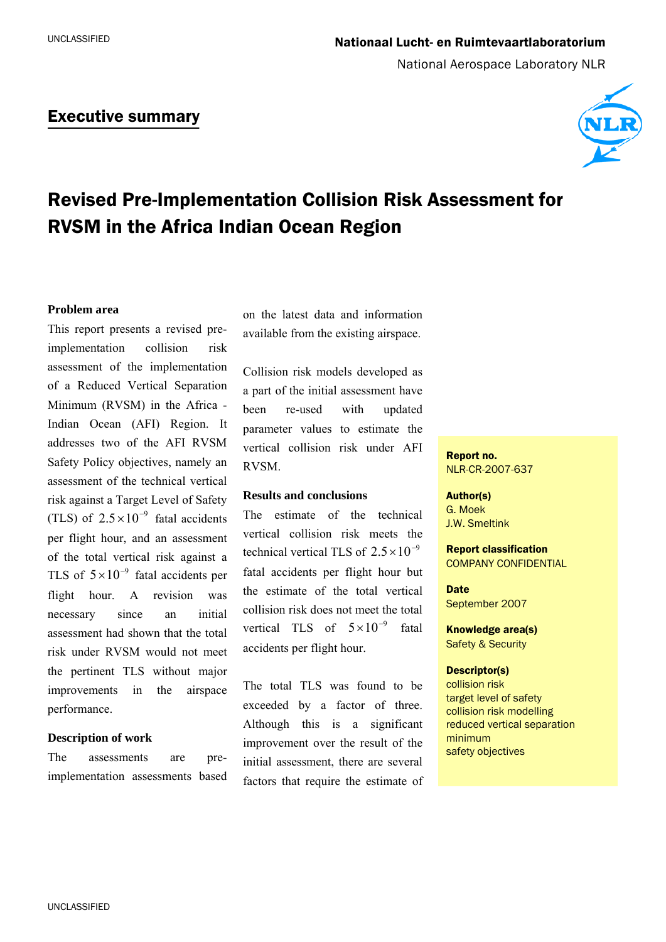National Aerospace Laboratory NLR

# Executive summary



# Revised Pre-Implementation Collision Risk Assessment for RVSM in the Africa Indian Ocean Region

#### **Problem area**

This report presents a revised preimplementation collision risk assessment of the implementation of a Reduced Vertical Separation Minimum (RVSM) in the Africa - Indian Ocean (AFI) Region. It addresses two of the AFI RVSM Safety Policy objectives, namely an assessment of the technical vertical risk against a Target Level of Safety (TLS) of  $2.5 \times 10^{-9}$  fatal accidents per flight hour, and an assessment of the total vertical risk against a TLS of  $5 \times 10^{-9}$  fatal accidents per flight hour. A revision was necessary since an initial assessment had shown that the total risk under RVSM would not meet the pertinent TLS without major improvements in the airspace performance.

#### **Description of work**

The assessments are preimplementation assessments based on the latest data and information available from the existing airspace.

Collision risk models developed as a part of the initial assessment have been re-used with updated parameter values to estimate the vertical collision risk under AFI RVSM.

#### **Results and conclusions**

The estimate of the technical vertical collision risk meets the technical vertical TLS of  $2.5 \times 10^{-9}$ fatal accidents per flight hour but the estimate of the total vertical collision risk does not meet the total vertical TLS of  $5 \times 10^{-9}$  fatal accidents per flight hour.

The total TLS was found to be exceeded by a factor of three. Although this is a significant improvement over the result of the initial assessment, there are several factors that require the estimate of Report no. NLR-CR-2007-637

Author(s) G. Moek J.W. Smeltink

Report classification COMPANY CONFIDENTIAL

**Date** September 2007

Knowledge area(s) Safety & Security

#### Descriptor(s)

collision risk target level of safety collision risk modelling reduced vertical separation minimum safety objectives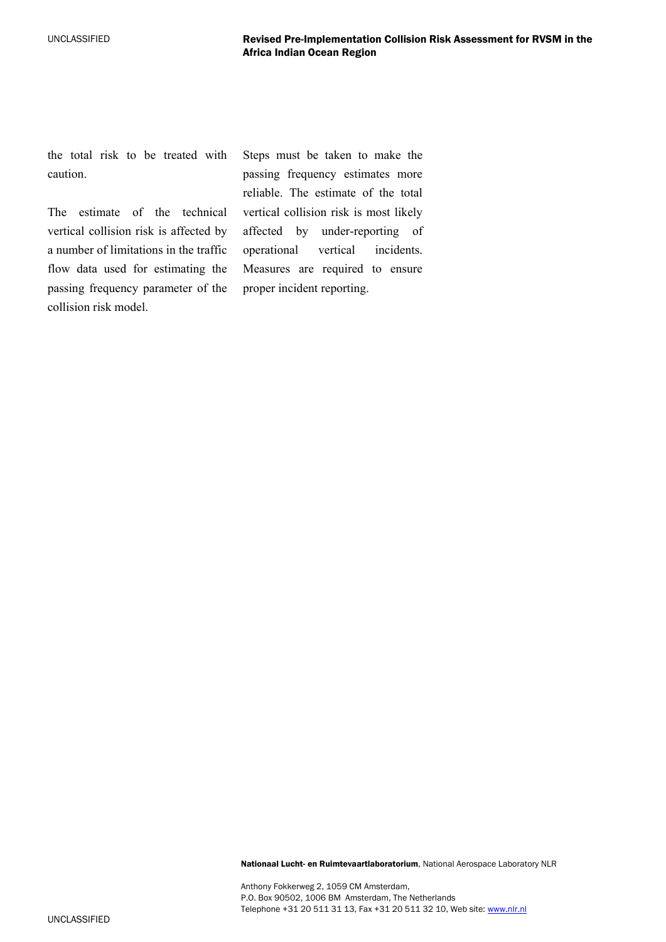the total risk to be treated with caution.

The estimate of the technical vertical collision risk is affected by a number of limitations in the traffic flow data used for estimating the passing frequency parameter of the collision risk model.

Steps must be taken to make the passing frequency estimates more reliable. The estimate of the total vertical collision risk is most likely affected by under-reporting of operational vertical incidents. Measures are required to ensure proper incident reporting.

Nationaal Lucht- en Ruimtevaartlaboratorium, National Aerospace Laboratory NLR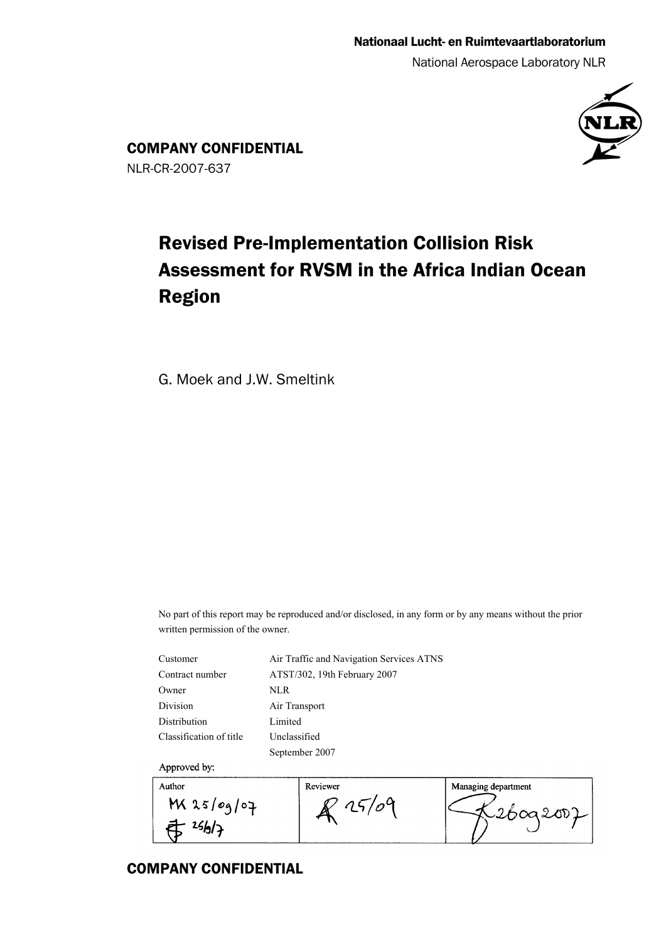

COMPANY CONFIDENTIAL NLR-CR-2007-637

# Revised Pre-Implementation Collision Risk Assessment for RVSM in the Africa Indian Ocean Region

G. Moek and J.W. Smeltink

No part of this report may be reproduced and/or disclosed, in any form or by any means without the prior written permission of the owner.

| Customer                | Air Traffic and Navigation Services ATNS |
|-------------------------|------------------------------------------|
| Contract number         | ATST/302, 19th February 2007             |
| Owner                   | NLR.                                     |
| Division                | Air Transport                            |
| Distribution            | Limited                                  |
| Classification of title | Unclassified                             |
|                         | September 2007                           |

#### Approved by:

Author Reviewer Reviewer Managing department  $825/09$  $MX 25/og/07$  $26$ oq $2$ oD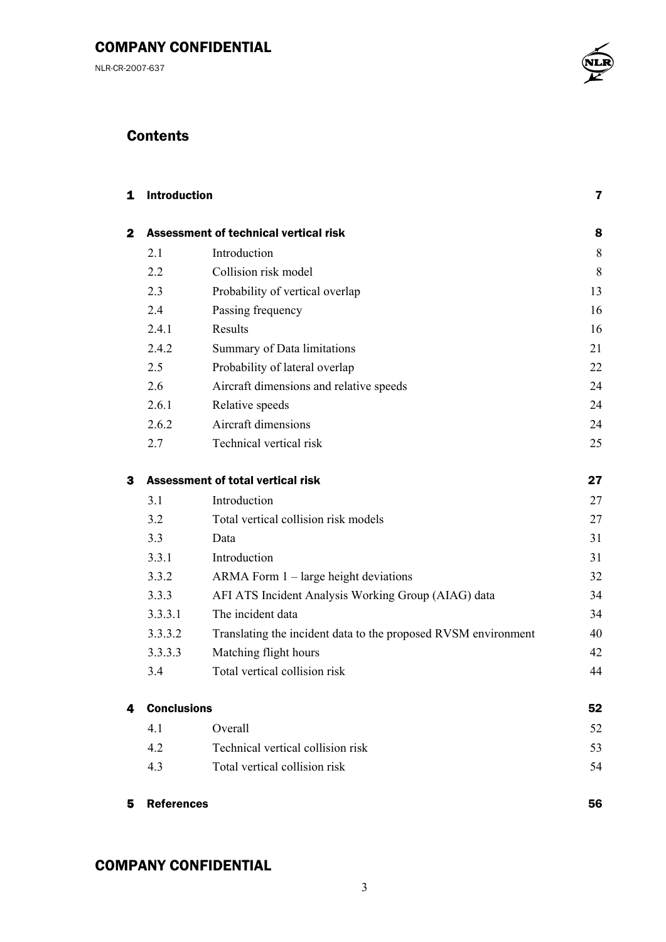

# **Contents**

| 1            | <b>Introduction</b> |                                                                | 7     |
|--------------|---------------------|----------------------------------------------------------------|-------|
| $\mathbf{2}$ |                     | Assessment of technical vertical risk                          | 8     |
|              | 2.1                 | Introduction                                                   | 8     |
|              | 2.2                 | Collision risk model                                           | $8\,$ |
|              | 2.3                 | Probability of vertical overlap                                | 13    |
|              | 2.4                 | Passing frequency                                              | 16    |
|              | 2.4.1               | Results                                                        | 16    |
|              | 2.4.2               | Summary of Data limitations                                    | 21    |
|              | 2.5                 | Probability of lateral overlap                                 | 22    |
|              | 2.6                 | Aircraft dimensions and relative speeds                        | 24    |
|              | 2.6.1               | Relative speeds                                                | 24    |
|              | 2.6.2               | Aircraft dimensions                                            | 24    |
|              | 2.7                 | Technical vertical risk                                        | 25    |
| 3            |                     | <b>Assessment of total vertical risk</b>                       | 27    |
|              | 3.1                 | Introduction                                                   | 27    |
|              | 3.2                 | Total vertical collision risk models                           | 27    |
|              | 3.3                 | Data                                                           | 31    |
|              | 3.3.1               | Introduction                                                   | 31    |
|              | 3.3.2               | ARMA Form $1$ – large height deviations                        | 32    |
|              | 3.3.3               | AFI ATS Incident Analysis Working Group (AIAG) data            | 34    |
|              | 3.3.3.1             | The incident data                                              | 34    |
|              | 3.3.3.2             | Translating the incident data to the proposed RVSM environment | 40    |
|              | 3.3.3.3             | Matching flight hours                                          | 42    |
|              | 3.4                 | Total vertical collision risk                                  | 44    |
|              | <b>Conclusions</b>  |                                                                | 52    |
|              | 4.1                 | Overall                                                        | 52    |
|              | 4.2                 | Technical vertical collision risk                              | 53    |
|              | 4.3                 | Total vertical collision risk                                  | 54    |
| 5            | <b>References</b>   |                                                                | 56    |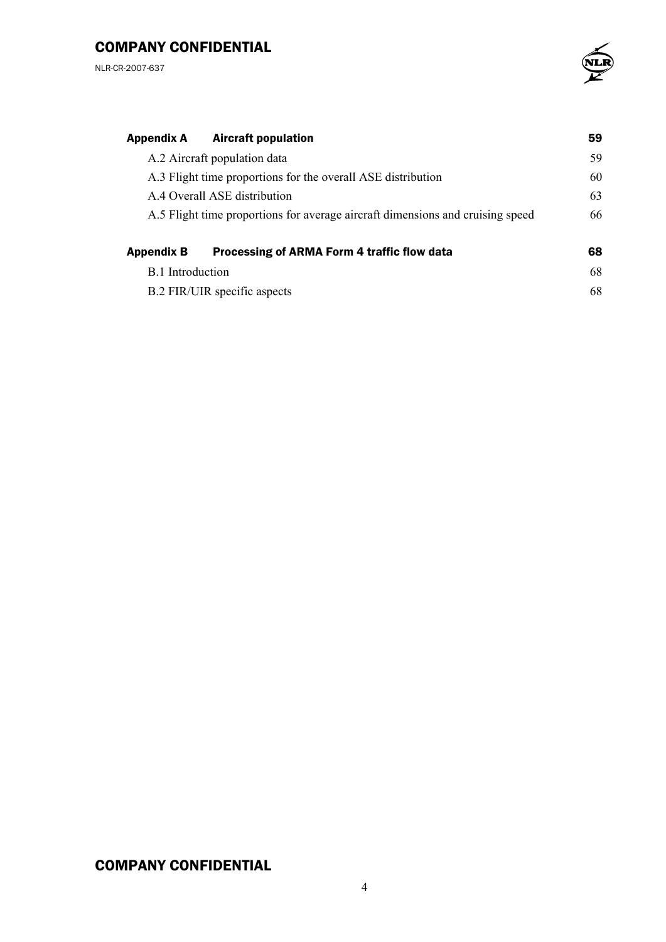NLR-CR-2007-637



| <b>Appendix A</b>       | <b>Aircraft population</b>                                                     | 59 |
|-------------------------|--------------------------------------------------------------------------------|----|
|                         | A.2 Aircraft population data                                                   | 59 |
|                         | A.3 Flight time proportions for the overall ASE distribution                   | 60 |
|                         | A.4 Overall ASE distribution                                                   | 63 |
|                         | A.5 Flight time proportions for average aircraft dimensions and cruising speed | 66 |
| <b>Appendix B</b>       | Processing of ARMA Form 4 traffic flow data                                    | 68 |
| <b>B.1</b> Introduction |                                                                                | 68 |
|                         | <b>B.2 FIR/UIR specific aspects</b>                                            | 68 |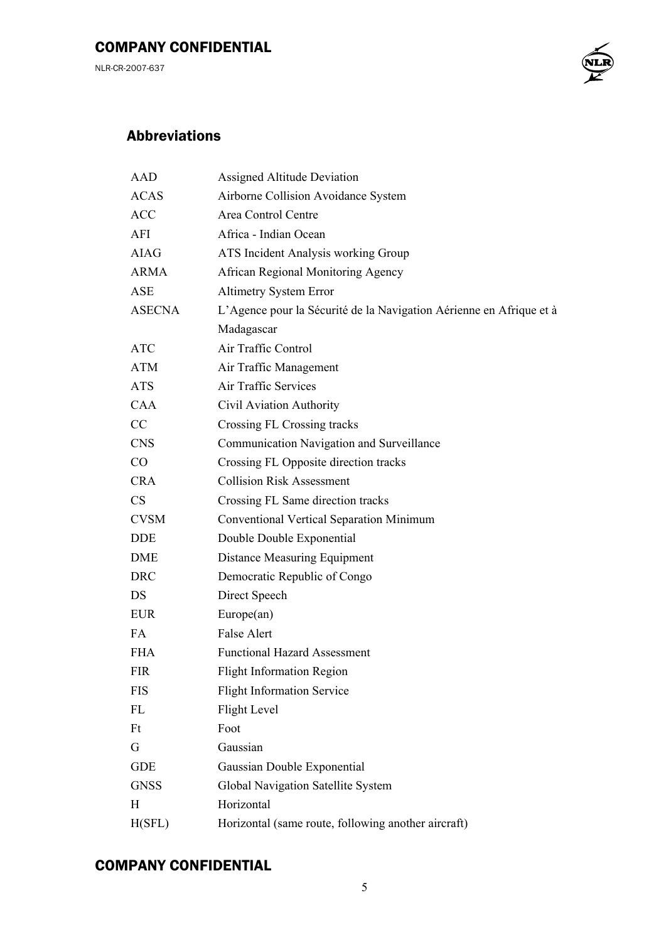NLR-CR-2007-637



# Abbreviations

| AAD           | <b>Assigned Altitude Deviation</b>                                  |
|---------------|---------------------------------------------------------------------|
| <b>ACAS</b>   | Airborne Collision Avoidance System                                 |
| <b>ACC</b>    | Area Control Centre                                                 |
| AFI           | Africa - Indian Ocean                                               |
| AIAG          | ATS Incident Analysis working Group                                 |
| <b>ARMA</b>   | African Regional Monitoring Agency                                  |
| <b>ASE</b>    | <b>Altimetry System Error</b>                                       |
| <b>ASECNA</b> | L'Agence pour la Sécurité de la Navigation Aérienne en Afrique et à |
|               | Madagascar                                                          |
| <b>ATC</b>    | Air Traffic Control                                                 |
| ATM           | Air Traffic Management                                              |
| <b>ATS</b>    | Air Traffic Services                                                |
| <b>CAA</b>    | Civil Aviation Authority                                            |
| CC            | Crossing FL Crossing tracks                                         |
| <b>CNS</b>    | Communication Navigation and Surveillance                           |
| CO            | Crossing FL Opposite direction tracks                               |
| <b>CRA</b>    | <b>Collision Risk Assessment</b>                                    |
| <b>CS</b>     | Crossing FL Same direction tracks                                   |
| <b>CVSM</b>   | <b>Conventional Vertical Separation Minimum</b>                     |
| <b>DDE</b>    | Double Double Exponential                                           |
| DME           | <b>Distance Measuring Equipment</b>                                 |
| <b>DRC</b>    | Democratic Republic of Congo                                        |
| DS            | Direct Speech                                                       |
| EUR           | Europe(an)                                                          |
| FA            | False Alert                                                         |
| <b>FHA</b>    | <b>Functional Hazard Assessment</b>                                 |
| <b>FIR</b>    | <b>Flight Information Region</b>                                    |
| <b>FIS</b>    | <b>Flight Information Service</b>                                   |
| FL            | Flight Level                                                        |
| Ft            | Foot                                                                |
| G             | Gaussian                                                            |
| <b>GDE</b>    | Gaussian Double Exponential                                         |
| <b>GNSS</b>   | Global Navigation Satellite System                                  |
| H             | Horizontal                                                          |
| H(SFL)        | Horizontal (same route, following another aircraft)                 |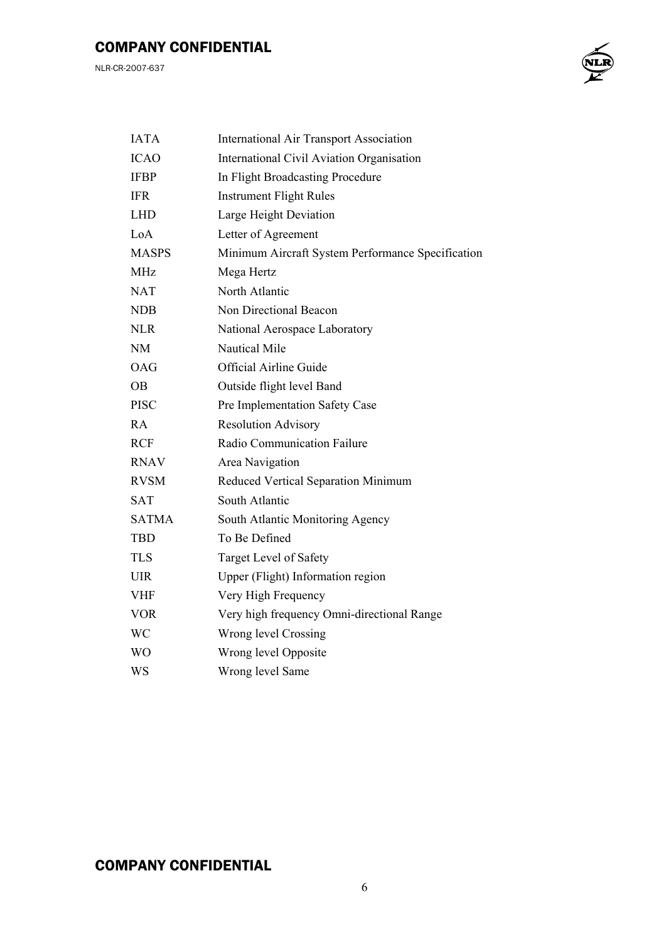NLR-CR-2007-637



| <b>IATA</b>  | <b>International Air Transport Association</b>    |
|--------------|---------------------------------------------------|
| <b>ICAO</b>  | International Civil Aviation Organisation         |
| <b>IFBP</b>  | In Flight Broadcasting Procedure                  |
| <b>IFR</b>   | <b>Instrument Flight Rules</b>                    |
| <b>LHD</b>   | Large Height Deviation                            |
| LoA          | Letter of Agreement                               |
| <b>MASPS</b> | Minimum Aircraft System Performance Specification |
| <b>MHz</b>   | Mega Hertz                                        |
| <b>NAT</b>   | North Atlantic                                    |
| <b>NDB</b>   | Non Directional Beacon                            |
| <b>NLR</b>   | National Aerospace Laboratory                     |
| NM           | <b>Nautical Mile</b>                              |
| <b>OAG</b>   | <b>Official Airline Guide</b>                     |
| OВ           | Outside flight level Band                         |
| <b>PISC</b>  | Pre Implementation Safety Case                    |
| <b>RA</b>    | <b>Resolution Advisory</b>                        |
| <b>RCF</b>   | Radio Communication Failure                       |
| <b>RNAV</b>  | Area Navigation                                   |
| <b>RVSM</b>  | Reduced Vertical Separation Minimum               |
| <b>SAT</b>   | South Atlantic                                    |
| <b>SATMA</b> | South Atlantic Monitoring Agency                  |
| <b>TBD</b>   | To Be Defined                                     |
| <b>TLS</b>   | Target Level of Safety                            |
| <b>UIR</b>   | Upper (Flight) Information region                 |
| <b>VHF</b>   | Very High Frequency                               |
| <b>VOR</b>   | Very high frequency Omni-directional Range        |
| WC           | Wrong level Crossing                              |
| <b>WO</b>    | Wrong level Opposite                              |
| <b>WS</b>    | Wrong level Same                                  |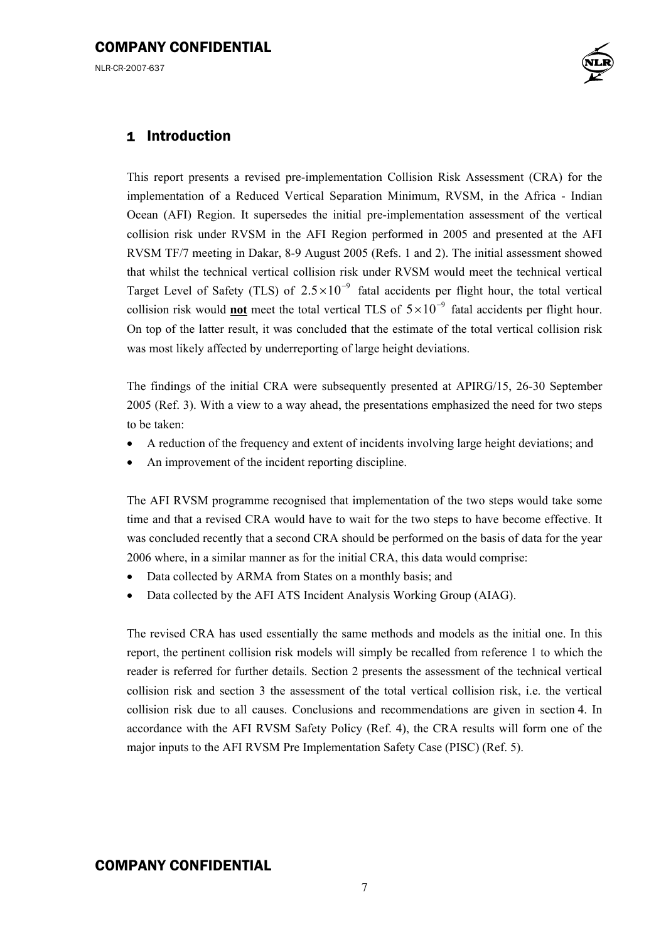

### <span id="page-8-0"></span>1 Introduction

This report presents a revised pre-implementation Collision Risk Assessment (CRA) for the implementation of a Reduced Vertical Separation Minimum, RVSM, in the Africa - Indian Ocean (AFI) Region. It supersedes the initial pre-implementation assessment of the vertical collision risk under RVSM in the AFI Region performed in 2005 and presented at the AFI RVSM TF/7 meeting in Dakar, 8-9 August 2005 (Refs. 1 and 2). The initial assessment showed that whilst the technical vertical collision risk under RVSM would meet the technical vertical Target Level of Safety (TLS) of  $2.5 \times 10^{-9}$  fatal accidents per flight hour, the total vertical collision risk would **not** meet the total vertical TLS of  $5 \times 10^{-9}$  fatal accidents per flight hour. On top of the latter result, it was concluded that the estimate of the total vertical collision risk was most likely affected by underreporting of large height deviations.

The findings of the initial CRA were subsequently presented at APIRG/15, 26-30 September 2005 (Ref. 3). With a view to a way ahead, the presentations emphasized the need for two steps to be taken:

- A reduction of the frequency and extent of incidents involving large height deviations; and
- An improvement of the incident reporting discipline.

The AFI RVSM programme recognised that implementation of the two steps would take some time and that a revised CRA would have to wait for the two steps to have become effective. It was concluded recently that a second CRA should be performed on the basis of data for the year 2006 where, in a similar manner as for the initial CRA, this data would comprise:

- Data collected by ARMA from States on a monthly basis; and
- Data collected by the AFI ATS Incident Analysis Working Group (AIAG).

The revised CRA has used essentially the same methods and models as the initial one. In this report, the pertinent collision risk models will simply be recalled from reference 1 to which the reader is referred for further details. Section 2 presents the assessment of the technical vertical collision risk and section 3 the assessment of the total vertical collision risk, i.e. the vertical collision risk due to all causes. Conclusions and recommendations are given in section 4. In accordance with the AFI RVSM Safety Policy (Ref. 4), the CRA results will form one of the major inputs to the AFI RVSM Pre Implementation Safety Case (PISC) (Ref. 5).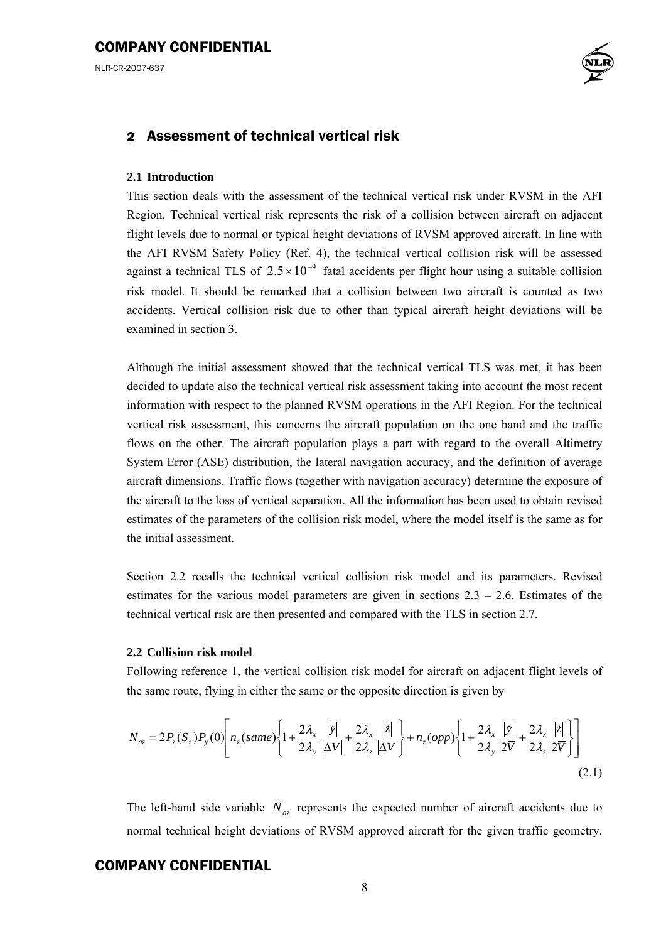

### <span id="page-9-0"></span>2 Assessment of technical vertical risk

### **2.1 Introduction**

This section deals with the assessment of the technical vertical risk under RVSM in the AFI Region. Technical vertical risk represents the risk of a collision between aircraft on adjacent flight levels due to normal or typical height deviations of RVSM approved aircraft. In line with the AFI RVSM Safety Policy (Ref. 4), the technical vertical collision risk will be assessed against a technical TLS of  $2.5 \times 10^{-9}$  fatal accidents per flight hour using a suitable collision risk model. It should be remarked that a collision between two aircraft is counted as two accidents. Vertical collision risk due to other than typical aircraft height deviations will be examined in section 3.

Although the initial assessment showed that the technical vertical TLS was met, it has been decided to update also the technical vertical risk assessment taking into account the most recent information with respect to the planned RVSM operations in the AFI Region. For the technical vertical risk assessment, this concerns the aircraft population on the one hand and the traffic flows on the other. The aircraft population plays a part with regard to the overall Altimetry System Error (ASE) distribution, the lateral navigation accuracy, and the definition of average aircraft dimensions. Traffic flows (together with navigation accuracy) determine the exposure of the aircraft to the loss of vertical separation. All the information has been used to obtain revised estimates of the parameters of the collision risk model, where the model itself is the same as for the initial assessment.

Section 2.2 recalls the technical vertical collision risk model and its parameters. Revised estimates for the various model parameters are given in sections  $2.3 - 2.6$ . Estimates of the technical vertical risk are then presented and compared with the TLS in section 2.7.

#### **2.2 Collision risk model**

Following reference 1, the vertical collision risk model for aircraft on adjacent flight levels of the same route, flying in either the same or the opposite direction is given by

$$
N_{az} = 2P_z(S_z)P_y(0)\left[n_z(same)\left\{1 + \frac{2\lambda_x}{2\lambda_y} \frac{|\bar{y}|}{|\Delta V|} + \frac{2\lambda_x}{2\lambda_z} \frac{|\bar{z}|}{|\Delta V|}\right\} + n_z(opp)\left\{1 + \frac{2\lambda_x}{2\lambda_y} \frac{|\bar{y}|}{2\bar{V}} + \frac{2\lambda_x}{2\lambda_z} \frac{|\bar{z}|}{2\bar{V}}\right\}\right]
$$
(2.1)

The left-hand side variable  $N_{az}$  represents the expected number of aircraft accidents due to normal technical height deviations of RVSM approved aircraft for the given traffic geometry.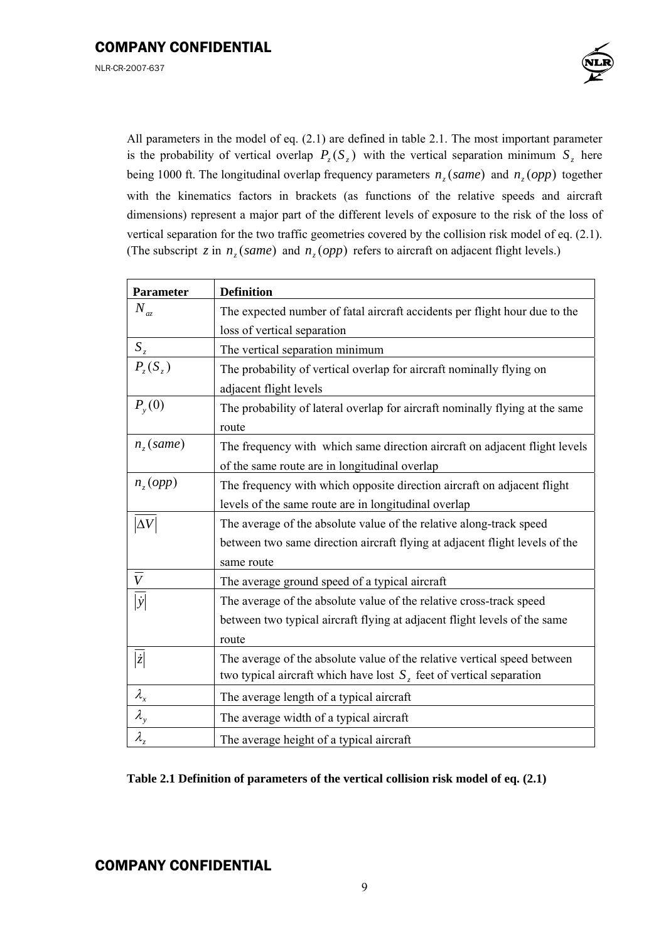

All parameters in the model of eq. (2.1) are defined in table 2.1. The most important parameter is the probability of vertical overlap  $P_z(S_z)$  with the vertical separation minimum  $S_z$  here being 1000 ft. The longitudinal overlap frequency parameters  $n_z(same)$  and  $n_z(opp)$  together with the kinematics factors in brackets (as functions of the relative speeds and aircraft dimensions) represent a major part of the different levels of exposure to the risk of the loss of vertical separation for the two traffic geometries covered by the collision risk model of eq. (2.1). (The subscript *z* in  $n$ , (*same*) and  $n$ , (*opp*) refers to aircraft on adjacent flight levels.)

| <b>Parameter</b>                 | <b>Definition</b>                                                            |
|----------------------------------|------------------------------------------------------------------------------|
| $N_{az}$                         | The expected number of fatal aircraft accidents per flight hour due to the   |
|                                  | loss of vertical separation                                                  |
| $\frac{S_z}{P_z(S_z)}$           | The vertical separation minimum                                              |
|                                  | The probability of vertical overlap for aircraft nominally flying on         |
|                                  | adjacent flight levels                                                       |
| $P_{v}(0)$                       | The probability of lateral overlap for aircraft nominally flying at the same |
|                                  | route                                                                        |
| $n_z$ (same)                     | The frequency with which same direction aircraft on adjacent flight levels   |
|                                  | of the same route are in longitudinal overlap                                |
| $n_z$ (opp)                      | The frequency with which opposite direction aircraft on adjacent flight      |
|                                  | levels of the same route are in longitudinal overlap                         |
| $\Delta V$                       | The average of the absolute value of the relative along-track speed          |
|                                  | between two same direction aircraft flying at adjacent flight levels of the  |
|                                  | same route                                                                   |
| $\overline{V}$                   | The average ground speed of a typical aircraft                               |
| $\overline{\dot{y}}$             | The average of the absolute value of the relative cross-track speed          |
|                                  | between two typical aircraft flying at adjacent flight levels of the same    |
|                                  | route                                                                        |
| $ \dot{z} $                      | The average of the absolute value of the relative vertical speed between     |
|                                  | two typical aircraft which have lost $Sz$ feet of vertical separation        |
| $\lambda_{\scriptscriptstyle x}$ | The average length of a typical aircraft                                     |
| $\lambda_{\rm y}$                | The average width of a typical aircraft                                      |
| $\lambda$ ,                      | The average height of a typical aircraft                                     |

**Table 2.1 Definition of parameters of the vertical collision risk model of eq. (2.1)**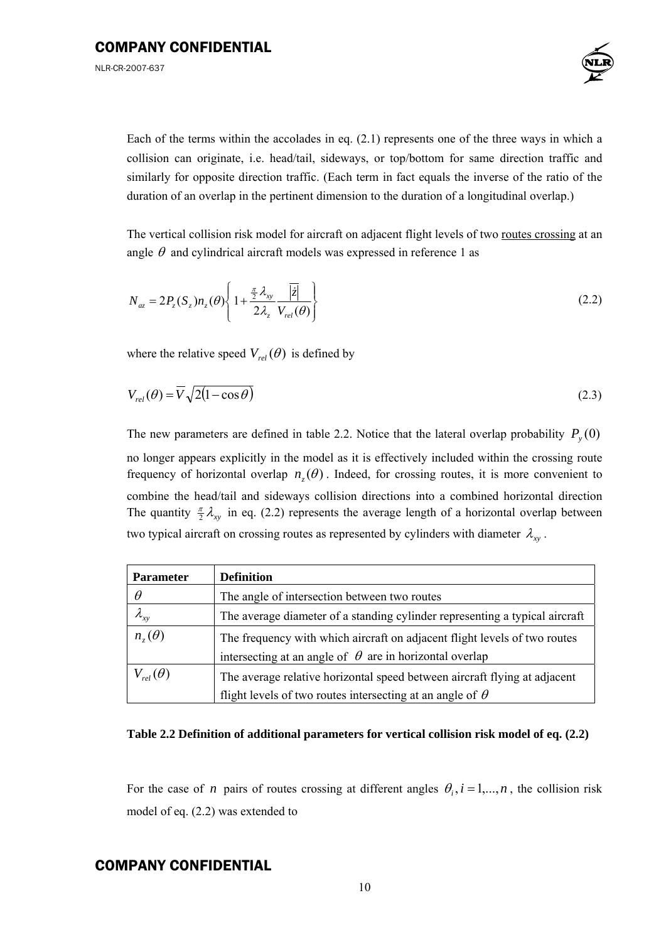

Each of the terms within the accolades in eq. (2.1) represents one of the three ways in which a collision can originate, i.e. head/tail, sideways, or top/bottom for same direction traffic and similarly for opposite direction traffic. (Each term in fact equals the inverse of the ratio of the duration of an overlap in the pertinent dimension to the duration of a longitudinal overlap.)

The vertical collision risk model for aircraft on adjacent flight levels of two routes crossing at an angle  $\theta$  and cylindrical aircraft models was expressed in reference 1 as

$$
N_{az} = 2P_z(S_z)n_z(\theta)\left\{1 + \frac{\frac{\pi}{2}\lambda_{xy}}{2\lambda_z} \frac{\left|\overline{z}\right|}{V_{rel}(\theta)}\right\}
$$
(2.2)

where the relative speed  $V_{rel}(\theta)$  is defined by

$$
V_{rel}(\theta) = \overline{V} \sqrt{2(1 - \cos \theta)}\tag{2.3}
$$

The new parameters are defined in table 2.2. Notice that the lateral overlap probability  $P_y(0)$ no longer appears explicitly in the model as it is effectively included within the crossing route frequency of horizontal overlap  $n(\theta)$ . Indeed, for crossing routes, it is more convenient to combine the head/tail and sideways collision directions into a combined horizontal direction The quantity  $\frac{\pi}{2}\lambda_{xy}$  in eq. (2.2) represents the average length of a horizontal overlap between two typical aircraft on crossing routes as represented by cylinders with diameter  $\lambda_{xy}$ .

| <b>Parameter</b>  | <b>Definition</b>                                                           |
|-------------------|-----------------------------------------------------------------------------|
| $\theta$          | The angle of intersection between two routes                                |
| $\lambda_{xy}$    | The average diameter of a standing cylinder representing a typical aircraft |
| $n_{z}(\theta)$   | The frequency with which aircraft on adjacent flight levels of two routes   |
|                   | intersecting at an angle of $\theta$ are in horizontal overlap              |
| $V_{rel}(\theta)$ | The average relative horizontal speed between aircraft flying at adjacent   |
|                   | flight levels of two routes intersecting at an angle of $\theta$            |

#### **Table 2.2 Definition of additional parameters for vertical collision risk model of eq. (2.2)**

For the case of *n* pairs of routes crossing at different angles  $\theta_i$ ,  $i = 1,...,n$ , the collision risk model of eq. (2.2) was extended to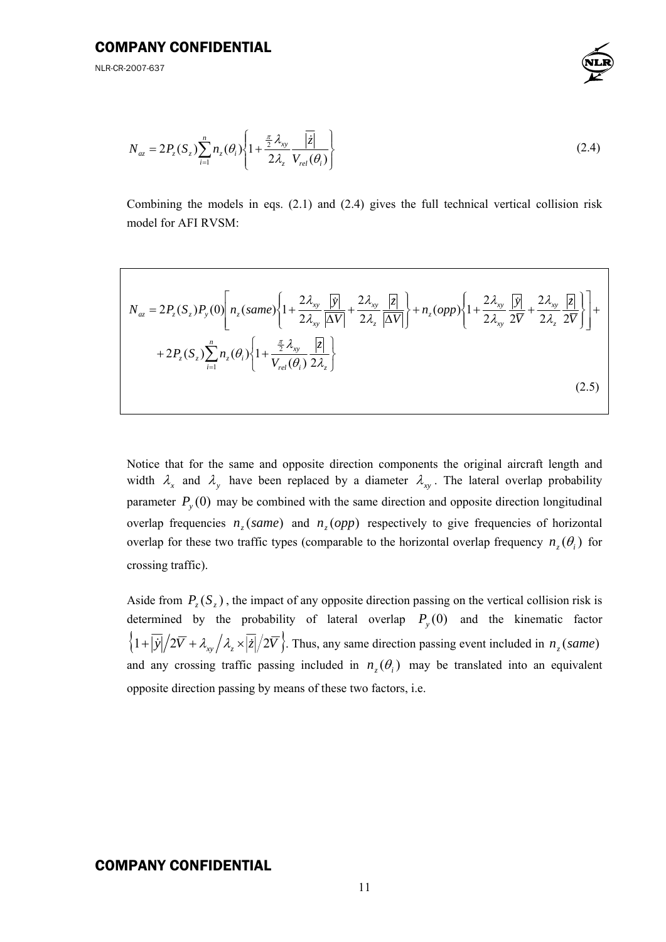NLR-CR-2007-637

$$
N_{az} = 2P_z(S_z) \sum_{i=1}^n n_z(\theta_i) \left\{ 1 + \frac{\frac{\pi}{2} \lambda_{xy}}{2\lambda_z} \frac{\overline{|z|}}{V_{rel}(\theta_i)} \right\}
$$
(2.4)

Combining the models in eqs. (2.1) and (2.4) gives the full technical vertical collision risk model for AFI RVSM:

$$
N_{az} = 2P_z(S_z)P_y(0)\left[n_z(same)\left\{1 + \frac{2\lambda_{xy}}{2\lambda_{xy}}\frac{|\bar{y}|}{|\Delta V|} + \frac{2\lambda_{xy}}{2\lambda_z}\frac{|\bar{z}|}{|\Delta V|}\right\} + n_z(opp)\left\{1 + \frac{2\lambda_{xy}}{2\lambda_{xy}}\frac{|\bar{y}|}{2\bar{V}} + \frac{2\lambda_{xy}}{2\lambda_z}\frac{|\bar{z}|}{2\bar{V}}\right\}\right] +
$$
  
+2P\_z(S\_z)\sum\_{i=1}^n n\_z(\theta\_i)\left\{1 + \frac{\frac{\pi}{2}\lambda\_{xy}}{V\_{rel}(\theta\_i)}\frac{|\bar{z}|}{2\lambda\_z}\right\}(2.5)

Notice that for the same and opposite direction components the original aircraft length and width  $\lambda_x$  and  $\lambda_y$  have been replaced by a diameter  $\lambda_{xy}$ . The lateral overlap probability parameter  $P_y(0)$  may be combined with the same direction and opposite direction longitudinal overlap frequencies  $n_s$  (*same*) and  $n_s$  (*opp*) respectively to give frequencies of horizontal overlap for these two traffic types (comparable to the horizontal overlap frequency  $n_z(\theta_i)$  for crossing traffic).

Aside from  $P(x)$ , the impact of any opposite direction passing on the vertical collision risk is determined by the probability of lateral overlap  $P_y(0)$  and the kinematic factor  $\left\{1+|\overrightarrow{y}|/2\overline{V}+\lambda_{xy}/\lambda_z\times|\overrightarrow{z}|/2\overline{V}\right\}$ . Thus, any same direction passing event included in  $n_z(same)$ and any crossing traffic passing included in  $n_z(\theta_i)$  may be translated into an equivalent opposite direction passing by means of these two factors, i.e.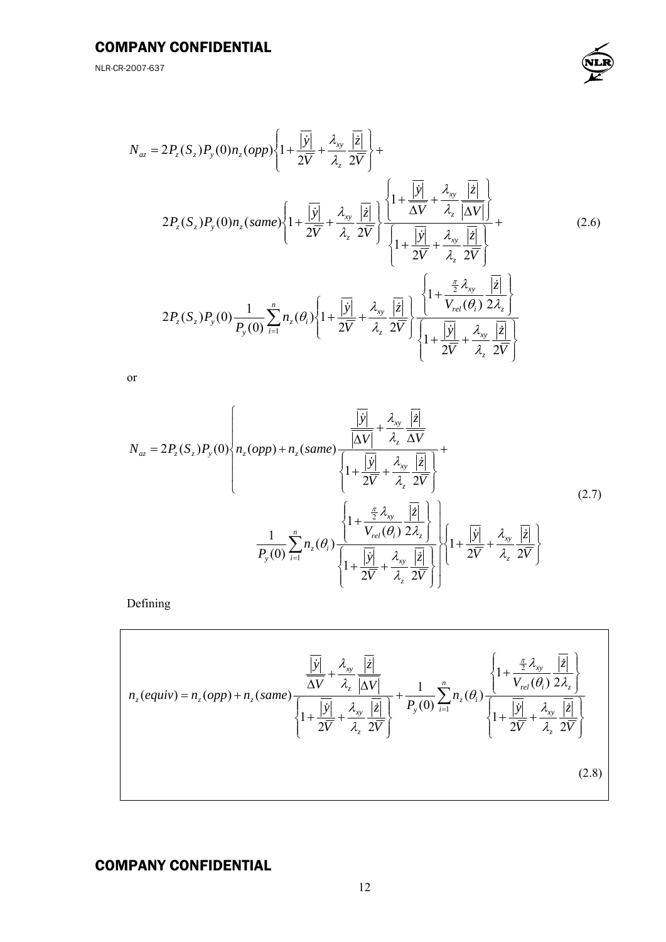NLR-CR-2007-637

$$
N_{az} = 2P_z(S_z)P_y(0)n_z (opp)\left\{1 + \frac{\overline{|y|}}{2\overline{V}} + \frac{\lambda_{xy}}{\lambda_z} \frac{\overline{|z|}}{2\overline{V}}\right\} +
$$
  
\n
$$
2P_z(S_z)P_y(0)n_z (same)\left\{1 + \frac{\overline{|y|}}{2\overline{V}} + \frac{\lambda_{xy}}{\lambda_z} \frac{\overline{|z|}}{2\overline{V}}\right\} \frac{\left\{1 + \frac{\overline{|y|}}{\overline{\Delta V}} + \frac{\lambda_{xy}}{\lambda_z} \frac{\overline{|z|}}{\overline{|\Delta V|}}\right\}}{\left\{1 + \frac{\overline{|y|}}{2\overline{V}} + \frac{\lambda_{xy}}{\lambda_z} \frac{\overline{|z|}}{2\overline{V}}\right\}} +
$$
  
\n
$$
2P_z(S_z)P_y(0) \frac{1}{P_y(0)} \sum_{i=1}^n n_z(\theta_i) \left\{1 + \frac{\overline{|y|}}{2\overline{V}} + \frac{\lambda_{xy}}{\lambda_z} \frac{\overline{|z|}}{2\overline{V}}\right\} \frac{\left\{1 + \frac{\frac{\pi}{2}\lambda_{xy}}{V_{rel}(\theta_i)} \frac{\overline{|z|}}{2\lambda_z}\right\}}{\left\{1 + \frac{\frac{\pi}{2}\lambda_{xy}}{2\overline{V}} \frac{\overline{|z|}}{2\overline{V}}\right\}}
$$
\n(2.6)

or

$$
N_{az} = 2P_z(S_z)P_y(0)\left\{n_z(opp) + n_z(same)\frac{\frac{\overline{|\dot{y}|}}{\overline{|\Delta V|}} + \frac{\lambda_{xy}}{\lambda_z} \frac{\overline{|\dot{z}|}}{\overline{\Delta V}}}{\left\{1 + \frac{\overline{|\dot{y}|}}{2\overline{V}} + \frac{\lambda_{xy}}{\lambda_z} \frac{\overline{|\dot{z}|}}{2\overline{V}}\right\}} + \frac{\left\{1 + \frac{\overline{y}}{2\overline{V}} + \frac{\lambda_{xy}}{\lambda_z} \frac{\overline{|\dot{z}|}}{2\overline{V}}\right\}}{\frac{1}{P_y(0)} \sum_{i=1}^n n_z(\theta_i) \frac{\left\{1 + \frac{\overline{x}}{2}\lambda_{xy} \frac{\overline{|\dot{z}|}}{\overline{Z}}\right\}}{\left\{1 + \frac{\overline{|\dot{y}|}}{2\overline{V}} + \frac{\lambda_{xy}}{\lambda_z} \frac{\overline{|\dot{z}|}}{2\overline{V}}\right\}}\right\}}\right\}\left\{1 + \frac{\overline{|\dot{y}|}}{2\overline{V}} + \frac{\lambda_{xy}}{\lambda_z} \frac{\overline{|\dot{z}|}}{2\overline{V}}\right\}
$$
(2.7)

Defining

$$
n_{z}(equiv) = n_{z}(opp) + n_{z}(same) \frac{\frac{\overline{|\mathbf{y}|}}{\Delta V} + \frac{\lambda_{xy}}{\lambda_{z}} \frac{\overline{|\mathbf{z}|}}{\Delta V}}{\left\{1 + \frac{\overline{|\mathbf{y}|}}{2\overline{V}} + \frac{\lambda_{xy}}{\lambda_{z}} \frac{\overline{|\mathbf{z}|}}{\Delta V}\right\}} + \frac{1}{P_{y}(0)} \sum_{i=1}^{n} n_{z}(\theta_{i}) \frac{\left\{1 + \frac{\overline{x}}{2} \lambda_{xy} \frac{\overline{|\mathbf{z}|}}{\Delta z}\right\}}{\left\{1 + \frac{\overline{|\mathbf{y}|}}{2\overline{V}} + \frac{\lambda_{xy}}{\lambda_{z}} \frac{\overline{|\mathbf{z}|}}{\Delta V}\right\}}
$$
\n(2.8)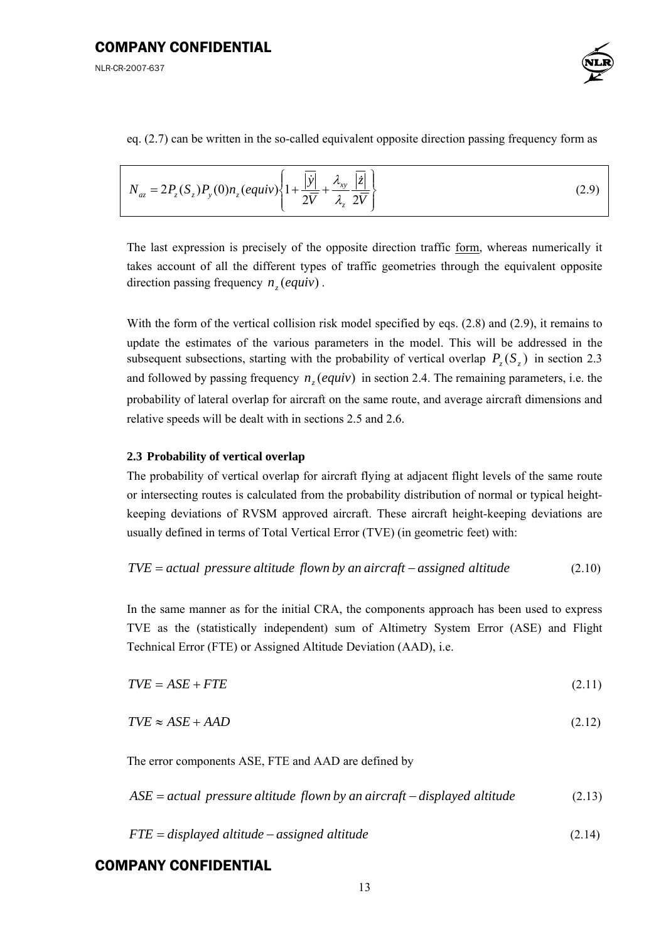

<span id="page-14-0"></span>eq. (2.7) can be written in the so-called equivalent opposite direction passing frequency form as

$$
N_{az} = 2P_z(S_z)P_y(0)n_z\left(\text{equiv}\right)\left\{1 + \frac{\overline{\left|\dot{y}\right|}}{2\overline{V}} + \frac{\lambda_{xy}}{\lambda_z} \frac{\overline{\left|\dot{z}\right|}}{2\overline{V}}\right\}
$$
(2.9)

The last expression is precisely of the opposite direction traffic form, whereas numerically it takes account of all the different types of traffic geometries through the equivalent opposite direction passing frequency  $n_z$  (*equiv*).

With the form of the vertical collision risk model specified by eqs.  $(2.8)$  and  $(2.9)$ , it remains to update the estimates of the various parameters in the model. This will be addressed in the subsequent subsections, starting with the probability of vertical overlap  $P_{z}( S_{z} )$  in section 2.3 and followed by passing frequency  $n_a$  (*equiv*) in section 2.4. The remaining parameters, i.e. the probability of lateral overlap for aircraft on the same route, and average aircraft dimensions and relative speeds will be dealt with in sections 2.5 and 2.6.

### **2.3 Probability of vertical overlap**

The probability of vertical overlap for aircraft flying at adjacent flight levels of the same route or intersecting routes is calculated from the probability distribution of normal or typical heightkeeping deviations of RVSM approved aircraft. These aircraft height-keeping deviations are usually defined in terms of Total Vertical Error (TVE) (in geometric feet) with:

$$
TVE = actual pressure altitude flown by an aircraft - assigned altitude
$$
\n(2.10)

In the same manner as for the initial CRA, the components approach has been used to express TVE as the (statistically independent) sum of Altimetry System Error (ASE) and Flight Technical Error (FTE) or Assigned Altitude Deviation (AAD), i.e.

$$
TVE = ASE + FTE \tag{2.11}
$$

$$
TVE \approx ASE + AAD \tag{2.12}
$$

The error components ASE, FTE and AAD are defined by

| $ASE = actual pressure altitude flown by an aircraft-displayed altitude$ | (2.13) |
|--------------------------------------------------------------------------|--------|
|                                                                          |        |

*FTE* = *displayed altitude* − *assigned altitude* (2.14)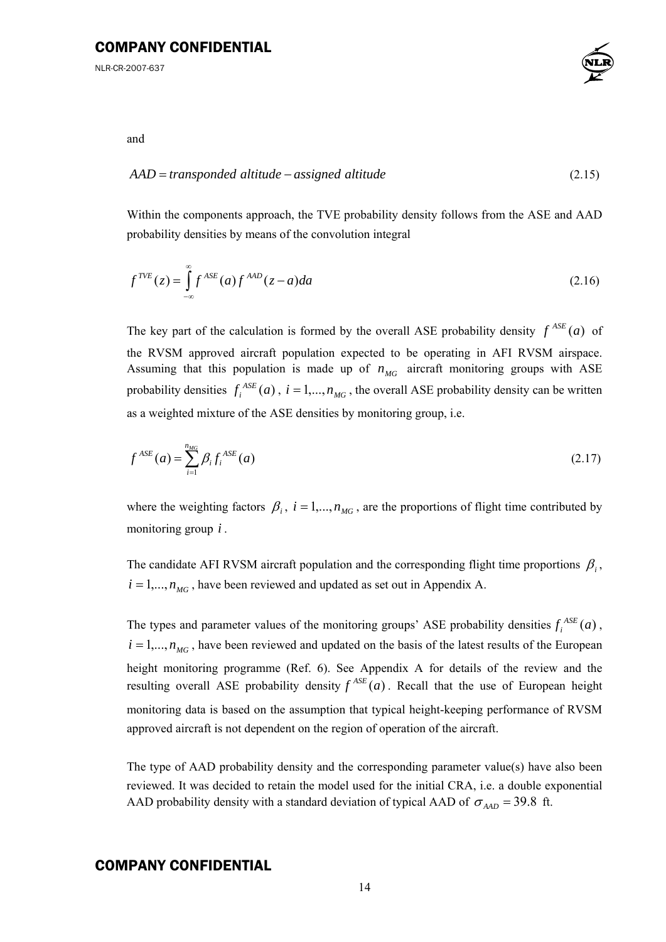

and

$$
AAD = transponded \ altitude - assigned \ altitude \tag{2.15}
$$

Within the components approach, the TVE probability density follows from the ASE and AAD probability densities by means of the convolution integral

$$
f^{TVE}(z) = \int_{-\infty}^{\infty} f^{ASE}(a) f^{AAD}(z-a) da
$$
 (2.16)

The key part of the calculation is formed by the overall ASE probability density  $f^{ASE}(a)$  of the RVSM approved aircraft population expected to be operating in AFI RVSM airspace. Assuming that this population is made up of  $n_{MG}$  aircraft monitoring groups with ASE probability densities  $f_i^{ASE}(a)$ ,  $i = 1,...,n_{MG}$ , the overall ASE probability density can be written as a weighted mixture of the ASE densities by monitoring group, i.e.

$$
f^{ASE}(a) = \sum_{i=1}^{n_{MG}} \beta_i f_i^{ASE}(a)
$$
 (2.17)

where the weighting factors  $\beta_i$ ,  $i = 1,..., n_{MG}$ , are the proportions of flight time contributed by monitoring group *i* .

The candidate AFI RVSM aircraft population and the corresponding flight time proportions  $\beta_i$ ,  $i = 1, ..., n_{MG}$ , have been reviewed and updated as set out in Appendix A.

The types and parameter values of the monitoring groups' ASE probability densities  $f_i^{ASE}(a)$ ,  $i = 1,..., n_{MG}$ , have been reviewed and updated on the basis of the latest results of the European height monitoring programme (Ref. 6). See Appendix A for details of the review and the resulting overall ASE probability density  $f^{ASE}(a)$ . Recall that the use of European height monitoring data is based on the assumption that typical height-keeping performance of RVSM approved aircraft is not dependent on the region of operation of the aircraft.

The type of AAD probability density and the corresponding parameter value(s) have also been reviewed. It was decided to retain the model used for the initial CRA, i.e. a double exponential AAD probability density with a standard deviation of typical AAD of  $\sigma_{AAD} = 39.8$  ft.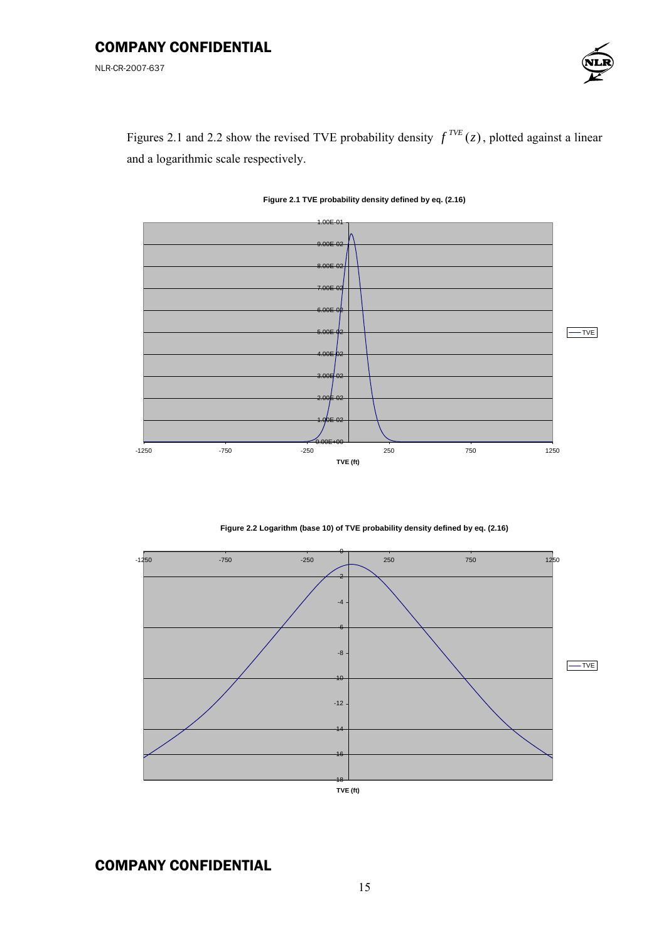NLR-CR-2007-637



Figures 2.1 and 2.2 show the revised TVE probability density  $f^{TVE}(z)$ , plotted against a linear and a logarithmic scale respectively.



**Figure 2.1 TVE probability density defined by eq. (2.16)**

**Figure 2.2 Logarithm (base 10) of TVE probability density defined by eq. (2.16)**

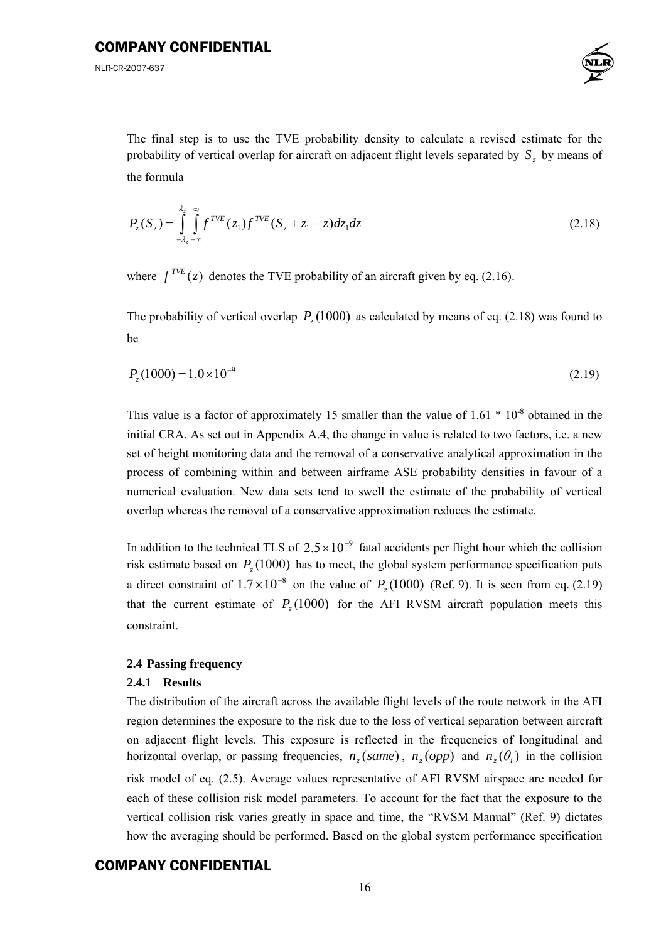

<span id="page-17-0"></span>The final step is to use the TVE probability density to calculate a revised estimate for the probability of vertical overlap for aircraft on adjacent flight levels separated by  $S<sub>z</sub>$  by means of the formula

$$
P_z(S_z) = \int_{-\lambda_z}^{\lambda_z} \int_{-\infty}^{\infty} f^{TVE}(z_1) f^{TVE}(S_z + z_1 - z) dz_1 dz
$$
 (2.18)

where  $f^{TVE}(z)$  denotes the TVE probability of an aircraft given by eq. (2.16).

The probability of vertical overlap  $P<sub>z</sub>$  (1000) as calculated by means of eq. (2.18) was found to be

$$
P_z(1000) = 1.0 \times 10^{-9} \tag{2.19}
$$

This value is a factor of approximately 15 smaller than the value of 1.61  $*$  10<sup>-8</sup> obtained in the initial CRA. As set out in Appendix A.4, the change in value is related to two factors, i.e. a new set of height monitoring data and the removal of a conservative analytical approximation in the process of combining within and between airframe ASE probability densities in favour of a numerical evaluation. New data sets tend to swell the estimate of the probability of vertical overlap whereas the removal of a conservative approximation reduces the estimate.

In addition to the technical TLS of  $2.5 \times 10^{-9}$  fatal accidents per flight hour which the collision risk estimate based on  $P<sub>z</sub>$  (1000) has to meet, the global system performance specification puts a direct constraint of  $1.7 \times 10^{-8}$  on the value of  $P_z(1000)$  *(Ref. 9).* It is seen from eq. (2.19) that the current estimate of  $P<sub>z</sub>(1000)$  for the AFI RVSM aircraft population meets this constraint.

#### **2.4 Passing frequency**

#### **2.4.1 Results**

The distribution of the aircraft across the available flight levels of the route network in the AFI region determines the exposure to the risk due to the loss of vertical separation between aircraft on adjacent flight levels. This exposure is reflected in the frequencies of longitudinal and horizontal overlap, or passing frequencies,  $n<sub>z</sub>$  (*same*),  $n<sub>z</sub>$  (*opp*) and  $n<sub>z</sub>$  ( $\theta<sub>i</sub>$ ) in the collision risk model of eq. (2.5). Average values representative of AFI RVSM airspace are needed for each of these collision risk model parameters. To account for the fact that the exposure to the vertical collision risk varies greatly in space and time, the "RVSM Manual" (Ref. 9) dictates how the averaging should be performed. Based on the global system performance specification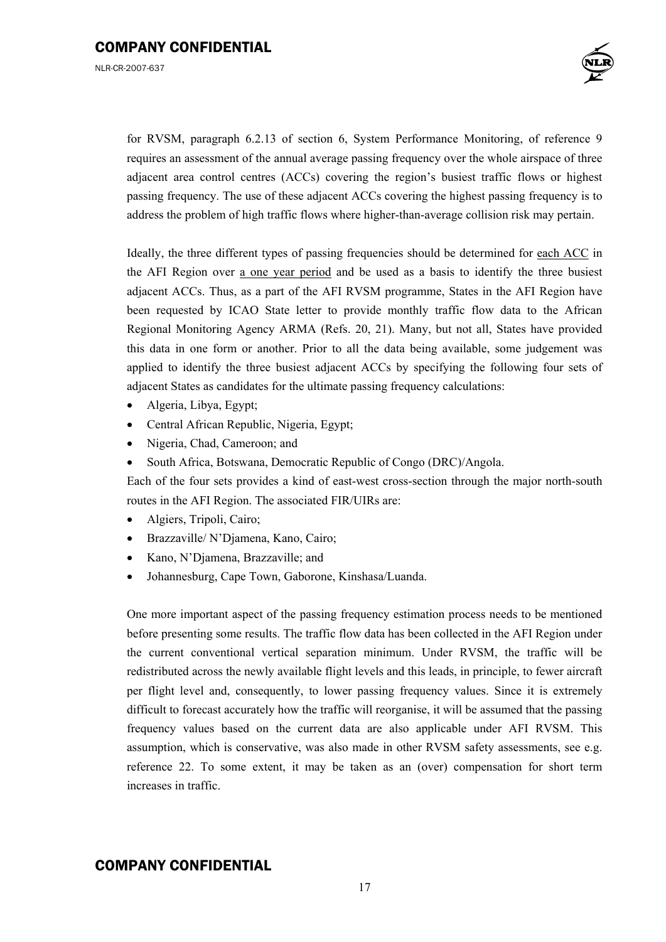

for RVSM, paragraph 6.2.13 of section 6, System Performance Monitoring, of reference 9 requires an assessment of the annual average passing frequency over the whole airspace of three adjacent area control centres (ACCs) covering the region's busiest traffic flows or highest passing frequency. The use of these adjacent ACCs covering the highest passing frequency is to address the problem of high traffic flows where higher-than-average collision risk may pertain.

Ideally, the three different types of passing frequencies should be determined for each ACC in the AFI Region over a one year period and be used as a basis to identify the three busiest adjacent ACCs. Thus, as a part of the AFI RVSM programme, States in the AFI Region have been requested by ICAO State letter to provide monthly traffic flow data to the African Regional Monitoring Agency ARMA (Refs. 20, 21). Many, but not all, States have provided this data in one form or another. Prior to all the data being available, some judgement was applied to identify the three busiest adjacent ACCs by specifying the following four sets of adjacent States as candidates for the ultimate passing frequency calculations:

- Algeria, Libya, Egypt;
- Central African Republic, Nigeria, Egypt;
- Nigeria, Chad, Cameroon; and
- South Africa, Botswana, Democratic Republic of Congo (DRC)/Angola.

Each of the four sets provides a kind of east-west cross-section through the major north-south routes in the AFI Region. The associated FIR/UIRs are:

- Algiers, Tripoli, Cairo;
- Brazzaville/ N'Djamena, Kano, Cairo;
- Kano, N'Djamena, Brazzaville; and
- Johannesburg, Cape Town, Gaborone, Kinshasa/Luanda.

One more important aspect of the passing frequency estimation process needs to be mentioned before presenting some results. The traffic flow data has been collected in the AFI Region under the current conventional vertical separation minimum. Under RVSM, the traffic will be redistributed across the newly available flight levels and this leads, in principle, to fewer aircraft per flight level and, consequently, to lower passing frequency values. Since it is extremely difficult to forecast accurately how the traffic will reorganise, it will be assumed that the passing frequency values based on the current data are also applicable under AFI RVSM. This assumption, which is conservative, was also made in other RVSM safety assessments, see e.g. reference 22. To some extent, it may be taken as an (over) compensation for short term increases in traffic.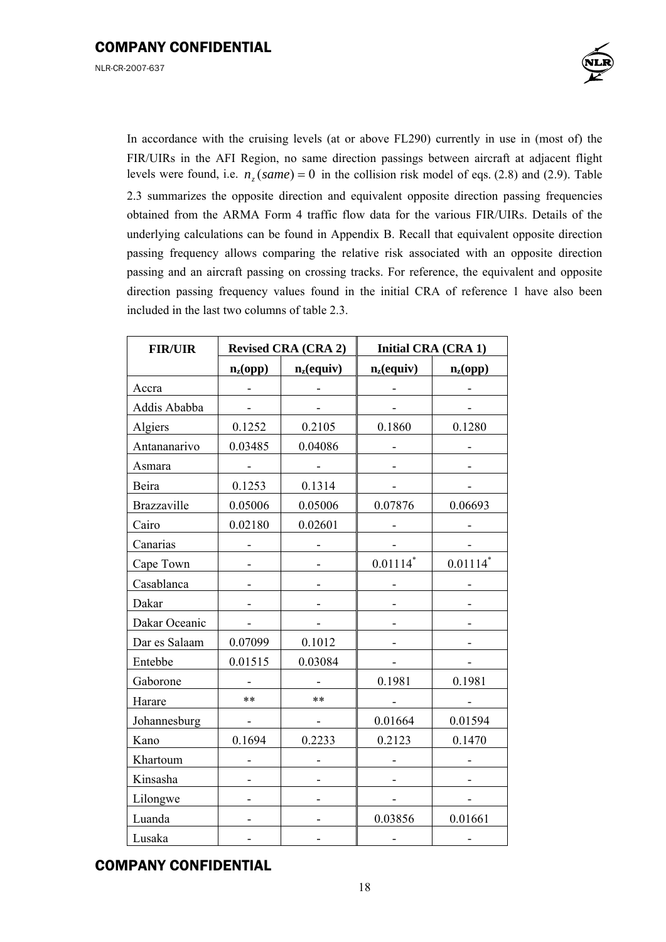

In accordance with the cruising levels (at or above FL290) currently in use in (most of) the FIR/UIRs in the AFI Region, no same direction passings between aircraft at adjacent flight levels were found, i.e.  $n_z(same) = 0$  in the collision risk model of eqs. (2.8) and (2.9). Table 2.3 summarizes the opposite direction and equivalent opposite direction passing frequencies obtained from the ARMA Form 4 traffic flow data for the various FIR/UIRs. Details of the underlying calculations can be found in Appendix B. Recall that equivalent opposite direction passing frequency allows comparing the relative risk associated with an opposite direction passing and an aircraft passing on crossing tracks. For reference, the equivalent and opposite direction passing frequency values found in the initial CRA of reference 1 have also been included in the last two columns of table 2.3.

| <b>FIR/UIR</b>     | <b>Revised CRA (CRA 2)</b> |                          | Initial CRA (CRA 1)    |                        |
|--------------------|----------------------------|--------------------------|------------------------|------------------------|
|                    | $n_z(opp)$                 | $n_z$ (equiv)            | $n_z$ (equiv)          | $n_z(opp)$             |
| Accra              | $\overline{\phantom{0}}$   |                          |                        |                        |
| Addis Ababba       |                            |                          |                        |                        |
| Algiers            | 0.1252                     | 0.2105                   | 0.1860                 | 0.1280                 |
| Antananarivo       | 0.03485                    | 0.04086                  |                        |                        |
| Asmara             |                            |                          |                        |                        |
| Beira              | 0.1253                     | 0.1314                   |                        |                        |
| <b>Brazzaville</b> | 0.05006                    | 0.05006                  | 0.07876                | 0.06693                |
| Cairo              | 0.02180                    | 0.02601                  |                        |                        |
| Canarias           |                            |                          |                        |                        |
| Cape Town          |                            |                          | $0.01114$ <sup>*</sup> | $0.01114$ <sup>*</sup> |
| Casablanca         |                            |                          |                        |                        |
| Dakar              |                            |                          |                        |                        |
| Dakar Oceanic      |                            |                          |                        |                        |
| Dar es Salaam      | 0.07099                    | 0.1012                   |                        |                        |
| Entebbe            | 0.01515                    | 0.03084                  |                        |                        |
| Gaborone           |                            | $\blacksquare$           | 0.1981                 | 0.1981                 |
| Harare             | $**$                       | $**$                     |                        |                        |
| Johannesburg       | $\blacksquare$             | $\blacksquare$           | 0.01664                | 0.01594                |
| Kano               | 0.1694                     | 0.2233                   | 0.2123                 | 0.1470                 |
| Khartoum           |                            |                          |                        |                        |
| Kinsasha           |                            |                          |                        |                        |
| Lilongwe           |                            |                          |                        |                        |
| Luanda             |                            | $\overline{\phantom{0}}$ | 0.03856                | 0.01661                |
| Lusaka             |                            |                          |                        |                        |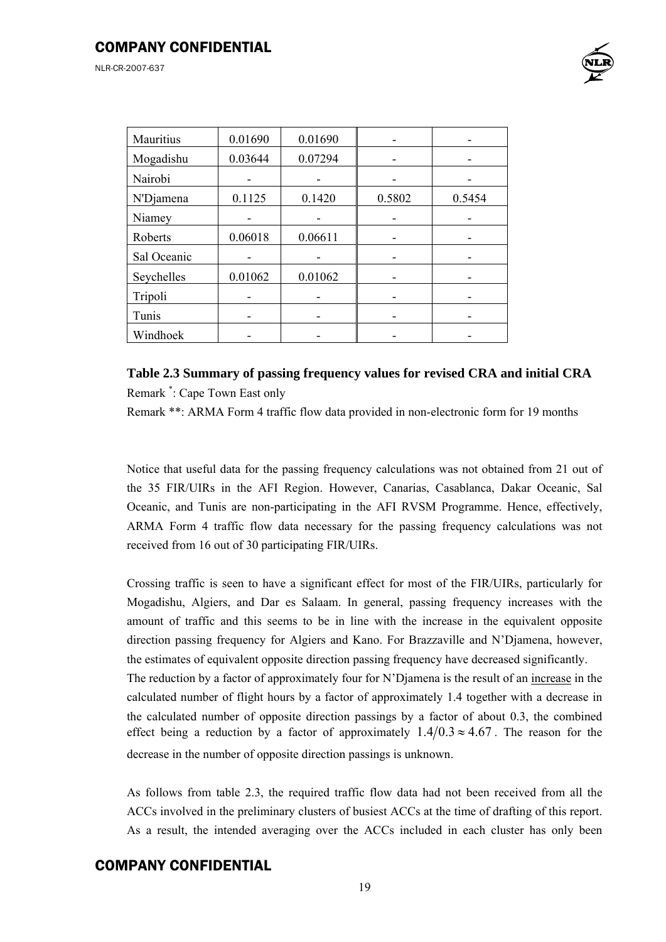NLR-CR-2007-637



| Mauritius   | 0.01690 | 0.01690 |        |        |
|-------------|---------|---------|--------|--------|
| Mogadishu   | 0.03644 | 0.07294 |        |        |
| Nairobi     |         |         |        |        |
| N'Djamena   | 0.1125  | 0.1420  | 0.5802 | 0.5454 |
| Niamey      |         |         |        |        |
| Roberts     | 0.06018 | 0.06611 |        |        |
| Sal Oceanic |         |         |        |        |
| Seychelles  | 0.01062 | 0.01062 |        |        |
| Tripoli     |         |         |        |        |
| Tunis       |         | -       |        |        |
| Windhoek    |         |         |        |        |

# **Table 2.3 Summary of passing frequency values for revised CRA and initial CRA**  Remark \* : Cape Town East only

Remark \*\*: ARMA Form 4 traffic flow data provided in non-electronic form for 19 months

Notice that useful data for the passing frequency calculations was not obtained from 21 out of the 35 FIR/UIRs in the AFI Region. However, Canarias, Casablanca, Dakar Oceanic, Sal Oceanic, and Tunis are non-participating in the AFI RVSM Programme. Hence, effectively, ARMA Form 4 traffic flow data necessary for the passing frequency calculations was not received from 16 out of 30 participating FIR/UIRs.

Crossing traffic is seen to have a significant effect for most of the FIR/UIRs, particularly for Mogadishu, Algiers, and Dar es Salaam. In general, passing frequency increases with the amount of traffic and this seems to be in line with the increase in the equivalent opposite direction passing frequency for Algiers and Kano. For Brazzaville and N'Djamena, however, the estimates of equivalent opposite direction passing frequency have decreased significantly.

The reduction by a factor of approximately four for N'Djamena is the result of an increase in the calculated number of flight hours by a factor of approximately 1.4 together with a decrease in the calculated number of opposite direction passings by a factor of about 0.3, the combined effect being a reduction by a factor of approximately  $1.4/0.3 \approx 4.67$ . The reason for the decrease in the number of opposite direction passings is unknown.

As follows from table 2.3, the required traffic flow data had not been received from all the ACCs involved in the preliminary clusters of busiest ACCs at the time of drafting of this report. As a result, the intended averaging over the ACCs included in each cluster has only been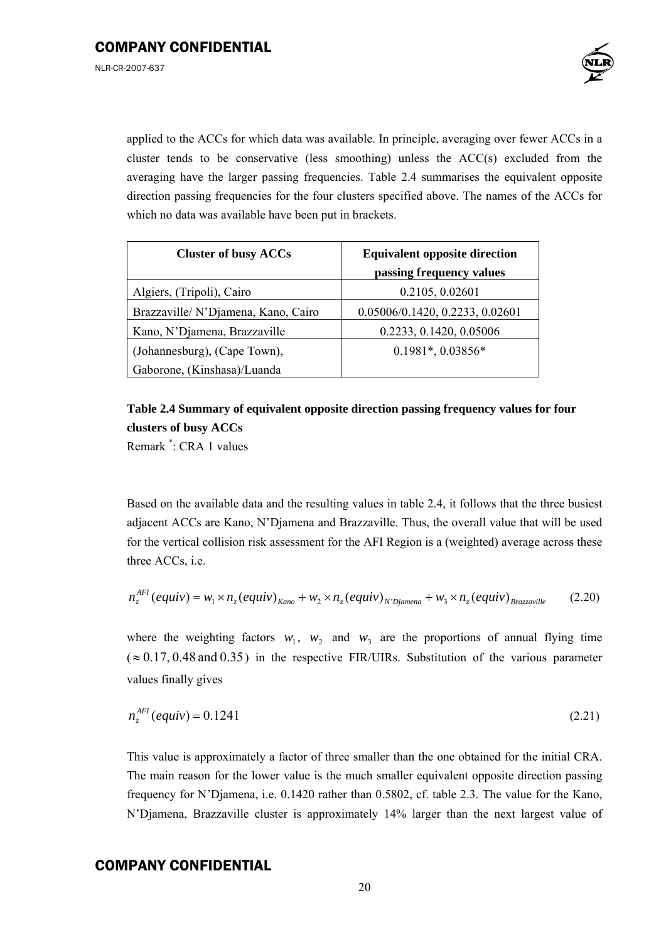

applied to the ACCs for which data was available. In principle, averaging over fewer ACCs in a cluster tends to be conservative (less smoothing) unless the ACC(s) excluded from the averaging have the larger passing frequencies. Table 2.4 summarises the equivalent opposite direction passing frequencies for the four clusters specified above. The names of the ACCs for which no data was available have been put in brackets.

| <b>Cluster of busy ACCs</b>        | <b>Equivalent opposite direction</b><br>passing frequency values |
|------------------------------------|------------------------------------------------------------------|
| Algiers, (Tripoli), Cairo          | 0.2105, 0.02601                                                  |
| Brazzaville/N'Djamena, Kano, Cairo | 0.05006/0.1420, 0.2233, 0.02601                                  |
| Kano, N'Djamena, Brazzaville       | 0.2233, 0.1420, 0.05006                                          |
| (Johannesburg), (Cape Town),       | $0.1981*, 0.03856*$                                              |
| Gaborone, (Kinshasa)/Luanda        |                                                                  |

# **Table 2.4 Summary of equivalent opposite direction passing frequency values for four clusters of busy ACCs**

Remark \* : CRA 1 values

Based on the available data and the resulting values in table 2.4, it follows that the three busiest adjacent ACCs are Kano, N'Djamena and Brazzaville. Thus, the overall value that will be used for the vertical collision risk assessment for the AFI Region is a (weighted) average across these three ACCs, i.e.

$$
n_z^{AFI}(equiv \dot{w}) = w_1 \times n_z (equiv \dot{w})_{Kano} + w_2 \times n_z (equiv \dot{w})_{N'Djamena} + w_3 \times n_z (equiv \dot{w})_{Brazzaville}
$$
 (2.20)

where the weighting factors  $w_1$ ,  $w_2$  and  $w_3$  are the proportions of annual flying time  $(\approx 0.17, 0.48$  and  $(0.35)$  in the respective FIR/UIRs. Substitution of the various parameter values finally gives

$$
n_z^{AFI}(equiv) = 0.1241 \tag{2.21}
$$

This value is approximately a factor of three smaller than the one obtained for the initial CRA. The main reason for the lower value is the much smaller equivalent opposite direction passing frequency for N'Djamena, i.e. 0.1420 rather than 0.5802, cf. table 2.3. The value for the Kano, N'Djamena, Brazzaville cluster is approximately 14% larger than the next largest value of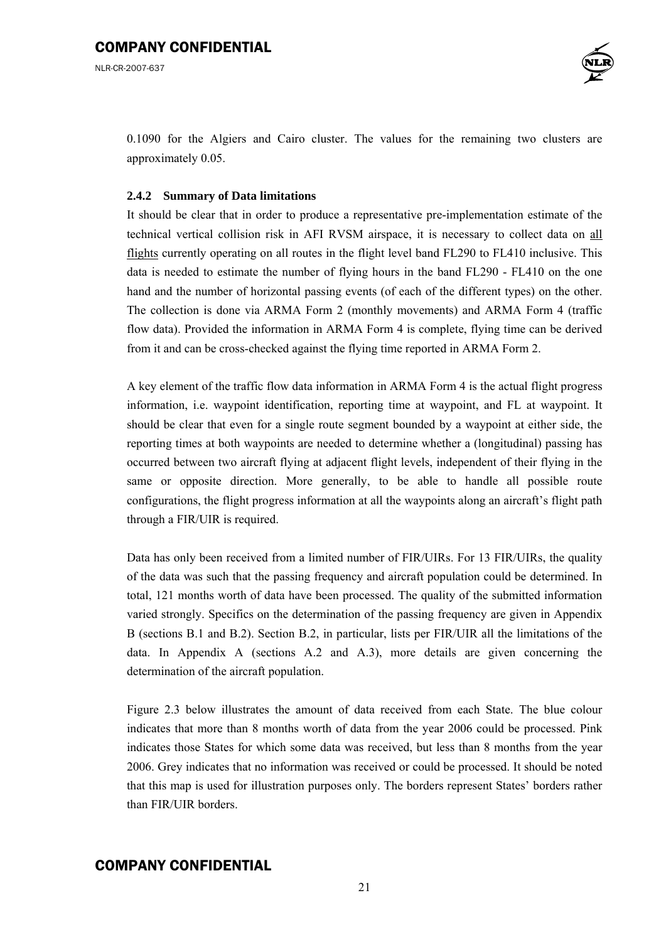

<span id="page-22-0"></span>0.1090 for the Algiers and Cairo cluster. The values for the remaining two clusters are approximately 0.05.

### **2.4.2 Summary of Data limitations**

It should be clear that in order to produce a representative pre-implementation estimate of the technical vertical collision risk in AFI RVSM airspace, it is necessary to collect data on all flights currently operating on all routes in the flight level band FL290 to FL410 inclusive. This data is needed to estimate the number of flying hours in the band FL290 - FL410 on the one hand and the number of horizontal passing events (of each of the different types) on the other. The collection is done via ARMA Form 2 (monthly movements) and ARMA Form 4 (traffic flow data). Provided the information in ARMA Form 4 is complete, flying time can be derived from it and can be cross-checked against the flying time reported in ARMA Form 2.

A key element of the traffic flow data information in ARMA Form 4 is the actual flight progress information, i.e. waypoint identification, reporting time at waypoint, and FL at waypoint. It should be clear that even for a single route segment bounded by a waypoint at either side, the reporting times at both waypoints are needed to determine whether a (longitudinal) passing has occurred between two aircraft flying at adjacent flight levels, independent of their flying in the same or opposite direction. More generally, to be able to handle all possible route configurations, the flight progress information at all the waypoints along an aircraft's flight path through a FIR/UIR is required.

Data has only been received from a limited number of FIR/UIRs. For 13 FIR/UIRs, the quality of the data was such that the passing frequency and aircraft population could be determined. In total, 121 months worth of data have been processed. The quality of the submitted information varied strongly. Specifics on the determination of the passing frequency are given in Appendix B (sections B.1 and B.2). Section B.2, in particular, lists per FIR/UIR all the limitations of the data. In Appendix A (sections A.2 and A.3), more details are given concerning the determination of the aircraft population.

Figure 2.3 below illustrates the amount of data received from each State. The blue colour indicates that more than 8 months worth of data from the year 2006 could be processed. Pink indicates those States for which some data was received, but less than 8 months from the year 2006. Grey indicates that no information was received or could be processed. It should be noted that this map is used for illustration purposes only. The borders represent States' borders rather than FIR/UIR borders.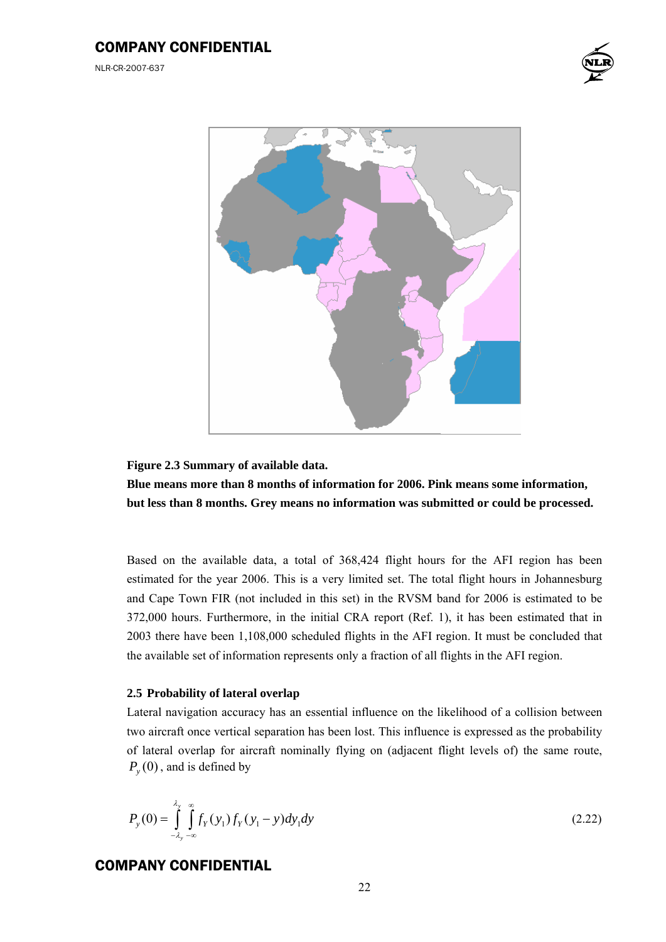<span id="page-23-0"></span>NLR-CR-2007-637





**Figure 2.3 Summary of available data.** 

**Blue means more than 8 months of information for 2006. Pink means some information, but less than 8 months. Grey means no information was submitted or could be processed.** 

Based on the available data, a total of 368,424 flight hours for the AFI region has been estimated for the year 2006. This is a very limited set. The total flight hours in Johannesburg and Cape Town FIR (not included in this set) in the RVSM band for 2006 is estimated to be 372,000 hours. Furthermore, in the initial CRA report (Ref. 1), it has been estimated that in 2003 there have been 1,108,000 scheduled flights in the AFI region. It must be concluded that the available set of information represents only a fraction of all flights in the AFI region.

#### **2.5 Probability of lateral overlap**

Lateral navigation accuracy has an essential influence on the likelihood of a collision between two aircraft once vertical separation has been lost. This influence is expressed as the probability of lateral overlap for aircraft nominally flying on (adjacent flight levels of) the same route,  $P_y(0)$ , and is defined by

$$
P_{y}(0) = \int_{-\lambda_{y}}^{\lambda_{y}} \int_{-\infty}^{\infty} f_{Y}(y_{1}) f_{Y}(y_{1} - y) dy_{1} dy
$$
\n(2.22)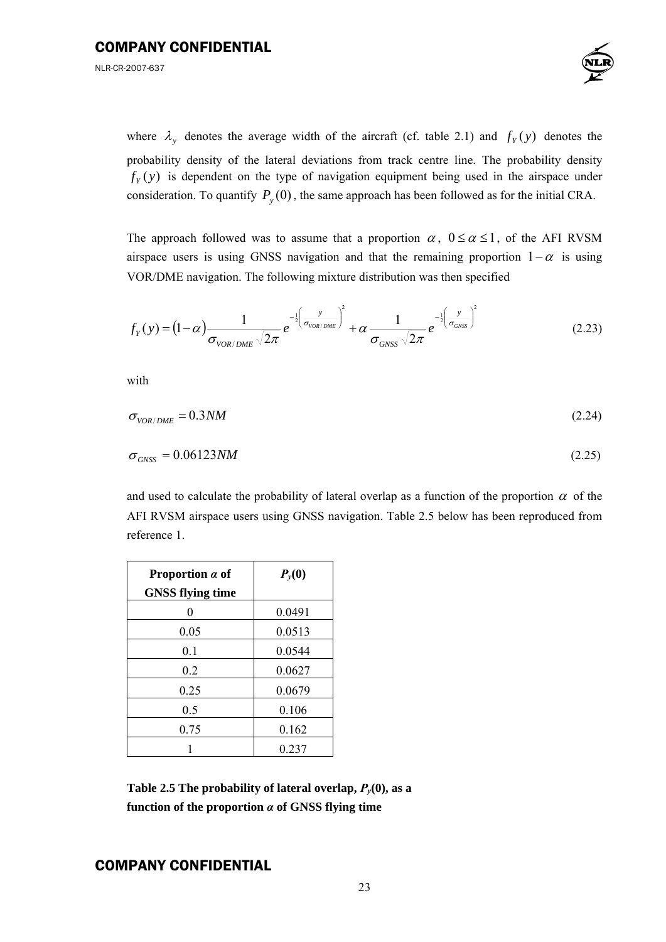

where  $\lambda$ <sub>y</sub> denotes the average width of the aircraft (cf. table 2.1) and  $f_Y(y)$  denotes the probability density of the lateral deviations from track centre line. The probability density  $f_Y(y)$  is dependent on the type of navigation equipment being used in the airspace under consideration. To quantify  $P_y(0)$ , the same approach has been followed as for the initial CRA.

The approach followed was to assume that a proportion  $\alpha$ ,  $0 \le \alpha \le 1$ , of the AFI RVSM airspace users is using GNSS navigation and that the remaining proportion  $1-\alpha$  is using VOR/DME navigation. The following mixture distribution was then specified

$$
f_Y(y) = \left(1 - \alpha\right) \frac{1}{\sigma_{VOR/DME} \sqrt{2\pi}} e^{-\frac{1}{2} \left(\frac{y}{\sigma_{VOR/DME}}\right)^2} + \alpha \frac{1}{\sigma_{GNSS} \sqrt{2\pi}} e^{-\frac{1}{2} \left(\frac{y}{\sigma_{GNSS}}\right)^2}
$$
(2.23)

with

$$
\sigma_{VOR/DME} = 0.3NM \tag{2.24}
$$

$$
\sigma_{\rm GNSS} = 0.06123NM \tag{2.25}
$$

and used to calculate the probability of lateral overlap as a function of the proportion  $\alpha$  of the AFI RVSM airspace users using GNSS navigation. Table 2.5 below has been reproduced from reference 1.

| Proportion $\alpha$ of<br><b>GNSS flying time</b> | $P_v(0)$ |
|---------------------------------------------------|----------|
| 0                                                 | 0.0491   |
| 0.05                                              | 0.0513   |
| 0.1                                               | 0.0544   |
| 0.2                                               | 0.0627   |
| 0.25                                              | 0.0679   |
| 0.5                                               | 0.106    |
| 0.75                                              | 0.162    |
|                                                   | 0.237    |

**Table 2.5 The probability of lateral overlap,**  $P_y(0)$ **, as a function of the proportion** *α* **of GNSS flying time**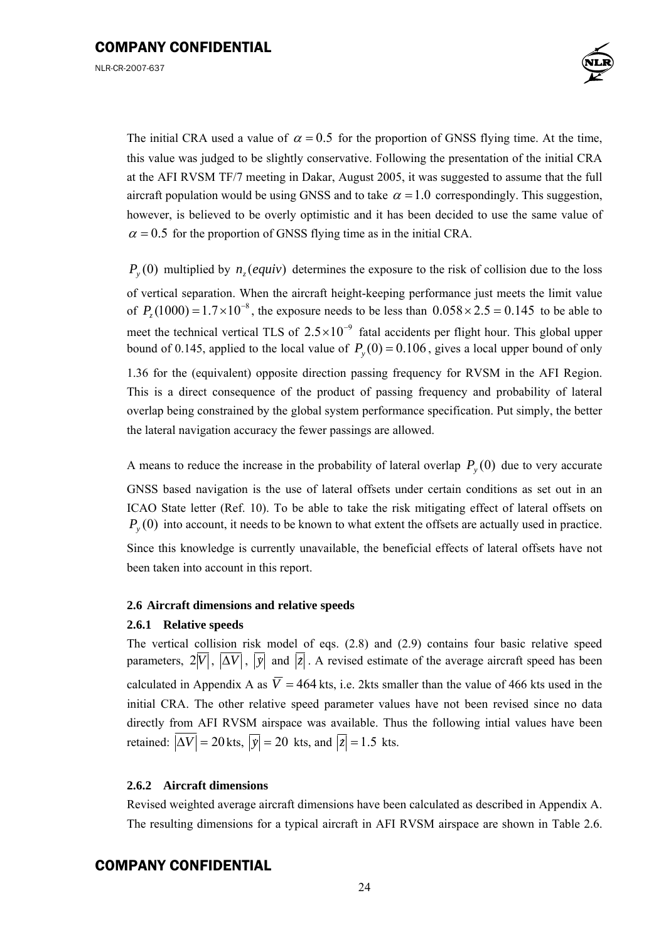

<span id="page-25-0"></span>The initial CRA used a value of  $\alpha = 0.5$  for the proportion of GNSS flying time. At the time, this value was judged to be slightly conservative. Following the presentation of the initial CRA at the AFI RVSM TF/7 meeting in Dakar, August 2005, it was suggested to assume that the full aircraft population would be using GNSS and to take  $\alpha = 1.0$  correspondingly. This suggestion, however, is believed to be overly optimistic and it has been decided to use the same value of  $\alpha$  = 0.5 for the proportion of GNSS flying time as in the initial CRA.

 $P_y(0)$  multiplied by  $n_e$  (*equiv*) determines the exposure to the risk of collision due to the loss of vertical separation. When the aircraft height-keeping performance just meets the limit value of  $P_{\rm z}(1000) = 1.7 \times 10^{-8}$ , the exposure needs to be less than  $0.058 \times 2.5 = 0.145$  to be able to meet the technical vertical TLS of  $2.5 \times 10^{-9}$  fatal accidents per flight hour. This global upper bound of 0.145, applied to the local value of  $P_y(0) = 0.106$ , gives a local upper bound of only 1.36 for the (equivalent) opposite direction passing frequency for RVSM in the AFI Region. This is a direct consequence of the product of passing frequency and probability of lateral overlap being constrained by the global system performance specification. Put simply, the better the lateral navigation accuracy the fewer passings are allowed.

A means to reduce the increase in the probability of lateral overlap  $P_y(0)$  due to very accurate

GNSS based navigation is the use of lateral offsets under certain conditions as set out in an ICAO State letter (Ref. 10). To be able to take the risk mitigating effect of lateral offsets on  $P_y(0)$  into account, it needs to be known to what extent the offsets are actually used in practice.

Since this knowledge is currently unavailable, the beneficial effects of lateral offsets have not been taken into account in this report.

#### **2.6 Aircraft dimensions and relative speeds**

#### **2.6.1 Relative speeds**

The vertical collision risk model of eqs. (2.8) and (2.9) contains four basic relative speed parameters,  $2|\overline{V}|$ ,  $\overline{|\Delta V|}$ ,  $\overline{|\overline{y}|}$  and  $\overline{z}$ . A revised estimate of the average aircraft speed has been calculated in Appendix A as  $\overline{V}$  = 464 kts, i.e. 2kts smaller than the value of 466 kts used in the initial CRA. The other relative speed parameter values have not been revised since no data directly from AFI RVSM airspace was available. Thus the following intial values have been retained:  $|\overline{\Delta V}| = 20$  kts,  $|\overline{y}| = 20$  kts, and  $|\overline{z}| = 1.5$  kts.

#### **2.6.2 Aircraft dimensions**

Revised weighted average aircraft dimensions have been calculated as described in Appendix A. The resulting dimensions for a typical aircraft in AFI RVSM airspace are shown in Table 2.6.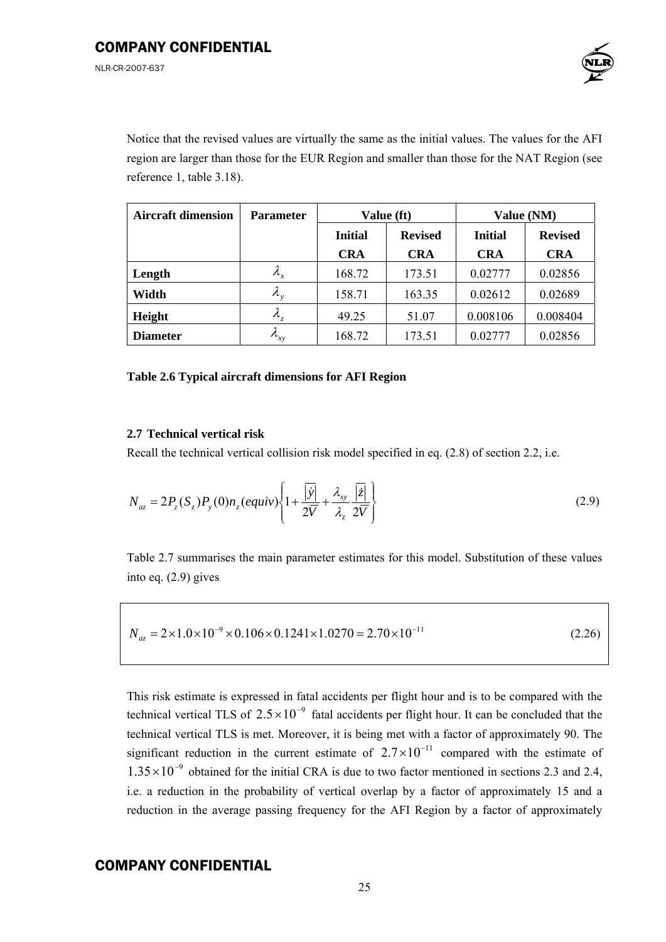

<span id="page-26-0"></span>Notice that the revised values are virtually the same as the initial values. The values for the AFI region are larger than those for the EUR Region and smaller than those for the NAT Region (see reference 1, table 3.18).

| <b>Aircraft dimension</b> | <b>Parameter</b>                          | Value (ft)     |                | Value (NM)     |                |
|---------------------------|-------------------------------------------|----------------|----------------|----------------|----------------|
|                           |                                           | <b>Initial</b> | <b>Revised</b> | <b>Initial</b> | <b>Revised</b> |
|                           |                                           | <b>CRA</b>     | <b>CRA</b>     | <b>CRA</b>     | <b>CRA</b>     |
| Length                    | $\lambda_{\scriptscriptstyle \mathcal X}$ | 168.72         | 173.51         | 0.02777        | 0.02856        |
| Width                     | $\lambda_{v}$                             | 158.71         | 163.35         | 0.02612        | 0.02689        |
| Height                    | $\lambda_z$                               | 49.25          | 51.07          | 0.008106       | 0.008404       |
| <b>Diameter</b>           | $\mathcal{L}_{xy}$                        | 168.72         | 173.51         | 0.02777        | 0.02856        |

**Table 2.6 Typical aircraft dimensions for AFI Region** 

### **2.7 Technical vertical risk**

Recall the technical vertical collision risk model specified in eq. (2.8) of section 2.2, i.e.

$$
N_{az} = 2P_z(S_z)P_y(0)n_z\left(\text{equiv}\nu\right)\left\{1 + \frac{\left|\overline{y}\right|}{2\overline{V}} + \frac{\lambda_{xy}}{\lambda_z} \frac{\left|\overline{z}\right|}{2\overline{V}}\right\} \tag{2.9}
$$

Table 2.7 summarises the main parameter estimates for this model. Substitution of these values into eq. (2.9) gives

$$
N_{az} = 2 \times 1.0 \times 10^{-9} \times 0.106 \times 0.1241 \times 1.0270 = 2.70 \times 10^{-11}
$$
\n(2.26)

This risk estimate is expressed in fatal accidents per flight hour and is to be compared with the technical vertical TLS of  $2.5 \times 10^{-9}$  fatal accidents per flight hour. It can be concluded that the technical vertical TLS is met. Moreover, it is being met with a factor of approximately 90. The significant reduction in the current estimate of  $2.7 \times 10^{-11}$  compared with the estimate of  $1.35 \times 10^{-9}$  obtained for the initial CRA is due to two factor mentioned in sections 2.3 and 2.4, i.e. a reduction in the probability of vertical overlap by a factor of approximately 15 and a reduction in the average passing frequency for the AFI Region by a factor of approximately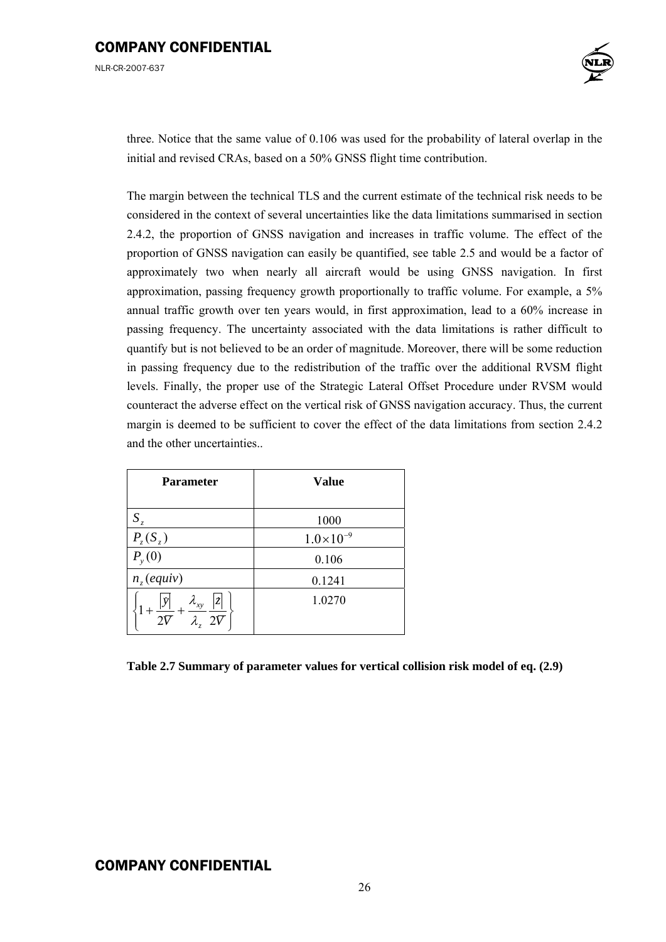

three. Notice that the same value of 0.106 was used for the probability of lateral overlap in the initial and revised CRAs, based on a 50% GNSS flight time contribution.

The margin between the technical TLS and the current estimate of the technical risk needs to be considered in the context of several uncertainties like the data limitations summarised in section 2.4.2, the proportion of GNSS navigation and increases in traffic volume. The effect of the proportion of GNSS navigation can easily be quantified, see table 2.5 and would be a factor of approximately two when nearly all aircraft would be using GNSS navigation. In first approximation, passing frequency growth proportionally to traffic volume. For example, a 5% annual traffic growth over ten years would, in first approximation, lead to a 60% increase in passing frequency. The uncertainty associated with the data limitations is rather difficult to quantify but is not believed to be an order of magnitude. Moreover, there will be some reduction in passing frequency due to the redistribution of the traffic over the additional RVSM flight levels. Finally, the proper use of the Strategic Lateral Offset Procedure under RVSM would counteract the adverse effect on the vertical risk of GNSS navigation accuracy. Thus, the current margin is deemed to be sufficient to cover the effect of the data limitations from section 2.4.2 and the other uncertainties..

| <b>Parameter</b>                                       | <b>Value</b>       |
|--------------------------------------------------------|--------------------|
| $S_z$                                                  | 1000               |
| $P_z(S_z)$                                             | $1.0\times10^{-9}$ |
| $P_{v}(0)$                                             | 0.106              |
| $n_z$ (equiv)                                          | 0.1241             |
| $\lambda_{xy}$<br>Ż,<br>$\lambda_z$<br>$2\overline{V}$ | 1.0270             |

**Table 2.7 Summary of parameter values for vertical collision risk model of eq. (2.9)**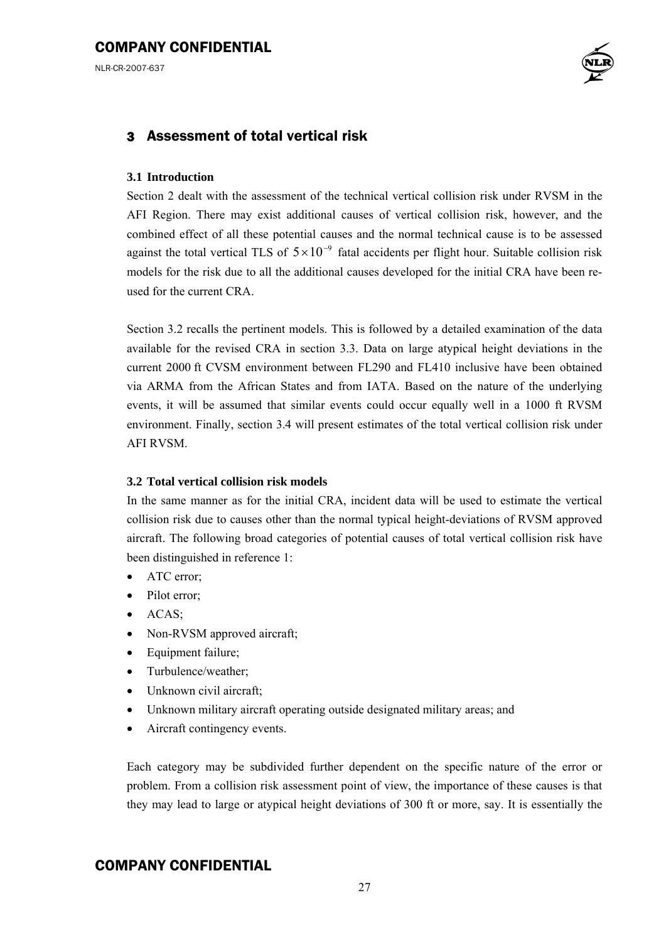<span id="page-28-0"></span>NLR-CR-2007-637



### 3 Assessment of total vertical risk

#### **3.1 Introduction**

Section 2 dealt with the assessment of the technical vertical collision risk under RVSM in the AFI Region. There may exist additional causes of vertical collision risk, however, and the combined effect of all these potential causes and the normal technical cause is to be assessed against the total vertical TLS of  $5 \times 10^{-9}$  fatal accidents per flight hour. Suitable collision risk models for the risk due to all the additional causes developed for the initial CRA have been reused for the current CRA.

Section 3.2 recalls the pertinent models. This is followed by a detailed examination of the data available for the revised CRA in section 3.3. Data on large atypical height deviations in the current 2000 ft CVSM environment between FL290 and FL410 inclusive have been obtained via ARMA from the African States and from IATA. Based on the nature of the underlying events, it will be assumed that similar events could occur equally well in a 1000 ft RVSM environment. Finally, section 3.4 will present estimates of the total vertical collision risk under AFI RVSM.

#### **3.2 Total vertical collision risk models**

In the same manner as for the initial CRA, incident data will be used to estimate the vertical collision risk due to causes other than the normal typical height-deviations of RVSM approved aircraft. The following broad categories of potential causes of total vertical collision risk have been distinguished in reference 1:

- ATC error;
- Pilot error;
- ACAS;
- Non-RVSM approved aircraft;
- Equipment failure;
- Turbulence/weather:
- Unknown civil aircraft;
- Unknown military aircraft operating outside designated military areas; and
- Aircraft contingency events.

Each category may be subdivided further dependent on the specific nature of the error or problem. From a collision risk assessment point of view, the importance of these causes is that they may lead to large or atypical height deviations of 300 ft or more, say. It is essentially the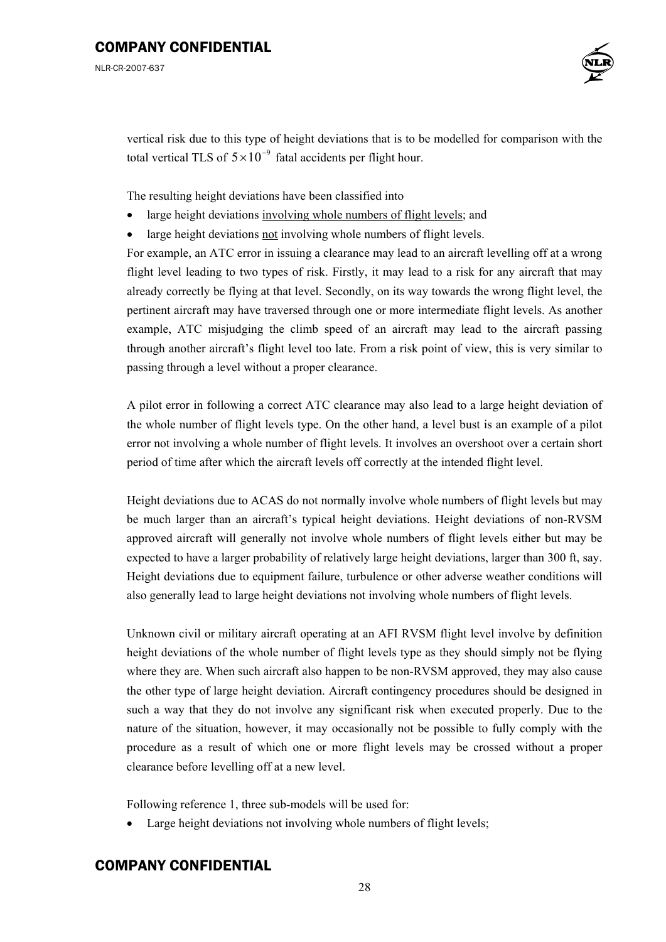

vertical risk due to this type of height deviations that is to be modelled for comparison with the total vertical TLS of  $5 \times 10^{-9}$  fatal accidents per flight hour.

The resulting height deviations have been classified into

- large height deviations involving whole numbers of flight levels; and
- large height deviations not involving whole numbers of flight levels.

For example, an ATC error in issuing a clearance may lead to an aircraft levelling off at a wrong flight level leading to two types of risk. Firstly, it may lead to a risk for any aircraft that may already correctly be flying at that level. Secondly, on its way towards the wrong flight level, the pertinent aircraft may have traversed through one or more intermediate flight levels. As another example, ATC misjudging the climb speed of an aircraft may lead to the aircraft passing through another aircraft's flight level too late. From a risk point of view, this is very similar to passing through a level without a proper clearance.

A pilot error in following a correct ATC clearance may also lead to a large height deviation of the whole number of flight levels type. On the other hand, a level bust is an example of a pilot error not involving a whole number of flight levels. It involves an overshoot over a certain short period of time after which the aircraft levels off correctly at the intended flight level.

Height deviations due to ACAS do not normally involve whole numbers of flight levels but may be much larger than an aircraft's typical height deviations. Height deviations of non-RVSM approved aircraft will generally not involve whole numbers of flight levels either but may be expected to have a larger probability of relatively large height deviations, larger than 300 ft, say. Height deviations due to equipment failure, turbulence or other adverse weather conditions will also generally lead to large height deviations not involving whole numbers of flight levels.

Unknown civil or military aircraft operating at an AFI RVSM flight level involve by definition height deviations of the whole number of flight levels type as they should simply not be flying where they are. When such aircraft also happen to be non-RVSM approved, they may also cause the other type of large height deviation. Aircraft contingency procedures should be designed in such a way that they do not involve any significant risk when executed properly. Due to the nature of the situation, however, it may occasionally not be possible to fully comply with the procedure as a result of which one or more flight levels may be crossed without a proper clearance before levelling off at a new level.

Following reference 1, three sub-models will be used for:

Large height deviations not involving whole numbers of flight levels;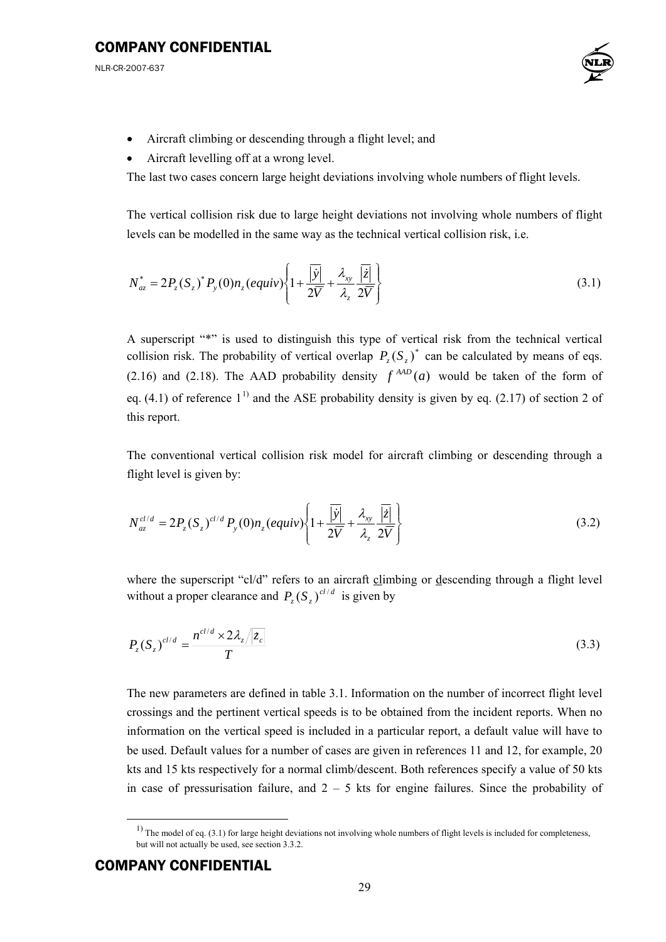

- <span id="page-30-0"></span>• Aircraft climbing or descending through a flight level; and
- Aircraft levelling off at a wrong level.

The last two cases concern large height deviations involving whole numbers of flight levels.

The vertical collision risk due to large height deviations not involving whole numbers of flight levels can be modelled in the same way as the technical vertical collision risk, i.e.

$$
N_{az}^{*} = 2P_{z}(S_{z})^{*} P_{y}(0) n_{z}(equiv \nu) \left\{ 1 + \frac{\overline{|\dot{y}|}}{2\overline{V}} + \frac{\lambda_{xy}}{\lambda_{z}} \frac{\overline{|\dot{z}|}}{2\overline{V}} \right\}
$$
(3.1)

A superscript "\*" is used to distinguish this type of vertical risk from the technical vertical collision risk. The probability of vertical overlap  $P_{a}(S_{a})^*$  can be calculated by means of eqs. (2.16) and (2.18). The AAD probability density  $f^{AAD}(a)$  would be taken of the form of eq.  $(4.1)$  $(4.1)$  $(4.1)$  of reference  $1<sup>1</sup>$  and the ASE probability density is given by eq. (2.17) of section 2 of this report.

The conventional vertical collision risk model for aircraft climbing or descending through a flight level is given by:

$$
N_{az}^{cl/d} = 2P_z(S_z)^{cl/d} P_y(0) n_z (equiv \sqrt{\frac{|\dot{y}|}{2\overline{V}} + \frac{\lambda_{xy}}{\lambda_z} \frac{|\overline{z}|}{2\overline{V}}} \Bigg\}
$$
(3.2)

where the superscript "cl/d" refers to an aircraft climbing or descending through a flight level without a proper clearance and  $P_z(S_z)^{cl/d}$  is given by

$$
P_z(S_z)^{cl/d} = \frac{n^{cl/d} \times 2\lambda_z / \langle z_c \rangle}{T}
$$
\n(3.3)

The new parameters are defined in table 3.1. Information on the number of incorrect flight level crossings and the pertinent vertical speeds is to be obtained from the incident reports. When no information on the vertical speed is included in a particular report, a default value will have to be used. Default values for a number of cases are given in references 11 and 12, for example, 20 kts and 15 kts respectively for a normal climb/descent. Both references specify a value of 50 kts in case of pressurisation failure, and  $2 - 5$  kts for engine failures. Since the probability of

<sup>&</sup>lt;sup>1)</sup> The model of eq.  $(3.1)$  for large height deviations not involving whole numbers of flight levels is included for completeness, but will not actually be used, see section 3.3.2.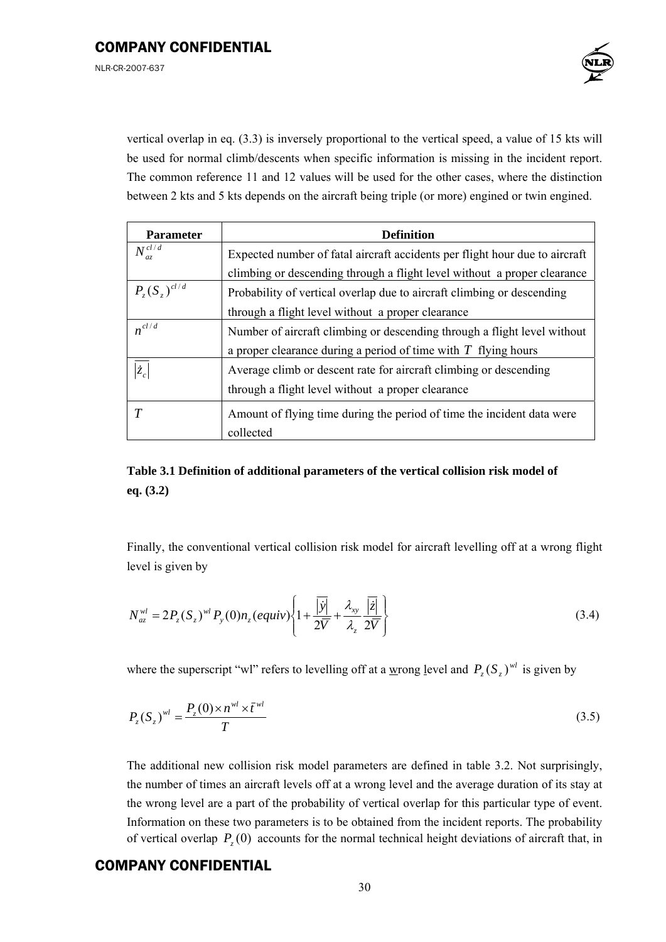

vertical overlap in eq. (3.3) is inversely proportional to the vertical speed, a value of 15 kts will be used for normal climb/descents when specific information is missing in the incident report. The common reference 11 and 12 values will be used for the other cases, where the distinction between 2 kts and 5 kts depends on the aircraft being triple (or more) engined or twin engined.

| <b>Parameter</b>             | <b>Definition</b>                                                           |
|------------------------------|-----------------------------------------------------------------------------|
| $N^{\mathit{cl}/\mathit{d}}$ | Expected number of fatal aircraft accidents per flight hour due to aircraft |
|                              | climbing or descending through a flight level without a proper clearance    |
| $P_z(S_z)^{cl/d}$            | Probability of vertical overlap due to aircraft climbing or descending      |
|                              | through a flight level without a proper clearance                           |
| $n^{cl/d}$                   | Number of aircraft climbing or descending through a flight level without    |
|                              | a proper clearance during a period of time with $T$ flying hours            |
| $ \dot{z}_c $                | Average climb or descent rate for aircraft climbing or descending           |
|                              | through a flight level without a proper clearance                           |
| T                            | Amount of flying time during the period of time the incident data were      |
|                              | collected                                                                   |

# **Table 3.1 Definition of additional parameters of the vertical collision risk model of eq. (3.2)**

Finally, the conventional vertical collision risk model for aircraft levelling off at a wrong flight level is given by

$$
N_{az}^{wl} = 2P_z(S_z)^{wl} P_y(0) n_z (equiv \sqrt{\frac{|\overline{y}|}{2\overline{V}}} + \frac{\lambda_{xy}}{\lambda_z} \frac{|\overline{\overline{z}|}}{2\overline{V}} \right)
$$
(3.4)

where the superscript "wl" refers to levelling off at a <u>wrong level and  $P_z(S_z)^{wl}$  is given by</u>

$$
P_z(S_z)^{wl} = \frac{P_z(0) \times n^{wl} \times \bar{t}^{wl}}{T}
$$
\n(3.5)

The additional new collision risk model parameters are defined in table 3.2. Not surprisingly, the number of times an aircraft levels off at a wrong level and the average duration of its stay at the wrong level are a part of the probability of vertical overlap for this particular type of event. Information on these two parameters is to be obtained from the incident reports. The probability of vertical overlap  $P<sub>z</sub>(0)$  accounts for the normal technical height deviations of aircraft that, in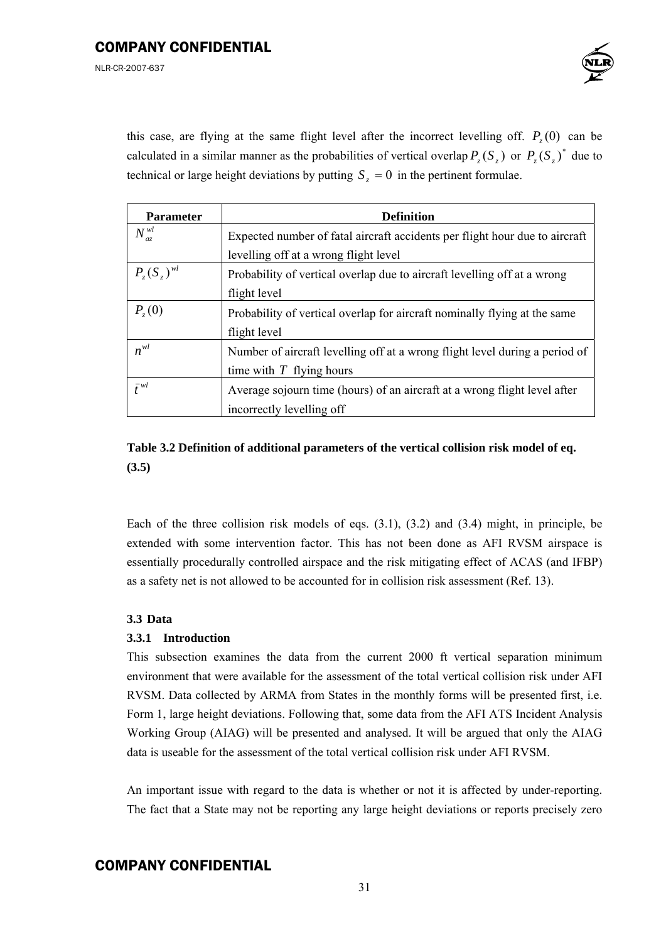

<span id="page-32-0"></span>this case, are flying at the same flight level after the incorrect levelling off.  $P<sub>z</sub>(0)$  can be calculated in a similar manner as the probabilities of vertical overlap  $P_z(S_z)$  or  $P_z(S_z)^*$  due to technical or large height deviations by putting  $S_z = 0$  in the pertinent formulae.

| <b>Parameter</b>                | <b>Definition</b>                                                           |
|---------------------------------|-----------------------------------------------------------------------------|
| $N_{\mathit{az}}^{\mathit{wl}}$ | Expected number of fatal aircraft accidents per flight hour due to aircraft |
|                                 | levelling off at a wrong flight level                                       |
| $P_{7}(S_{7})^{wl}$             | Probability of vertical overlap due to aircraft levelling off at a wrong    |
|                                 | flight level                                                                |
| $P_{7}(0)$                      | Probability of vertical overlap for aircraft nominally flying at the same   |
|                                 | flight level                                                                |
| $n^{wl}$                        | Number of aircraft levelling off at a wrong flight level during a period of |
|                                 | time with $T$ flying hours                                                  |
| $\overline{f}$ wl               | Average sojourn time (hours) of an aircraft at a wrong flight level after   |
|                                 | incorrectly levelling off                                                   |

**Table 3.2 Definition of additional parameters of the vertical collision risk model of eq. (3.5)** 

Each of the three collision risk models of eqs. (3.1), (3.2) and (3.4) might, in principle, be extended with some intervention factor. This has not been done as AFI RVSM airspace is essentially procedurally controlled airspace and the risk mitigating effect of ACAS (and IFBP) as a safety net is not allowed to be accounted for in collision risk assessment (Ref. 13).

### **3.3 Data**

#### **3.3.1 Introduction**

This subsection examines the data from the current 2000 ft vertical separation minimum environment that were available for the assessment of the total vertical collision risk under AFI RVSM. Data collected by ARMA from States in the monthly forms will be presented first, i.e. Form 1, large height deviations. Following that, some data from the AFI ATS Incident Analysis Working Group (AIAG) will be presented and analysed. It will be argued that only the AIAG data is useable for the assessment of the total vertical collision risk under AFI RVSM.

An important issue with regard to the data is whether or not it is affected by under-reporting. The fact that a State may not be reporting any large height deviations or reports precisely zero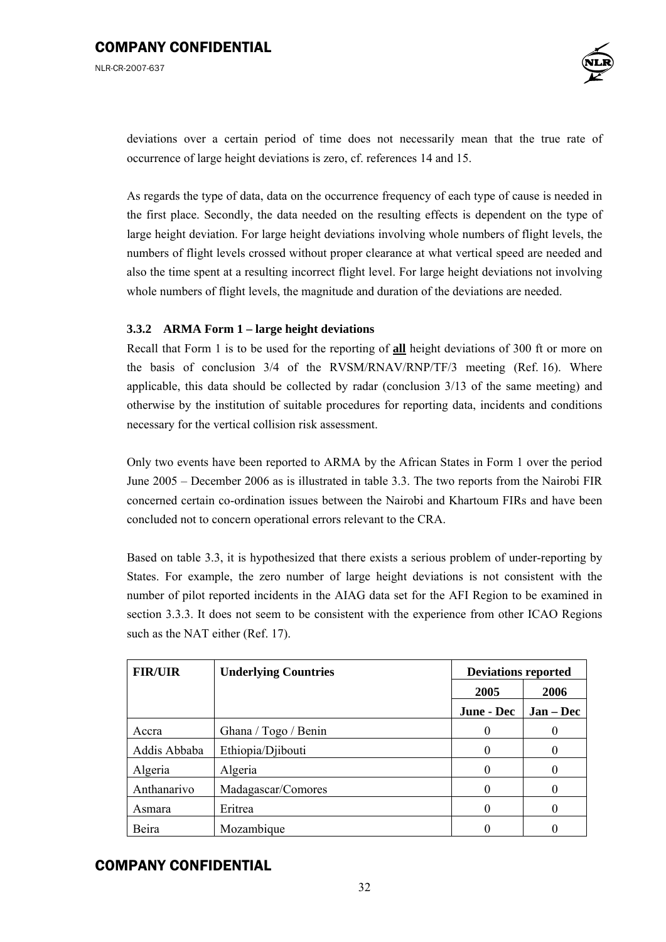

<span id="page-33-0"></span>deviations over a certain period of time does not necessarily mean that the true rate of occurrence of large height deviations is zero, cf. references 14 and 15.

As regards the type of data, data on the occurrence frequency of each type of cause is needed in the first place. Secondly, the data needed on the resulting effects is dependent on the type of large height deviation. For large height deviations involving whole numbers of flight levels, the numbers of flight levels crossed without proper clearance at what vertical speed are needed and also the time spent at a resulting incorrect flight level. For large height deviations not involving whole numbers of flight levels, the magnitude and duration of the deviations are needed.

### **3.3.2 ARMA Form 1 – large height deviations**

Recall that Form 1 is to be used for the reporting of **all** height deviations of 300 ft or more on the basis of conclusion 3/4 of the RVSM/RNAV/RNP/TF/3 meeting (Ref. 16). Where applicable, this data should be collected by radar (conclusion 3/13 of the same meeting) and otherwise by the institution of suitable procedures for reporting data, incidents and conditions necessary for the vertical collision risk assessment.

Only two events have been reported to ARMA by the African States in Form 1 over the period June 2005 – December 2006 as is illustrated in table 3.3. The two reports from the Nairobi FIR concerned certain co-ordination issues between the Nairobi and Khartoum FIRs and have been concluded not to concern operational errors relevant to the CRA.

Based on table 3.3, it is hypothesized that there exists a serious problem of under-reporting by States. For example, the zero number of large height deviations is not consistent with the number of pilot reported incidents in the AIAG data set for the AFI Region to be examined in section 3.3.3. It does not seem to be consistent with the experience from other ICAO Regions such as the NAT either (Ref. 17).

| <b>FIR/UIR</b> | <b>Underlying Countries</b> | <b>Deviations reported</b> |             |
|----------------|-----------------------------|----------------------------|-------------|
|                |                             | 2005                       | 2006        |
|                |                             | June - Dec                 | $Jan - Dec$ |
| Accra          | Ghana / Togo / Benin        | 0                          |             |
| Addis Abbaba   | Ethiopia/Djibouti           | $\theta$                   |             |
| Algeria        | Algeria                     | 0                          |             |
| Anthanarivo    | Madagascar/Comores          | 0                          |             |
| Asmara         | Eritrea                     | 0                          |             |
| Beira          | Mozambique                  |                            |             |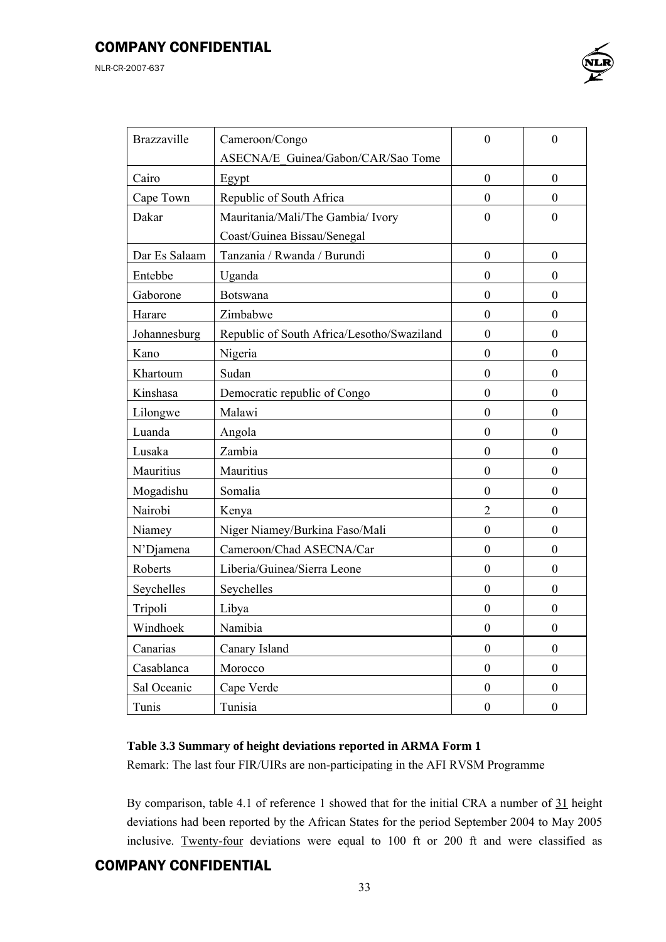NLR-CR-2007-637



| <b>Brazzaville</b> | Cameroon/Congo                             | $\theta$         | $\theta$         |
|--------------------|--------------------------------------------|------------------|------------------|
|                    | ASECNA/E Guinea/Gabon/CAR/Sao Tome         |                  |                  |
| Cairo              | Egypt                                      | $\boldsymbol{0}$ | $\boldsymbol{0}$ |
| Cape Town          | Republic of South Africa                   | $\boldsymbol{0}$ | $\boldsymbol{0}$ |
| Dakar              | Mauritania/Mali/The Gambia/ Ivory          | $\mathbf{0}$     | $\mathbf{0}$     |
|                    | Coast/Guinea Bissau/Senegal                |                  |                  |
| Dar Es Salaam      | Tanzania / Rwanda / Burundi                | $\boldsymbol{0}$ | $\boldsymbol{0}$ |
| Entebbe            | Uganda                                     | $\boldsymbol{0}$ | $\boldsymbol{0}$ |
| Gaborone           | <b>Botswana</b>                            | $\boldsymbol{0}$ | $\theta$         |
| Harare             | Zimbabwe                                   | $\boldsymbol{0}$ | $\boldsymbol{0}$ |
| Johannesburg       | Republic of South Africa/Lesotho/Swaziland | $\boldsymbol{0}$ | $\theta$         |
| Kano               | Nigeria                                    | $\boldsymbol{0}$ | $\boldsymbol{0}$ |
| Khartoum           | Sudan                                      | $\boldsymbol{0}$ | $\bf{0}$         |
| Kinshasa           | Democratic republic of Congo               | $\boldsymbol{0}$ | $\mathbf{0}$     |
| Lilongwe           | Malawi                                     | $\boldsymbol{0}$ | $\theta$         |
| Luanda             | Angola                                     | $\boldsymbol{0}$ | $\boldsymbol{0}$ |
| Lusaka             | Zambia                                     | $\boldsymbol{0}$ | $\theta$         |
| Mauritius          | Mauritius                                  | $\boldsymbol{0}$ | $\theta$         |
| Mogadishu          | Somalia                                    | $\boldsymbol{0}$ | $\mathbf{0}$     |
| Nairobi            | Kenya                                      | $\overline{2}$   | $\boldsymbol{0}$ |
| Niamey             | Niger Niamey/Burkina Faso/Mali             | $\boldsymbol{0}$ | $\theta$         |
| N'Djamena          | Cameroon/Chad ASECNA/Car                   | $\boldsymbol{0}$ | $\boldsymbol{0}$ |
| Roberts            | Liberia/Guinea/Sierra Leone                | $\boldsymbol{0}$ | $\theta$         |
| Seychelles         | Seychelles                                 | $\boldsymbol{0}$ | $\boldsymbol{0}$ |
| Tripoli            | Libya                                      | $\boldsymbol{0}$ | $\boldsymbol{0}$ |
| Windhoek           | Namibia                                    | $\boldsymbol{0}$ | $\boldsymbol{0}$ |
| Canarias           | Canary Island                              | $\boldsymbol{0}$ | $\boldsymbol{0}$ |
| Casablanca         | Morocco                                    | $\boldsymbol{0}$ | $\boldsymbol{0}$ |
| Sal Oceanic        | Cape Verde                                 | $\boldsymbol{0}$ | $\boldsymbol{0}$ |
| Tunis              | Tunisia                                    | $\boldsymbol{0}$ | $\boldsymbol{0}$ |

### **Table 3.3 Summary of height deviations reported in ARMA Form 1**

Remark: The last four FIR/UIRs are non-participating in the AFI RVSM Programme

By comparison, table 4.1 of reference 1 showed that for the initial CRA a number of 31 height deviations had been reported by the African States for the period September 2004 to May 2005 inclusive. Twenty-four deviations were equal to 100 ft or 200 ft and were classified as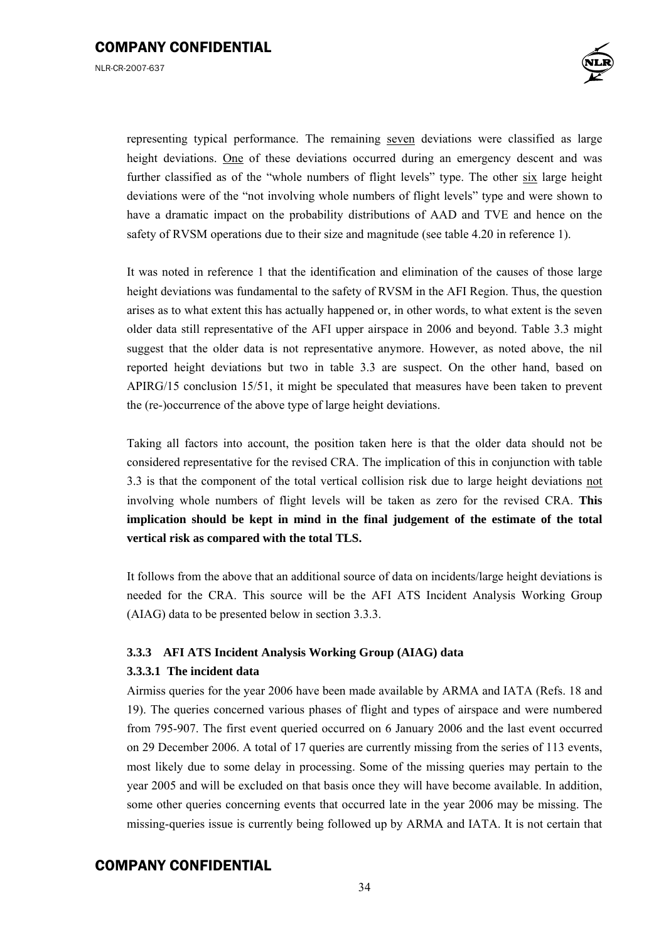

<span id="page-35-0"></span>representing typical performance. The remaining seven deviations were classified as large height deviations. One of these deviations occurred during an emergency descent and was further classified as of the "whole numbers of flight levels" type. The other six large height deviations were of the "not involving whole numbers of flight levels" type and were shown to have a dramatic impact on the probability distributions of AAD and TVE and hence on the safety of RVSM operations due to their size and magnitude (see table 4.20 in reference 1).

It was noted in reference 1 that the identification and elimination of the causes of those large height deviations was fundamental to the safety of RVSM in the AFI Region. Thus, the question arises as to what extent this has actually happened or, in other words, to what extent is the seven older data still representative of the AFI upper airspace in 2006 and beyond. Table 3.3 might suggest that the older data is not representative anymore. However, as noted above, the nil reported height deviations but two in table 3.3 are suspect. On the other hand, based on APIRG/15 conclusion 15/51, it might be speculated that measures have been taken to prevent the (re-)occurrence of the above type of large height deviations.

Taking all factors into account, the position taken here is that the older data should not be considered representative for the revised CRA. The implication of this in conjunction with table 3.3 is that the component of the total vertical collision risk due to large height deviations not involving whole numbers of flight levels will be taken as zero for the revised CRA. **This implication should be kept in mind in the final judgement of the estimate of the total vertical risk as compared with the total TLS.**

It follows from the above that an additional source of data on incidents/large height deviations is needed for the CRA. This source will be the AFI ATS Incident Analysis Working Group (AIAG) data to be presented below in section 3.3.3.

### **3.3.3 AFI ATS Incident Analysis Working Group (AIAG) data**

#### **3.3.3.1 The incident data**

Airmiss queries for the year 2006 have been made available by ARMA and IATA (Refs. 18 and 19). The queries concerned various phases of flight and types of airspace and were numbered from 795-907. The first event queried occurred on 6 January 2006 and the last event occurred on 29 December 2006. A total of 17 queries are currently missing from the series of 113 events, most likely due to some delay in processing. Some of the missing queries may pertain to the year 2005 and will be excluded on that basis once they will have become available. In addition, some other queries concerning events that occurred late in the year 2006 may be missing. The missing-queries issue is currently being followed up by ARMA and IATA. It is not certain that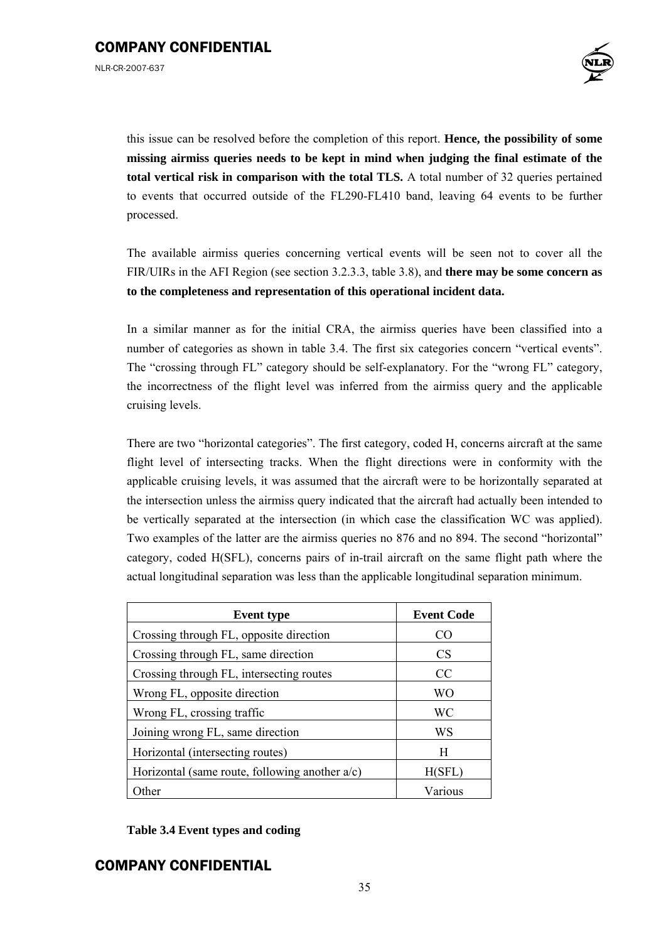

this issue can be resolved before the completion of this report. **Hence, the possibility of some missing airmiss queries needs to be kept in mind when judging the final estimate of the total vertical risk in comparison with the total TLS.** A total number of 32 queries pertained to events that occurred outside of the FL290-FL410 band, leaving 64 events to be further processed.

The available airmiss queries concerning vertical events will be seen not to cover all the FIR/UIRs in the AFI Region (see section 3.2.3.3, table 3.8), and **there may be some concern as to the completeness and representation of this operational incident data.**

In a similar manner as for the initial CRA, the airmiss queries have been classified into a number of categories as shown in table 3.4. The first six categories concern "vertical events". The "crossing through FL" category should be self-explanatory. For the "wrong FL" category, the incorrectness of the flight level was inferred from the airmiss query and the applicable cruising levels.

There are two "horizontal categories". The first category, coded H, concerns aircraft at the same flight level of intersecting tracks. When the flight directions were in conformity with the applicable cruising levels, it was assumed that the aircraft were to be horizontally separated at the intersection unless the airmiss query indicated that the aircraft had actually been intended to be vertically separated at the intersection (in which case the classification WC was applied). Two examples of the latter are the airmiss queries no 876 and no 894. The second "horizontal" category, coded H(SFL), concerns pairs of in-trail aircraft on the same flight path where the actual longitudinal separation was less than the applicable longitudinal separation minimum.

| <b>Event type</b>                              | <b>Event Code</b> |
|------------------------------------------------|-------------------|
| Crossing through FL, opposite direction        | CO                |
| Crossing through FL, same direction            | CS                |
| Crossing through FL, intersecting routes       | CC                |
| Wrong FL, opposite direction                   | WО                |
| Wrong FL, crossing traffic                     | WC                |
| Joining wrong FL, same direction               | WS                |
| Horizontal (intersecting routes)               | H                 |
| Horizontal (same route, following another a/c) | H(SFL)            |
| Other                                          | Various           |

### **Table 3.4 Event types and coding**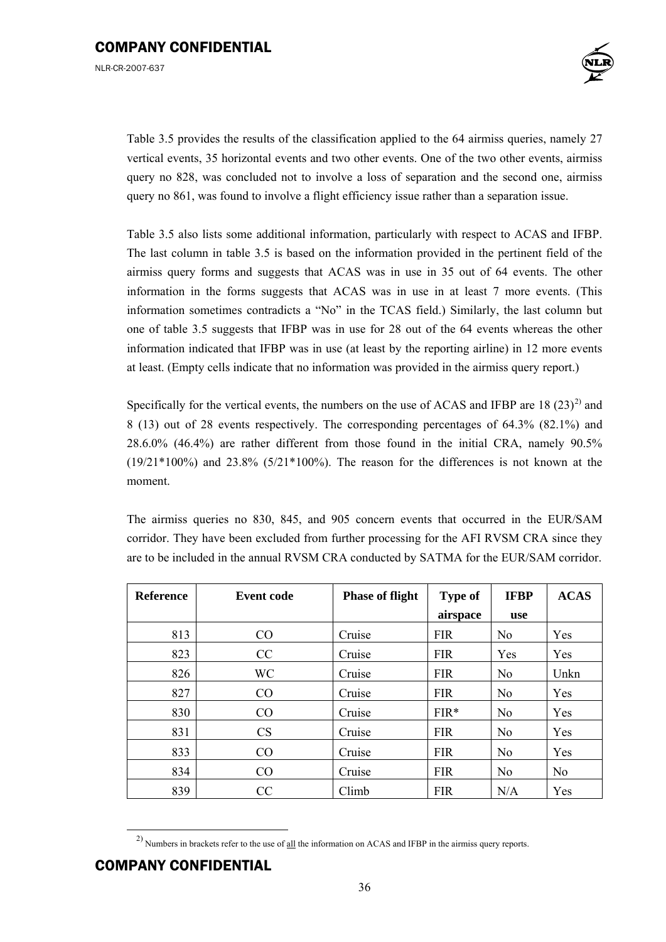

<span id="page-37-0"></span>Table 3.5 provides the results of the classification applied to the 64 airmiss queries, namely 27 vertical events, 35 horizontal events and two other events. One of the two other events, airmiss query no 828, was concluded not to involve a loss of separation and the second one, airmiss query no 861, was found to involve a flight efficiency issue rather than a separation issue.

Table 3.5 also lists some additional information, particularly with respect to ACAS and IFBP. The last column in table 3.5 is based on the information provided in the pertinent field of the airmiss query forms and suggests that ACAS was in use in 35 out of 64 events. The other information in the forms suggests that ACAS was in use in at least 7 more events. (This information sometimes contradicts a "No" in the TCAS field.) Similarly, the last column but one of table 3.5 suggests that IFBP was in use for 28 out of the 64 events whereas the other information indicated that IFBP was in use (at least by the reporting airline) in 12 more events at least. (Empty cells indicate that no information was provided in the airmiss query report.)

Specifically for the vertical events, the numbers on the use of ACAS and IFBP are  $18 (23)^2$  and 8 (13) out of 28 events respectively. The corresponding percentages of 64.3% (82.1%) and 28.6.0% (46.4%) are rather different from those found in the initial CRA, namely 90.5%  $(19/21*100%)$  and  $23.8%$   $(5/21*100%)$ . The reason for the differences is not known at the moment.

The airmiss queries no 830, 845, and 905 concern events that occurred in the EUR/SAM corridor. They have been excluded from further processing for the AFI RVSM CRA since they are to be included in the annual RVSM CRA conducted by SATMA for the EUR/SAM corridor.

| <b>Reference</b> | <b>Event code</b> | <b>Phase of flight</b> | <b>Type of</b> | <b>IFBP</b>    | <b>ACAS</b>    |
|------------------|-------------------|------------------------|----------------|----------------|----------------|
|                  |                   |                        | airspace       | use            |                |
| 813              | CO                | Cruise                 | <b>FIR</b>     | N <sub>0</sub> | Yes            |
| 823              | CC                | Cruise                 | <b>FIR</b>     | Yes            | Yes            |
| 826              | <b>WC</b>         | Cruise                 | <b>FIR</b>     | N <sub>0</sub> | Unkn           |
| 827              | CO                | Cruise                 | <b>FIR</b>     | N <sub>0</sub> | Yes            |
| 830              | C <sub>O</sub>    | Cruise                 | $FIR*$         | N <sub>0</sub> | Yes            |
| 831              | <b>CS</b>         | Cruise                 | <b>FIR</b>     | N <sub>0</sub> | Yes            |
| 833              | CO                | Cruise                 | <b>FIR</b>     | N <sub>0</sub> | Yes            |
| 834              | C <sub>O</sub>    | Cruise                 | <b>FIR</b>     | N <sub>0</sub> | N <sub>0</sub> |
| 839              | CC                | Climb                  | <b>FIR</b>     | N/A            | Yes            |

<sup>&</sup>lt;sup>2)</sup> Numbers in brackets refer to the use of <u>all</u> the information on ACAS and IFBP in the airmiss query reports.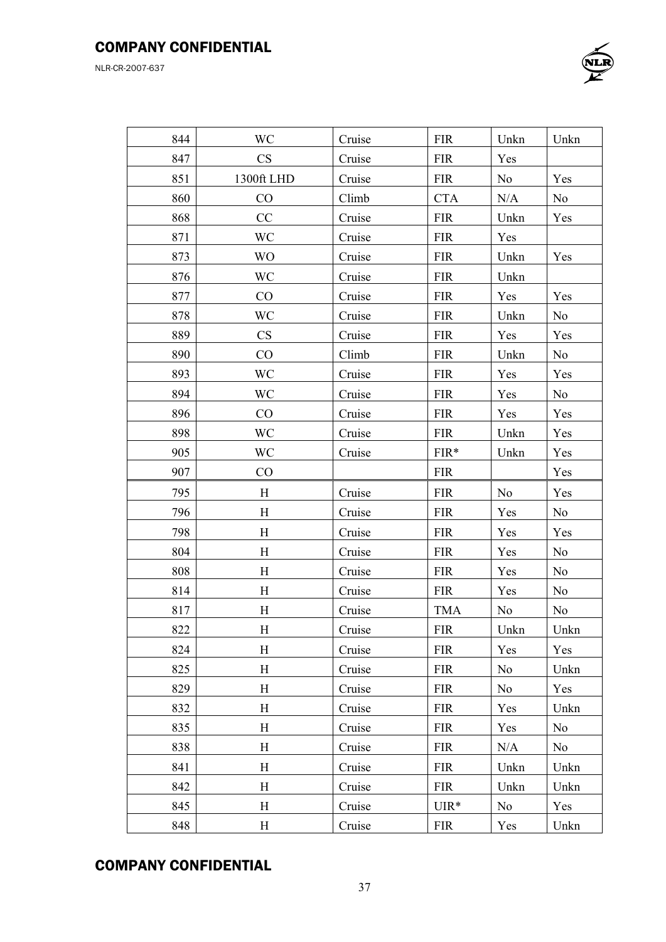NLR-CR-2007-637



| 844 | <b>WC</b>                 | Cruise | <b>FIR</b> | Unkn           | Unkn           |
|-----|---------------------------|--------|------------|----------------|----------------|
| 847 | CS                        | Cruise | <b>FIR</b> | Yes            |                |
| 851 | 1300ft LHD                | Cruise | <b>FIR</b> | No             | Yes            |
| 860 | CO                        | Climb  | <b>CTA</b> | N/A            | N <sub>o</sub> |
| 868 | CC                        | Cruise | <b>FIR</b> | Unkn           | Yes            |
| 871 | <b>WC</b>                 | Cruise | <b>FIR</b> | Yes            |                |
| 873 | <b>WO</b>                 | Cruise | <b>FIR</b> | Unkn           | Yes            |
| 876 | <b>WC</b>                 | Cruise | <b>FIR</b> | Unkn           |                |
| 877 | CO                        | Cruise | <b>FIR</b> | Yes            | Yes            |
| 878 | <b>WC</b>                 | Cruise | <b>FIR</b> | Unkn           | N <sub>0</sub> |
| 889 | <b>CS</b>                 | Cruise | <b>FIR</b> | Yes            | Yes            |
| 890 | CO                        | Climb  | <b>FIR</b> | Unkn           | N <sub>0</sub> |
| 893 | <b>WC</b>                 | Cruise | <b>FIR</b> | Yes            | Yes            |
| 894 | <b>WC</b>                 | Cruise | <b>FIR</b> | Yes            | N <sub>0</sub> |
| 896 | CO                        | Cruise | <b>FIR</b> | Yes            | Yes            |
| 898 | <b>WC</b>                 | Cruise | <b>FIR</b> | Unkn           | Yes            |
| 905 | <b>WC</b>                 | Cruise | $FIR*$     | Unkn           | Yes            |
| 907 | CO                        |        | <b>FIR</b> |                | Yes            |
| 795 | H                         | Cruise | <b>FIR</b> | N <sub>0</sub> | Yes            |
| 796 | H                         | Cruise | <b>FIR</b> | Yes            | N <sub>0</sub> |
| 798 | H                         | Cruise | <b>FIR</b> | Yes            | Yes            |
| 804 | H                         | Cruise | <b>FIR</b> | Yes            | N <sub>0</sub> |
| 808 | H                         | Cruise | <b>FIR</b> | Yes            | N <sub>0</sub> |
| 814 | H                         | Cruise | <b>FIR</b> | Yes            | N <sub>0</sub> |
| 817 | $\boldsymbol{\mathrm{H}}$ | Cruise | <b>TMA</b> | No             | N <sub>0</sub> |
| 822 | $H_{\rm}$                 | Cruise | <b>FIR</b> | Unkn           | Unkn           |
| 824 | H                         | Cruise | <b>FIR</b> | Yes            | Yes            |
| 825 | H                         | Cruise | <b>FIR</b> | N <sub>o</sub> | Unkn           |
| 829 | H                         | Cruise | <b>FIR</b> | No             | Yes            |
| 832 | H                         | Cruise | <b>FIR</b> | Yes            | Unkn           |
| 835 | H                         | Cruise | <b>FIR</b> | Yes            | N <sub>0</sub> |
| 838 | H                         | Cruise | <b>FIR</b> | N/A            | N <sub>o</sub> |
| 841 | H                         | Cruise | <b>FIR</b> | Unkn           | Unkn           |
| 842 | H                         | Cruise | <b>FIR</b> | Unkn           | Unkn           |
| 845 | H                         | Cruise | $UIR*$     | N <sub>0</sub> | Yes            |
| 848 | H                         | Cruise | <b>FIR</b> | Yes            | Unkn           |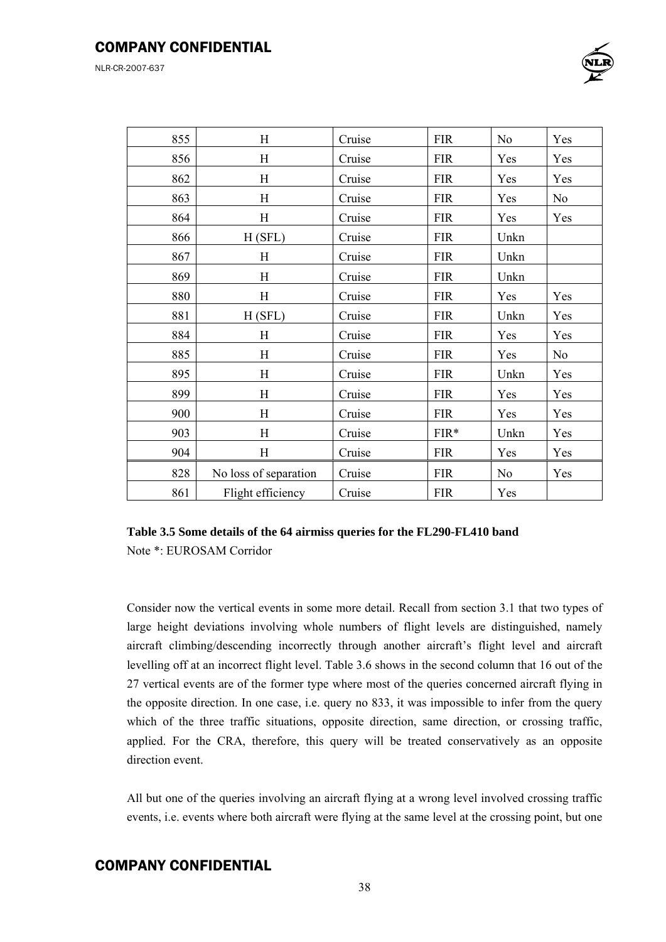NLR-CR-2007-637



| 855 | H                     | Cruise | <b>FIR</b> | N <sub>0</sub> | Yes            |
|-----|-----------------------|--------|------------|----------------|----------------|
| 856 | H                     | Cruise | <b>FIR</b> | Yes            | Yes            |
| 862 | H                     | Cruise | <b>FIR</b> | Yes            | Yes            |
| 863 | H                     | Cruise | <b>FIR</b> | Yes            | N <sub>0</sub> |
| 864 | H                     | Cruise | <b>FIR</b> | Yes            | Yes            |
| 866 | H(SFL)                | Cruise | <b>FIR</b> | Unkn           |                |
| 867 | H                     | Cruise | <b>FIR</b> | Unkn           |                |
| 869 | $H_{\rm}$             | Cruise | <b>FIR</b> | Unkn           |                |
| 880 | H                     | Cruise | <b>FIR</b> | Yes            | Yes            |
| 881 | H(SFL)                | Cruise | <b>FIR</b> | Unkn           | Yes            |
| 884 | $H_{\rm}$             | Cruise | <b>FIR</b> | Yes            | Yes            |
| 885 | Η                     | Cruise | <b>FIR</b> | Yes            | N <sub>0</sub> |
| 895 | H                     | Cruise | <b>FIR</b> | Unkn           | Yes            |
| 899 | $H_{\rm}$             | Cruise | <b>FIR</b> | Yes            | Yes            |
| 900 | $\mathbf H$           | Cruise | <b>FIR</b> | Yes            | Yes            |
| 903 | Η                     | Cruise | $FIR*$     | Unkn           | Yes            |
| 904 | H                     | Cruise | <b>FIR</b> | Yes            | Yes            |
| 828 | No loss of separation | Cruise | <b>FIR</b> | N <sub>0</sub> | Yes            |
| 861 | Flight efficiency     | Cruise | <b>FIR</b> | Yes            |                |
|     |                       |        |            |                |                |

**Table 3.5 Some details of the 64 airmiss queries for the FL290-FL410 band**  Note \*: EUROSAM Corridor

Consider now the vertical events in some more detail. Recall from section 3.1 that two types of large height deviations involving whole numbers of flight levels are distinguished, namely aircraft climbing/descending incorrectly through another aircraft's flight level and aircraft levelling off at an incorrect flight level. Table 3.6 shows in the second column that 16 out of the 27 vertical events are of the former type where most of the queries concerned aircraft flying in the opposite direction. In one case, i.e. query no 833, it was impossible to infer from the query which of the three traffic situations, opposite direction, same direction, or crossing traffic, applied. For the CRA, therefore, this query will be treated conservatively as an opposite direction event.

All but one of the queries involving an aircraft flying at a wrong level involved crossing traffic events, i.e. events where both aircraft were flying at the same level at the crossing point, but one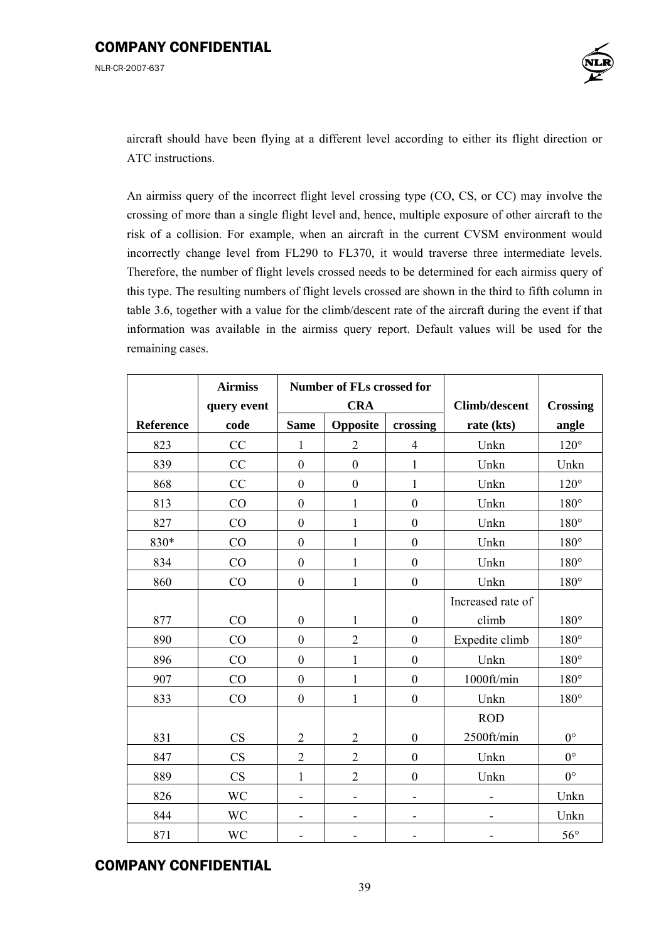

aircraft should have been flying at a different level according to either its flight direction or ATC instructions.

An airmiss query of the incorrect flight level crossing type (CO, CS, or CC) may involve the crossing of more than a single flight level and, hence, multiple exposure of other aircraft to the risk of a collision. For example, when an aircraft in the current CVSM environment would incorrectly change level from FL290 to FL370, it would traverse three intermediate levels. Therefore, the number of flight levels crossed needs to be determined for each airmiss query of this type. The resulting numbers of flight levels crossed are shown in the third to fifth column in table 3.6, together with a value for the climb/descent rate of the aircraft during the event if that information was available in the airmiss query report. Default values will be used for the remaining cases.

|           | <b>Airmiss</b> | <b>Number of FLs crossed for</b> |                  |                  |                      |                 |
|-----------|----------------|----------------------------------|------------------|------------------|----------------------|-----------------|
|           | query event    |                                  | <b>CRA</b>       |                  | <b>Climb/descent</b> | <b>Crossing</b> |
| Reference | code           | <b>Same</b>                      | Opposite         | crossing         | rate (kts)           | angle           |
| 823       | CC             | $\mathbf{1}$                     | $\overline{2}$   | $\overline{4}$   | Unkn                 | $120^\circ$     |
| 839       | CC             | $\boldsymbol{0}$                 | $\boldsymbol{0}$ | $\mathbf{1}$     | Unkn                 | Unkn            |
| 868       | CC             | $\boldsymbol{0}$                 | $\boldsymbol{0}$ | $\mathbf{1}$     | Unkn                 | $120^\circ$     |
| 813       | CO             | $\boldsymbol{0}$                 | $\mathbf{1}$     | $\boldsymbol{0}$ | Unkn                 | $180^\circ$     |
| 827       | CO             | $\mathbf{0}$                     | 1                | $\boldsymbol{0}$ | Unkn                 | $180^\circ$     |
| 830*      | CO             | $\boldsymbol{0}$                 | 1                | $\boldsymbol{0}$ | Unkn                 | $180^\circ$     |
| 834       | CO             | $\boldsymbol{0}$                 | 1                | $\mathbf{0}$     | Unkn                 | $180^{\circ}$   |
| 860       | CO             | $\boldsymbol{0}$                 | $\mathbf{1}$     | $\boldsymbol{0}$ | Unkn                 | $180^\circ$     |
|           |                |                                  |                  |                  | Increased rate of    |                 |
| 877       | CO             | $\boldsymbol{0}$                 | 1                | $\boldsymbol{0}$ | climb                | $180^\circ$     |
| 890       | CO             | $\boldsymbol{0}$                 | $\overline{2}$   | $\boldsymbol{0}$ | Expedite climb       | $180^\circ$     |
| 896       | CO             | $\boldsymbol{0}$                 | $\mathbf{1}$     | $\boldsymbol{0}$ | Unkn                 | $180^\circ$     |
| 907       | CO             | $\boldsymbol{0}$                 | $\mathbf{1}$     | $\boldsymbol{0}$ | 1000ft/min           | $180^\circ$     |
| 833       | CO             | $\boldsymbol{0}$                 | $\mathbf{1}$     | $\boldsymbol{0}$ | Unkn                 | $180^\circ$     |
|           |                |                                  |                  |                  | <b>ROD</b>           |                 |
| 831       | CS             | $\overline{2}$                   | $\overline{2}$   | $\boldsymbol{0}$ | 2500ft/min           | $0^{\circ}$     |
| 847       | CS             | $\overline{2}$                   | $\overline{2}$   | $\boldsymbol{0}$ | Unkn                 | $0^{\circ}$     |
| 889       | CS             | $\mathbf{1}$                     | $\overline{2}$   | $\boldsymbol{0}$ | Unkn                 | $0^{\circ}$     |
| 826       | <b>WC</b>      | $\qquad \qquad \blacksquare$     |                  | -                |                      | Unkn            |
| 844       | <b>WC</b>      | $\overline{\phantom{0}}$         |                  |                  |                      | Unkn            |
| 871       | <b>WC</b>      | ۰                                |                  |                  |                      | $56^{\circ}$    |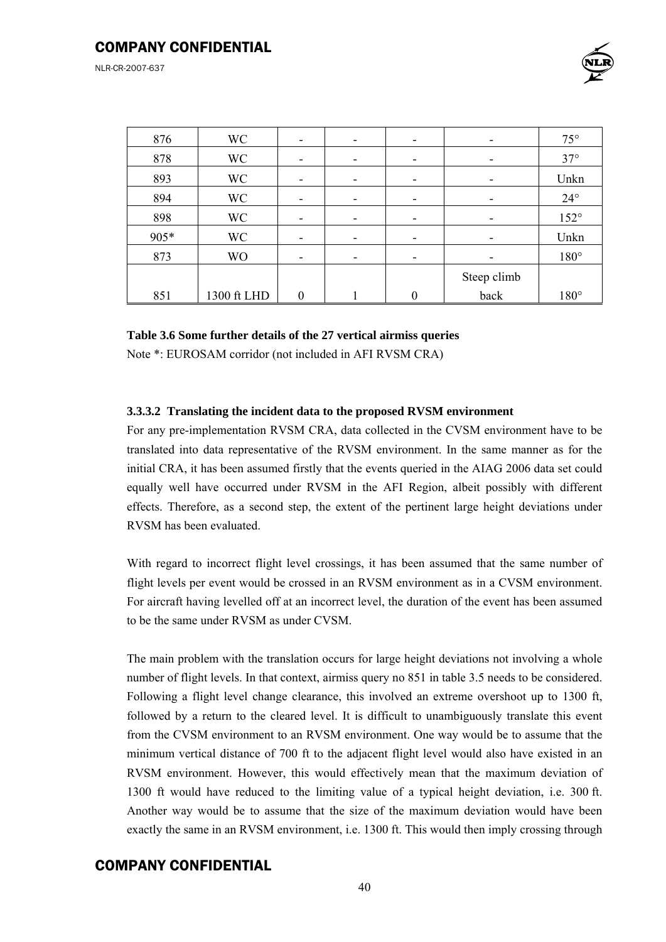NLR-CR-2007-637



| 876  | <b>WC</b>   | ٠                | ۰ | ۰ | -           | $75^{\circ}$  |
|------|-------------|------------------|---|---|-------------|---------------|
| 878  | <b>WC</b>   |                  | ۰ | - | ۰           | $37^\circ$    |
| 893  | <b>WC</b>   | ۰                | ۰ | - | ۰           | Unkn          |
| 894  | WC          |                  |   | - | -           | $24^{\circ}$  |
| 898  | WC          |                  | - | ۰ | ۰           | $152^\circ$   |
| 905* | <b>WC</b>   |                  |   | - | -           | Unkn          |
| 873  | <b>WO</b>   |                  |   | ۰ | -           | $180^{\circ}$ |
|      |             |                  |   |   | Steep climb |               |
| 851  | 1300 ft LHD | $\boldsymbol{0}$ |   | 0 | back        | 180°          |

#### **Table 3.6 Some further details of the 27 vertical airmiss queries**

Note \*: EUROSAM corridor (not included in AFI RVSM CRA)

### **3.3.3.2 Translating the incident data to the proposed RVSM environment**

For any pre-implementation RVSM CRA, data collected in the CVSM environment have to be translated into data representative of the RVSM environment. In the same manner as for the initial CRA, it has been assumed firstly that the events queried in the AIAG 2006 data set could equally well have occurred under RVSM in the AFI Region, albeit possibly with different effects. Therefore, as a second step, the extent of the pertinent large height deviations under RVSM has been evaluated.

With regard to incorrect flight level crossings, it has been assumed that the same number of flight levels per event would be crossed in an RVSM environment as in a CVSM environment. For aircraft having levelled off at an incorrect level, the duration of the event has been assumed to be the same under RVSM as under CVSM.

The main problem with the translation occurs for large height deviations not involving a whole number of flight levels. In that context, airmiss query no 851 in table 3.5 needs to be considered. Following a flight level change clearance, this involved an extreme overshoot up to 1300 ft, followed by a return to the cleared level. It is difficult to unambiguously translate this event from the CVSM environment to an RVSM environment. One way would be to assume that the minimum vertical distance of 700 ft to the adjacent flight level would also have existed in an RVSM environment. However, this would effectively mean that the maximum deviation of 1300 ft would have reduced to the limiting value of a typical height deviation, i.e. 300 ft. Another way would be to assume that the size of the maximum deviation would have been exactly the same in an RVSM environment, i.e. 1300 ft. This would then imply crossing through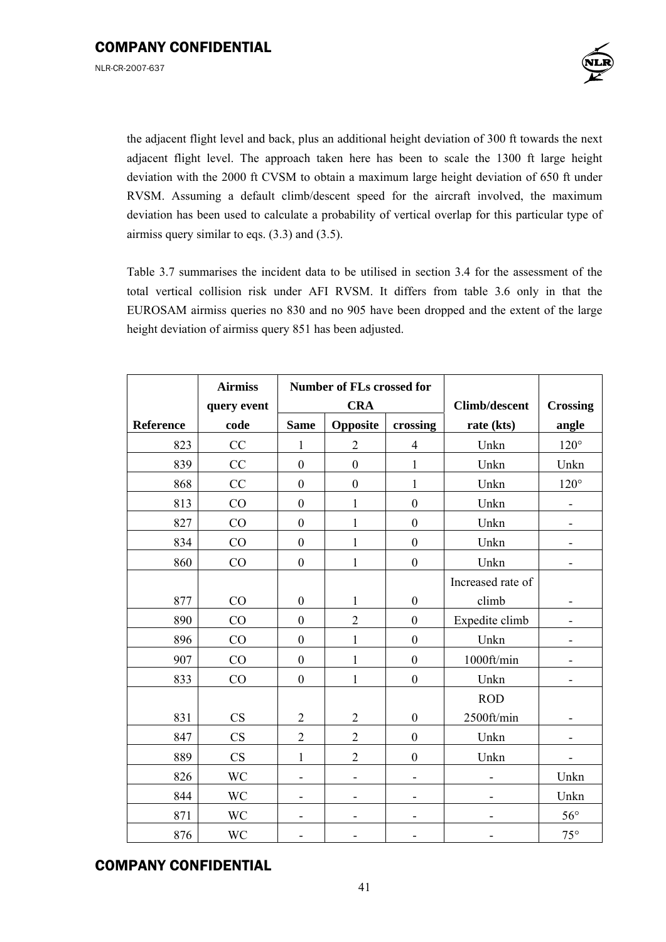

the adjacent flight level and back, plus an additional height deviation of 300 ft towards the next adjacent flight level. The approach taken here has been to scale the 1300 ft large height deviation with the 2000 ft CVSM to obtain a maximum large height deviation of 650 ft under RVSM. Assuming a default climb/descent speed for the aircraft involved, the maximum deviation has been used to calculate a probability of vertical overlap for this particular type of airmiss query similar to eqs. (3.3) and (3.5).

Table 3.7 summarises the incident data to be utilised in section 3.4 for the assessment of the total vertical collision risk under AFI RVSM. It differs from table 3.6 only in that the EUROSAM airmiss queries no 830 and no 905 have been dropped and the extent of the large height deviation of airmiss query 851 has been adjusted.

|           | <b>Airmiss</b> | <b>Number of FLs crossed for</b> |                          |                  |                   |                 |
|-----------|----------------|----------------------------------|--------------------------|------------------|-------------------|-----------------|
|           | query event    |                                  | <b>CRA</b>               |                  | Climb/descent     | <b>Crossing</b> |
| Reference | code           | <b>Same</b>                      | Opposite                 | crossing         | rate (kts)        | angle           |
| 823       | CC             | $\mathbf{1}$                     | $\overline{2}$           | $\overline{4}$   | Unkn              | $120^{\circ}$   |
| 839       | CC             | $\boldsymbol{0}$                 | $\boldsymbol{0}$         | $\mathbf{1}$     | Unkn              | Unkn            |
| 868       | CC             | $\boldsymbol{0}$                 | $\boldsymbol{0}$         | 1                | Unkn              | $120^{\circ}$   |
| 813       | CO             | $\boldsymbol{0}$                 | 1                        | $\boldsymbol{0}$ | Unkn              |                 |
| 827       | CO             | $\boldsymbol{0}$                 | $\mathbf{1}$             | $\boldsymbol{0}$ | Unkn              |                 |
| 834       | CO             | $\boldsymbol{0}$                 | $\mathbf{1}$             | $\boldsymbol{0}$ | Unkn              |                 |
| 860       | CO             | $\boldsymbol{0}$                 | 1                        | $\boldsymbol{0}$ | Unkn              |                 |
|           |                |                                  |                          |                  | Increased rate of |                 |
| 877       | CO             | $\boldsymbol{0}$                 | 1                        | $\boldsymbol{0}$ | climb             |                 |
| 890       | CO             | $\boldsymbol{0}$                 | $\overline{2}$           | $\boldsymbol{0}$ | Expedite climb    |                 |
| 896       | CO             | $\boldsymbol{0}$                 | $\mathbf{1}$             | $\boldsymbol{0}$ | Unkn              |                 |
| 907       | CO             | $\boldsymbol{0}$                 | 1                        | $\boldsymbol{0}$ | 1000ft/min        |                 |
| 833       | CO             | $\boldsymbol{0}$                 | 1                        | $\mathbf{0}$     | Unkn              |                 |
|           |                |                                  |                          |                  | <b>ROD</b>        |                 |
| 831       | CS             | $\overline{2}$                   | $\overline{2}$           | $\boldsymbol{0}$ | 2500ft/min        |                 |
| 847       | CS             | $\overline{2}$                   | $\overline{2}$           | $\overline{0}$   | Unkn              |                 |
| 889       | CS             | 1                                | $\overline{2}$           | $\boldsymbol{0}$ | Unkn              |                 |
| 826       | <b>WC</b>      |                                  |                          | ÷,               |                   | Unkn            |
| 844       | <b>WC</b>      |                                  |                          |                  |                   | Unkn            |
| 871       | <b>WC</b>      | $\qquad \qquad \blacksquare$     | $\overline{\phantom{a}}$ | -                | ۰                 | $56^{\circ}$    |
| 876       | <b>WC</b>      | -                                |                          | -                |                   | $75^{\circ}$    |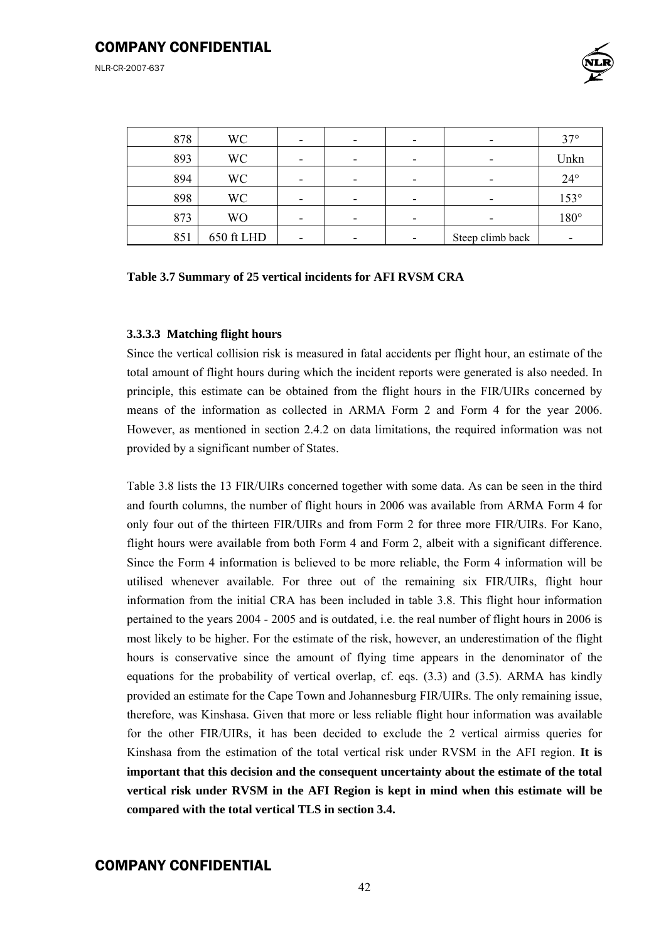NLR-CR-2007-637



| 878 | WС         | ۰                        |   |                          |                  | $37^\circ$   |
|-----|------------|--------------------------|---|--------------------------|------------------|--------------|
| 893 | WC         | ۰                        | ۰ | $\overline{\phantom{0}}$ | -                | Unkn         |
| 894 | WC         | $\overline{\phantom{0}}$ | - | -                        |                  | $24^{\circ}$ |
| 898 | WC         | $\overline{\phantom{0}}$ |   |                          |                  | $153^\circ$  |
| 873 | <b>WO</b>  | $\overline{\phantom{0}}$ | - | -                        | -                | $180^\circ$  |
| 851 | 650 ft LHD | $\overline{\phantom{0}}$ |   |                          | Steep climb back |              |

### **Table 3.7 Summary of 25 vertical incidents for AFI RVSM CRA**

### **3.3.3.3 Matching flight hours**

Since the vertical collision risk is measured in fatal accidents per flight hour, an estimate of the total amount of flight hours during which the incident reports were generated is also needed. In principle, this estimate can be obtained from the flight hours in the FIR/UIRs concerned by means of the information as collected in ARMA Form 2 and Form 4 for the year 2006. However, as mentioned in section 2.4.2 on data limitations, the required information was not provided by a significant number of States.

Table 3.8 lists the 13 FIR/UIRs concerned together with some data. As can be seen in the third and fourth columns, the number of flight hours in 2006 was available from ARMA Form 4 for only four out of the thirteen FIR/UIRs and from Form 2 for three more FIR/UIRs. For Kano, flight hours were available from both Form 4 and Form 2, albeit with a significant difference. Since the Form 4 information is believed to be more reliable, the Form 4 information will be utilised whenever available. For three out of the remaining six FIR/UIRs, flight hour information from the initial CRA has been included in table 3.8. This flight hour information pertained to the years 2004 - 2005 and is outdated, i.e. the real number of flight hours in 2006 is most likely to be higher. For the estimate of the risk, however, an underestimation of the flight hours is conservative since the amount of flying time appears in the denominator of the equations for the probability of vertical overlap, cf. eqs. (3.3) and (3.5). ARMA has kindly provided an estimate for the Cape Town and Johannesburg FIR/UIRs. The only remaining issue, therefore, was Kinshasa. Given that more or less reliable flight hour information was available for the other FIR/UIRs, it has been decided to exclude the 2 vertical airmiss queries for Kinshasa from the estimation of the total vertical risk under RVSM in the AFI region. **It is important that this decision and the consequent uncertainty about the estimate of the total vertical risk under RVSM in the AFI Region is kept in mind when this estimate will be compared with the total vertical TLS in section 3.4.**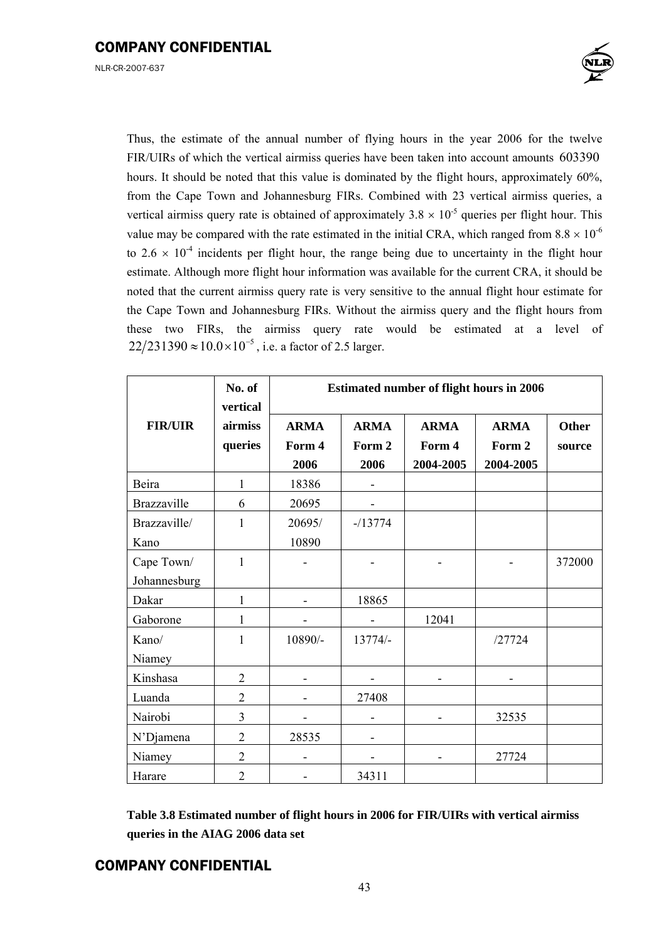

Thus, the estimate of the annual number of flying hours in the year 2006 for the twelve FIR/UIRs of which the vertical airmiss queries have been taken into account amounts 603390 hours. It should be noted that this value is dominated by the flight hours, approximately 60%, from the Cape Town and Johannesburg FIRs. Combined with 23 vertical airmiss queries, a vertical airmiss query rate is obtained of approximately  $3.8 \times 10^{-5}$  queries per flight hour. This value may be compared with the rate estimated in the initial CRA, which ranged from  $8.8 \times 10^{-6}$ to  $2.6 \times 10^{-4}$  incidents per flight hour, the range being due to uncertainty in the flight hour estimate. Although more flight hour information was available for the current CRA, it should be noted that the current airmiss query rate is very sensitive to the annual flight hour estimate for the Cape Town and Johannesburg FIRs. Without the airmiss query and the flight hours from these two FIRs, the airmiss query rate would be estimated at a level of  $22/231390 \approx 10.0 \times 10^{-5}$ , i.e. a factor of 2.5 larger.

|                            | No. of<br>vertical | <b>Estimated number of flight hours in 2006</b> |                               |                                    |                                    |                        |
|----------------------------|--------------------|-------------------------------------------------|-------------------------------|------------------------------------|------------------------------------|------------------------|
| <b>FIR/UIR</b>             | airmiss<br>queries | <b>ARMA</b><br>Form 4<br>2006                   | <b>ARMA</b><br>Form 2<br>2006 | <b>ARMA</b><br>Form 4<br>2004-2005 | <b>ARMA</b><br>Form 2<br>2004-2005 | <b>Other</b><br>source |
| Beira                      | $\mathbf{1}$       | 18386                                           |                               |                                    |                                    |                        |
| Brazzaville                | 6                  | 20695                                           |                               |                                    |                                    |                        |
| Brazzaville/               | 1                  | 20695/                                          | $-13774$                      |                                    |                                    |                        |
| Kano                       |                    | 10890                                           |                               |                                    |                                    |                        |
| Cape Town/<br>Johannesburg | 1                  |                                                 |                               |                                    |                                    | 372000                 |
| Dakar                      | 1                  |                                                 | 18865                         |                                    |                                    |                        |
| Gaborone                   | 1                  |                                                 |                               | 12041                              |                                    |                        |
| Kano/<br>Niamey            | 1                  | 10890/-                                         | 13774/-                       |                                    | /27724                             |                        |
| Kinshasa                   | $\overline{2}$     |                                                 |                               |                                    |                                    |                        |
| Luanda                     | $\overline{2}$     |                                                 | 27408                         |                                    |                                    |                        |
| Nairobi                    | 3                  |                                                 |                               |                                    | 32535                              |                        |
| N'Djamena                  | $\overline{2}$     | 28535                                           |                               |                                    |                                    |                        |
| Niamey                     | $\overline{2}$     |                                                 |                               |                                    | 27724                              |                        |
| Harare                     | $\overline{2}$     |                                                 | 34311                         |                                    |                                    |                        |

**Table 3.8 Estimated number of flight hours in 2006 for FIR/UIRs with vertical airmiss queries in the AIAG 2006 data set**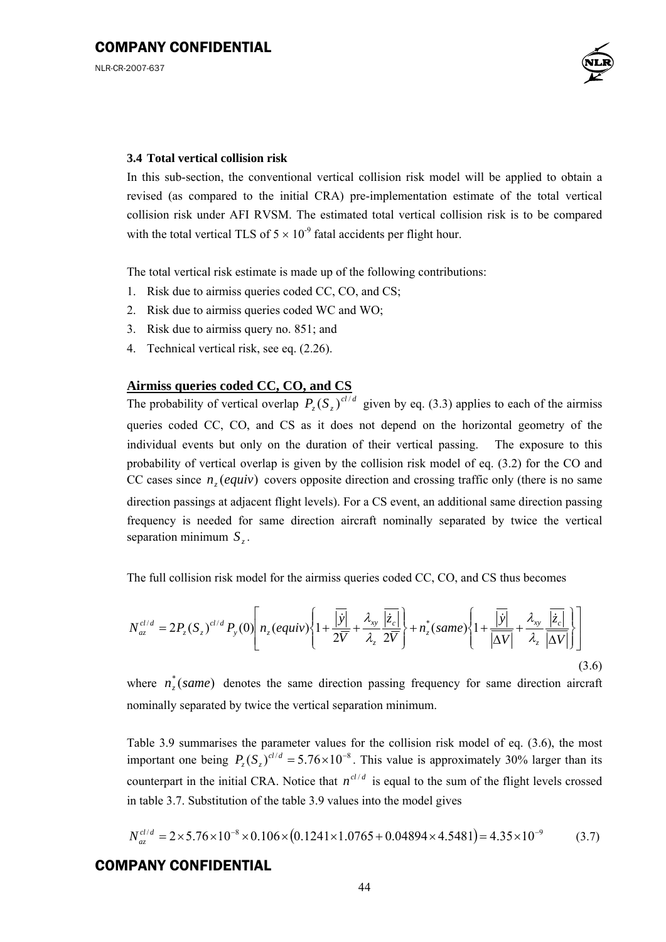

### **3.4 Total vertical collision risk**

In this sub-section, the conventional vertical collision risk model will be applied to obtain a revised (as compared to the initial CRA) pre-implementation estimate of the total vertical collision risk under AFI RVSM. The estimated total vertical collision risk is to be compared with the total vertical TLS of  $5 \times 10^{-9}$  fatal accidents per flight hour.

The total vertical risk estimate is made up of the following contributions:

- 1. Risk due to airmiss queries coded CC, CO, and CS;
- 2. Risk due to airmiss queries coded WC and WO;
- 3. Risk due to airmiss query no. 851; and
- 4. Technical vertical risk, see eq. (2.26).

## **Airmiss queries coded CC, CO, and CS**

The probability of vertical overlap  $P_z(S_z)^{cl/d}$  given by eq. (3.3) applies to each of the airmiss queries coded CC, CO, and CS as it does not depend on the horizontal geometry of the individual events but only on the duration of their vertical passing. The exposure to this probability of vertical overlap is given by the collision risk model of eq. (3.2) for the CO and CC cases since  $n_z$  (*equiv*) covers opposite direction and crossing traffic only (there is no same direction passings at adjacent flight levels). For a CS event, an additional same direction passing frequency is needed for same direction aircraft nominally separated by twice the vertical separation minimum *<sup>z</sup> S* .

The full collision risk model for the airmiss queries coded CC, CO, and CS thus becomes

$$
N_{az}^{cl/d} = 2P_z(S_z)^{cl/d} P_y(0) \left[ n_z \left( \frac{\overline{y}}{1 + \frac{\overline{y}}{2V} + \frac{\lambda_{xy}}{\lambda_z} \frac{\overline{z}_c}{2V} } \right) + n_z^*(\text{same}) \left\{ 1 + \frac{\overline{y}}{\overline{|\Delta V|}} + \frac{\lambda_{xy}}{\lambda_z} \frac{\overline{z}_c}{\overline{|\Delta V|}} \right\} \right]
$$
(3.6)

where  $n^*$  *(same)* denotes the same direction passing frequency for same direction aircraft nominally separated by twice the vertical separation minimum.

Table 3.9 summarises the parameter values for the collision risk model of eq. (3.6), the most important one being  $P(x)$ ,  $e^{t/d} = 5.76 \times 10^{-8}$ . This value is approximately 30% larger than its counterpart in the initial CRA. Notice that  $n^{c/d}$  is equal to the sum of the flight levels crossed in table 3.7. Substitution of the table 3.9 values into the model gives

$$
N_{az}^{cl/d} = 2 \times 5.76 \times 10^{-8} \times 0.106 \times (0.1241 \times 1.0765 + 0.04894 \times 4.5481) = 4.35 \times 10^{-9}
$$
 (3.7)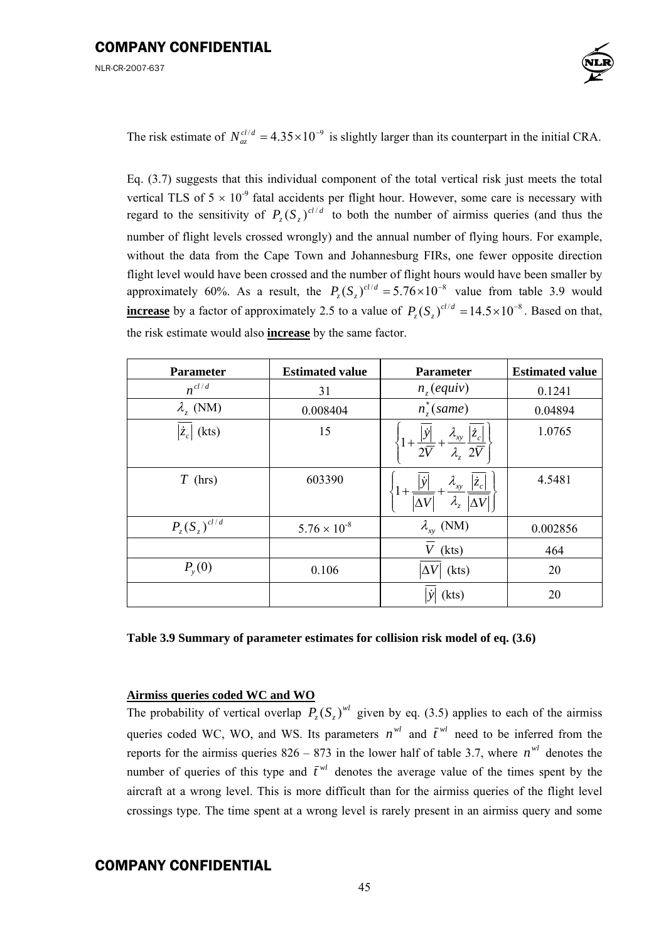

The risk estimate of  $N_{a\tau}^{cl/d} = 4.35 \times 10^{-9}$  is slightly larger than its counterpart in the initial CRA.

Eq. (3.7) suggests that this individual component of the total vertical risk just meets the total vertical TLS of  $5 \times 10^{-9}$  fatal accidents per flight hour. However, some care is necessary with regard to the sensitivity of  $P_z(S_z)^{cl/d}$  to both the number of airmiss queries (and thus the number of flight levels crossed wrongly) and the annual number of flying hours. For example, without the data from the Cape Town and Johannesburg FIRs, one fewer opposite direction flight level would have been crossed and the number of flight hours would have been smaller by approximately 60%. As a result, the  $P_s(S_s)^{c/d} = 5.76 \times 10^{-8}$  value from table 3.9 would **increase** by a factor of approximately 2.5 to a value of  $P(x)$   $e^{t/d} = 14.5 \times 10^{-8}$ . Based on that, the risk estimate would also **increase** by the same factor.

| <b>Parameter</b>    | <b>Estimated value</b> | <b>Parameter</b>                                                                                                        | <b>Estimated value</b> |
|---------------------|------------------------|-------------------------------------------------------------------------------------------------------------------------|------------------------|
| $n^{cl/d}$          | 31                     | $n_z$ (equiv)                                                                                                           | 0.1241                 |
| $\lambda_z$ (NM)    | 0.008404               | $n^*$ (same)                                                                                                            | 0.04894                |
| $ \dot{z}_c $ (kts) | 15                     | $+\frac{\lambda_{xy}}{\lambda_z}\frac{\left \dot{z}_c\right }{2\bar{V}}$<br>$\sqrt{1+\frac{ \dot{y} }{2\overline{V}}}+$ | 1.0765                 |
| $T$ (hrs)           | 603390                 | $ \dot{z}_c $<br>$\lambda_{\underline{xy}}$<br>$(1 + \cdot$<br>$\lambda_z$<br>$\Delta V$                                | 4.5481                 |
| $P_z(S_z)^{cl/d}$   | $5.76 \times 10^{-8}$  | $\lambda_{xy}$ (NM)                                                                                                     | 0.002856               |
|                     |                        | (kts)                                                                                                                   | 464                    |
| $P_{v}(0)$          | 0.106                  | $\Lambda V$<br>(kts)                                                                                                    | 20                     |
|                     |                        | (kts)                                                                                                                   | 20                     |

**Table 3.9 Summary of parameter estimates for collision risk model of eq. (3.6)** 

### **Airmiss queries coded WC and WO**

The probability of vertical overlap  $P_{\rm s}(S_{\rm s})^{wl}$  given by eq. (3.5) applies to each of the airmiss queries coded WC, WO, and WS. Its parameters  $n^{wl}$  and  $\bar{t}^{wl}$  need to be inferred from the reports for the airmiss queries  $826 - 873$  in the lower half of table 3.7, where  $n^{wl}$  denotes the number of queries of this type and  $\bar{t}^{wl}$  denotes the average value of the times spent by the aircraft at a wrong level. This is more difficult than for the airmiss queries of the flight level crossings type. The time spent at a wrong level is rarely present in an airmiss query and some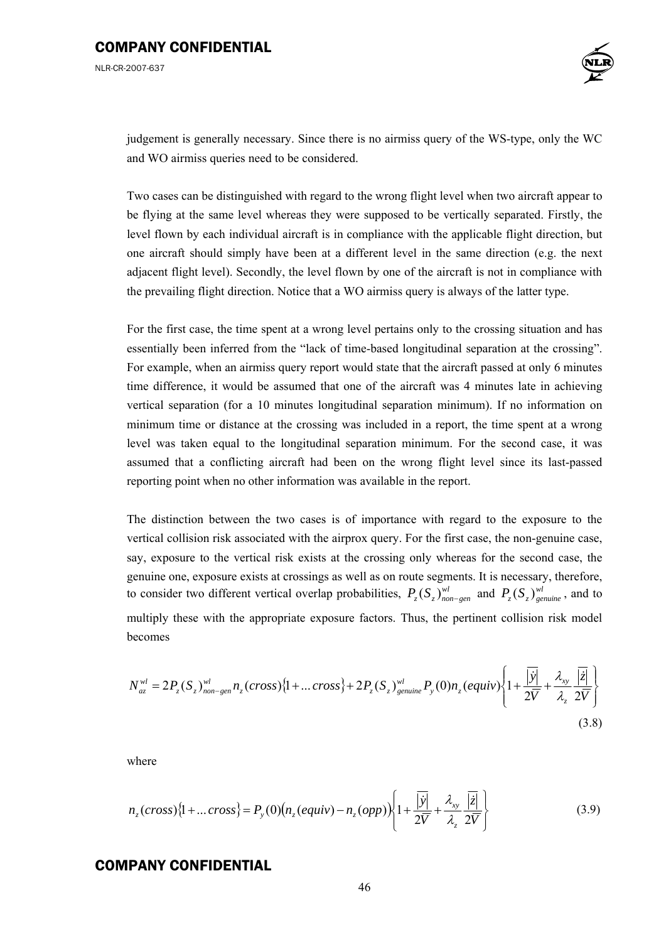

judgement is generally necessary. Since there is no airmiss query of the WS-type, only the WC and WO airmiss queries need to be considered.

Two cases can be distinguished with regard to the wrong flight level when two aircraft appear to be flying at the same level whereas they were supposed to be vertically separated. Firstly, the level flown by each individual aircraft is in compliance with the applicable flight direction, but one aircraft should simply have been at a different level in the same direction (e.g. the next adjacent flight level). Secondly, the level flown by one of the aircraft is not in compliance with the prevailing flight direction. Notice that a WO airmiss query is always of the latter type.

For the first case, the time spent at a wrong level pertains only to the crossing situation and has essentially been inferred from the "lack of time-based longitudinal separation at the crossing". For example, when an airmiss query report would state that the aircraft passed at only 6 minutes time difference, it would be assumed that one of the aircraft was 4 minutes late in achieving vertical separation (for a 10 minutes longitudinal separation minimum). If no information on minimum time or distance at the crossing was included in a report, the time spent at a wrong level was taken equal to the longitudinal separation minimum. For the second case, it was assumed that a conflicting aircraft had been on the wrong flight level since its last-passed reporting point when no other information was available in the report.

The distinction between the two cases is of importance with regard to the exposure to the vertical collision risk associated with the airprox query. For the first case, the non-genuine case, say, exposure to the vertical risk exists at the crossing only whereas for the second case, the genuine one, exposure exists at crossings as well as on route segments. It is necessary, therefore, to consider two different vertical overlap probabilities,  $P_z(S_z)_{non-gen}^{wl}$  and  $P_z(S_z)_{genuine}^{wl}$ , and to multiply these with the appropriate exposure factors. Thus, the pertinent collision risk model becomes

$$
N_{az}^{wl} = 2P_z(S_z)_{non-gen}^{wl} n_z (cross) \{1 + ... cross\} + 2P_z(S_z)_{genuine}^{wl} P_y(0) n_z (equiv) \left\{1 + \frac{|\overline{y}|}{2\overline{V}} + \frac{\lambda_{xy}}{\lambda_z} \frac{|\overline{z}|}{2\overline{V}}\right\}
$$
(3.8)

where

$$
n_z(cross)\{1 + ... cross\} = P_y(0)\left(n_z(equiv) - n_z(opp)\right)\left\{1 + \frac{\overline{|\dot{y}|}}{2\overline{V}} + \frac{\lambda_{xy}}{\lambda_z} \frac{\overline{|\dot{z}|}}{2\overline{V}}\right\}
$$
(3.9)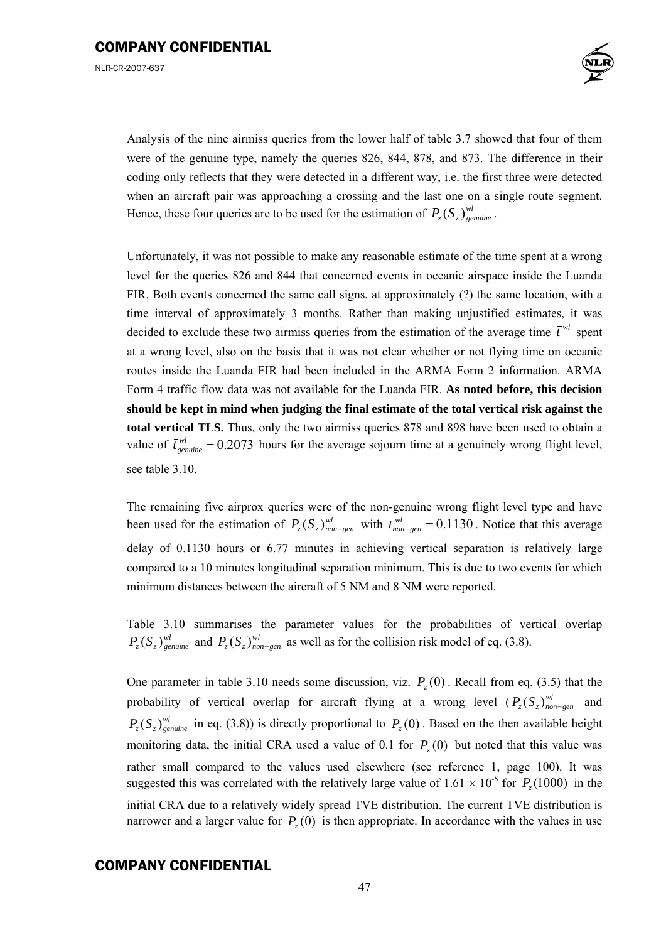

Analysis of the nine airmiss queries from the lower half of table 3.7 showed that four of them were of the genuine type, namely the queries 826, 844, 878, and 873. The difference in their coding only reflects that they were detected in a different way, i.e. the first three were detected when an aircraft pair was approaching a crossing and the last one on a single route segment. Hence, these four queries are to be used for the estimation of  $P_z(S_z)_{\text{genuine}}^{wl}$ .

Unfortunately, it was not possible to make any reasonable estimate of the time spent at a wrong level for the queries 826 and 844 that concerned events in oceanic airspace inside the Luanda FIR. Both events concerned the same call signs, at approximately (?) the same location, with a time interval of approximately 3 months. Rather than making unjustified estimates, it was decided to exclude these two airmiss queries from the estimation of the average time  $\bar{t}^{wl}$  spent at a wrong level, also on the basis that it was not clear whether or not flying time on oceanic routes inside the Luanda FIR had been included in the ARMA Form 2 information. ARMA Form 4 traffic flow data was not available for the Luanda FIR. **As noted before, this decision should be kept in mind when judging the final estimate of the total vertical risk against the total vertical TLS.** Thus, only the two airmiss queries 878 and 898 have been used to obtain a value of  $\bar{t}_{genuine}^{wl} = 0.2073$  hours for the average sojourn time at a genuinely wrong flight level, see table 3.10.

The remaining five airprox queries were of the non-genuine wrong flight level type and have been used for the estimation of  $P_z(S_z)_{non-gen}^{wl}$  with  $\bar{t}_{non-gen}^{wl} = 0.1130$ . Notice that this average delay of 0.1130 hours or 6.77 minutes in achieving vertical separation is relatively large compared to a 10 minutes longitudinal separation minimum. This is due to two events for which minimum distances between the aircraft of 5 NM and 8 NM were reported.

Table 3.10 summarises the parameter values for the probabilities of vertical overlap  $P_z(S_z)_{\text{genuine}}^{\text{wl}}$  and  $P_z(S_z)_{\text{non-gen}}^{\text{wl}}$  as well as for the collision risk model of eq. (3.8).

One parameter in table 3.10 needs some discussion, viz.  $P<sub>z</sub>(0)$ . Recall from eq. (3.5) that the probability of vertical overlap for aircraft flying at a wrong level  $(P_z(S_z)^{wl}_{non-gen}$  and  $P_z(S_z)_{\text{genuine}}^{wl}$  in eq. (3.8)) is directly proportional to  $P_z(0)$ . Based on the then available height monitoring data, the initial CRA used a value of 0.1 for  $P<sub>z</sub>(0)$  but noted that this value was rather small compared to the values used elsewhere (see reference 1, page 100). It was suggested this was correlated with the relatively large value of  $1.61 \times 10^{-8}$  for  $P_{7}(1000)$  in the initial CRA due to a relatively widely spread TVE distribution. The current TVE distribution is narrower and a larger value for  $P<sub>z</sub>(0)$  is then appropriate. In accordance with the values in use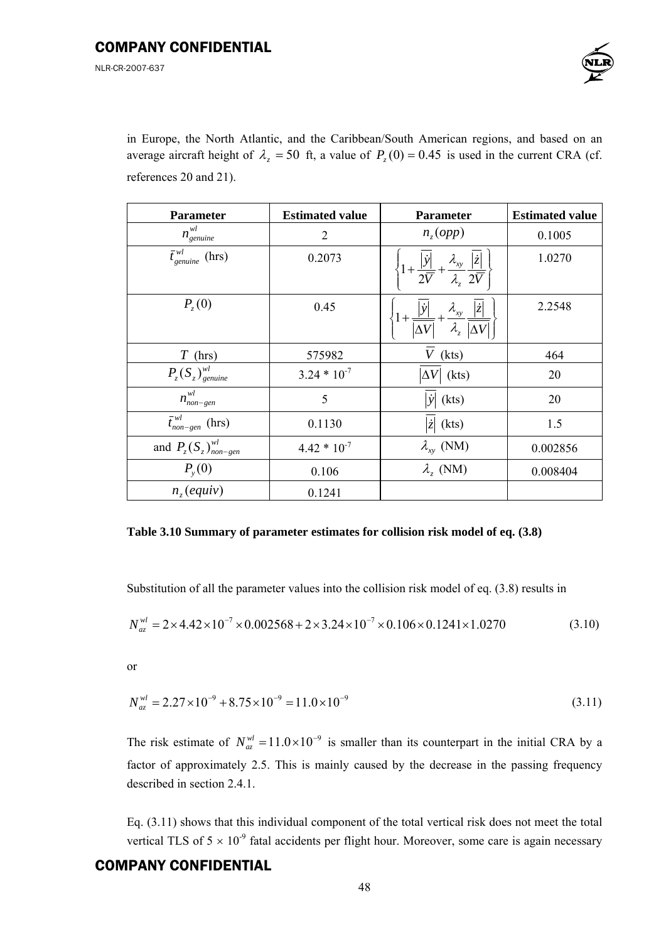

in Europe, the North Atlantic, and the Caribbean/South American regions, and based on an average aircraft height of  $\lambda_z = 50$  ft, a value of  $P_z(0) = 0.45$  is used in the current CRA (cf. references 20 and 21).

| <b>Parameter</b>                             | <b>Estimated value</b> | <b>Parameter</b>                                                                                                                         | <b>Estimated value</b> |
|----------------------------------------------|------------------------|------------------------------------------------------------------------------------------------------------------------------------------|------------------------|
| $n_{\mathit{genuine}}^{\mathit{wl}}$         | $\overline{2}$         | $n_z(opp)$                                                                                                                               | 0.1005                 |
| $\bar{t}_{\text{genuine}}^{\text{wl}}$ (hrs) | 0.2073                 | $\left\{1+\frac{\left \dot{y}\right }{2\overline{V}}+\frac{\lambda_{xy}}{\lambda_{z}}\frac{\left \dot{z}\right }{2\overline{V}}\right\}$ | 1.0270                 |
| $P_{z}(0)$                                   | 0.45                   | $\lambda_{xy}$<br>$\{1 + \cdot$<br>$\lambda_z$                                                                                           | 2.2548                 |
| $T$ (hrs)                                    | 575982                 | $V$ (kts)                                                                                                                                | 464                    |
| $P_z(S_z)_{\text{genuine}}^{\text{wl}}$      | $3.24 * 10^{-7}$       | $\Delta V$<br>(kts)                                                                                                                      | 20                     |
| $n_{non-gen}^{wl}$                           | 5                      | (kts)                                                                                                                                    | 20                     |
| $\bar{t}_{non-gen}^{wl}$ (hrs)               | 0.1130                 | $ \dot{z} $<br>(kts)                                                                                                                     | 1.5                    |
| and $P_z(S_z)_{non-gen}^{wl}$                | $4.42 * 10^{-7}$       | $\lambda_{xy}$ (NM)                                                                                                                      | 0.002856               |
| $P_{v}(0)$                                   | 0.106                  | $\lambda_{7}$ (NM)                                                                                                                       | 0.008404               |
| $n_{z}$ (equiv)                              | 0.1241                 |                                                                                                                                          |                        |

**Table 3.10 Summary of parameter estimates for collision risk model of eq. (3.8)** 

Substitution of all the parameter values into the collision risk model of eq. (3.8) results in

$$
N_{az}^{wl} = 2 \times 4.42 \times 10^{-7} \times 0.002568 + 2 \times 3.24 \times 10^{-7} \times 0.106 \times 0.1241 \times 1.0270
$$
 (3.10)

or

$$
N_{az}^{wl} = 2.27 \times 10^{-9} + 8.75 \times 10^{-9} = 11.0 \times 10^{-9}
$$
\n(3.11)

The risk estimate of  $N_{az}^{wl} = 11.0 \times 10^{-9}$  is smaller than its counterpart in the initial CRA by a factor of approximately 2.5. This is mainly caused by the decrease in the passing frequency described in section 2.4.1.

Eq. (3.11) shows that this individual component of the total vertical risk does not meet the total vertical TLS of  $5 \times 10^{-9}$  fatal accidents per flight hour. Moreover, some care is again necessary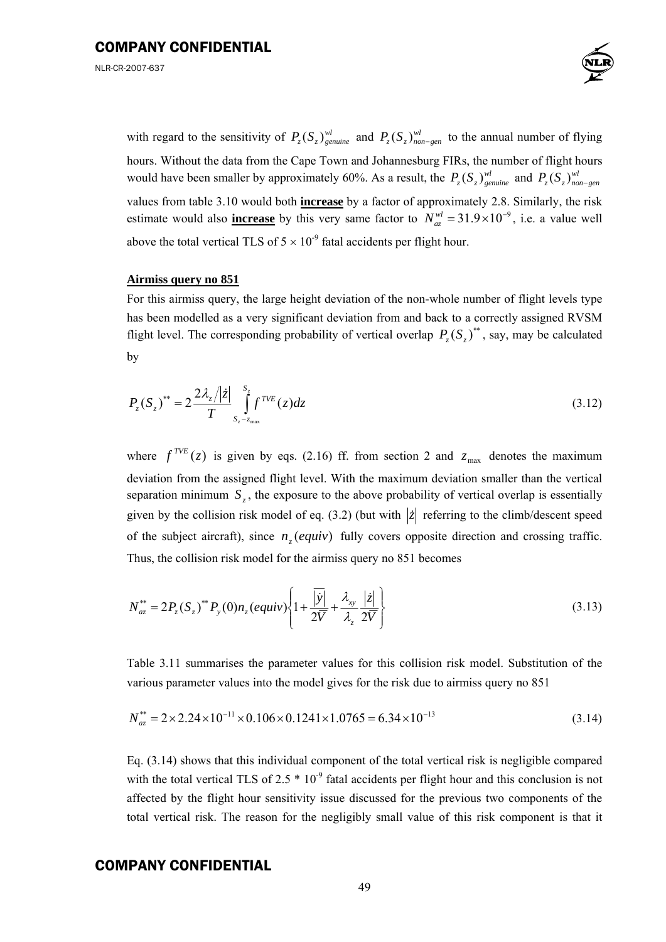

with regard to the sensitivity of  $P_z(S_z)_{\text{genuine}}^{\text{wl}}$  and  $P_z(S_z)_{\text{non-gen}}^{\text{wl}}$  to the annual number of flying hours. Without the data from the Cape Town and Johannesburg FIRs, the number of flight hours would have been smaller by approximately 60%. As a result, the  $P_z(S_z)_{\text{genuine}}^{\text{wl}}$  and  $P_z(S_z)_{\text{non-gen}}^{\text{wl}}$ values from table 3.10 would both **increase** by a factor of approximately 2.8. Similarly, the risk estimate would also **<u>increase</u>** by this very same factor to  $N_{az}^{wl} = 31.9 \times 10^{-9}$ , i.e. a value well above the total vertical TLS of  $5 \times 10^{-9}$  fatal accidents per flight hour.

#### **Airmiss query no 851**

For this airmiss query, the large height deviation of the non-whole number of flight levels type has been modelled as a very significant deviation from and back to a correctly assigned RVSM flight level. The corresponding probability of vertical overlap  $P_{z}(S_{z})^{**}$ , say, may be calculated by

$$
P_z(S_z)^{**} = 2\frac{2\lambda_z/|\dot{z}|}{T} \int_{S_z - z_{\text{max}}}^{S_{\dot{z}}} f^{TVE}(z) dz
$$
\n(3.12)

where  $f^{TVE}(z)$  is given by eqs. (2.16) ff. from section 2 and  $z_{\text{max}}$  denotes the maximum deviation from the assigned flight level. With the maximum deviation smaller than the vertical separation minimum  $S<sub>z</sub>$ , the exposure to the above probability of vertical overlap is essentially given by the collision risk model of eq. (3.2) (but with  $|\dot{z}|$  referring to the climb/descent speed of the subject aircraft), since  $n_e$  (*equiv*) fully covers opposite direction and crossing traffic. Thus, the collision risk model for the airmiss query no 851 becomes

$$
N_{az}^{**} = 2P_z(S_z)^{**}P_y(0)n_z\left(\frac{equiv\nu}{\sqrt{1 + \frac{|\dot{y}|}{2V}} + \frac{\lambda_{xy}}{\lambda_z} \frac{|\dot{z}|}{2V}}\right)
$$
\n(3.13)

Table 3.11 summarises the parameter values for this collision risk model. Substitution of the various parameter values into the model gives for the risk due to airmiss query no 851

$$
N_{az}^{**} = 2 \times 2.24 \times 10^{-11} \times 0.106 \times 0.1241 \times 1.0765 = 6.34 \times 10^{-13}
$$
\n(3.14)

Eq. (3.14) shows that this individual component of the total vertical risk is negligible compared with the total vertical TLS of 2.5  $*$  10<sup>-9</sup> fatal accidents per flight hour and this conclusion is not affected by the flight hour sensitivity issue discussed for the previous two components of the total vertical risk. The reason for the negligibly small value of this risk component is that it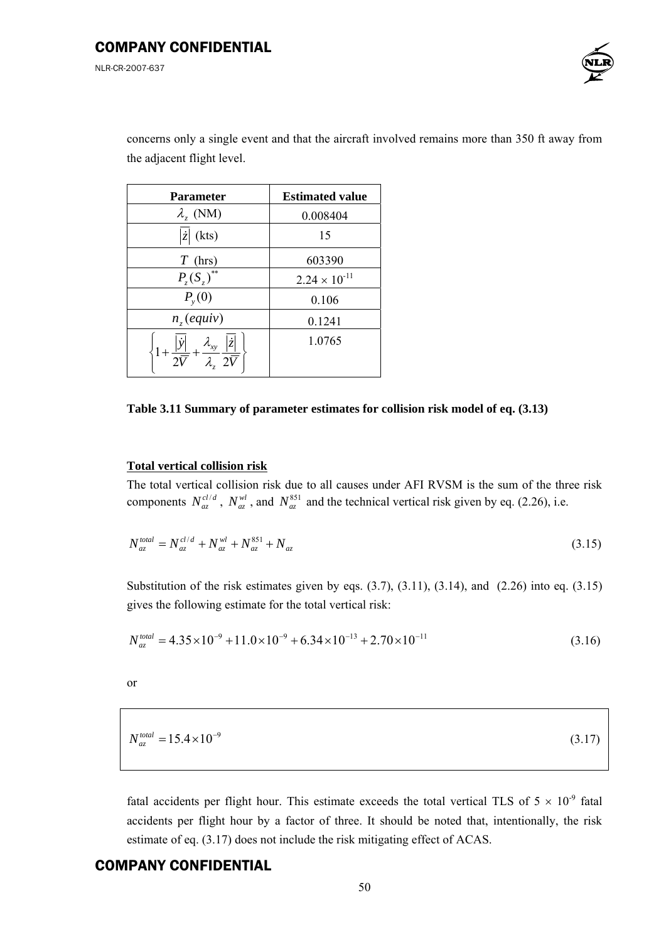

concerns only a single event and that the aircraft involved remains more than 350 ft away from the adjacent flight level.

| <b>Parameter</b>                                               | <b>Estimated value</b> |
|----------------------------------------------------------------|------------------------|
| $\lambda_z$ (NM)                                               | 0.008404               |
| $ \dot{z} $<br>(kts)                                           | 15                     |
| $T$ (hrs)                                                      | 603390                 |
| $P_z(S_z)^{**}$                                                | $2.24 \times 10^{-11}$ |
| $P_{v}(0)$                                                     | 0.106                  |
| $n_{z}$ (equiv)                                                | 0.1241                 |
| $z + \frac{z_{xy}}{\lambda_z} \frac{ \dot{z} }{2\overline{V}}$ | 1.0765                 |

### **Table 3.11 Summary of parameter estimates for collision risk model of eq. (3.13)**

### **Total vertical collision risk**

The total vertical collision risk due to all causes under AFI RVSM is the sum of the three risk components  $N_{az}^{c1/d}$ ,  $N_{az}^{wl}$ , and  $N_{az}^{851}$  and the technical vertical risk given by eq. (2.26), i.e.

$$
N_{az}^{total} = N_{az}^{c1/d} + N_{az}^{wl} + N_{az}^{851} + N_{az}
$$
\n(3.15)

Substitution of the risk estimates given by eqs.  $(3.7)$ ,  $(3.11)$ ,  $(3.14)$ , and  $(2.26)$  into eq.  $(3.15)$ gives the following estimate for the total vertical risk:

$$
N_{az}^{total} = 4.35 \times 10^{-9} + 11.0 \times 10^{-9} + 6.34 \times 10^{-13} + 2.70 \times 10^{-11}
$$
\n(3.16)

or

$$
N_{az}^{total} = 15.4 \times 10^{-9} \tag{3.17}
$$

fatal accidents per flight hour. This estimate exceeds the total vertical TLS of  $5 \times 10^{-9}$  fatal accidents per flight hour by a factor of three. It should be noted that, intentionally, the risk estimate of eq. (3.17) does not include the risk mitigating effect of ACAS.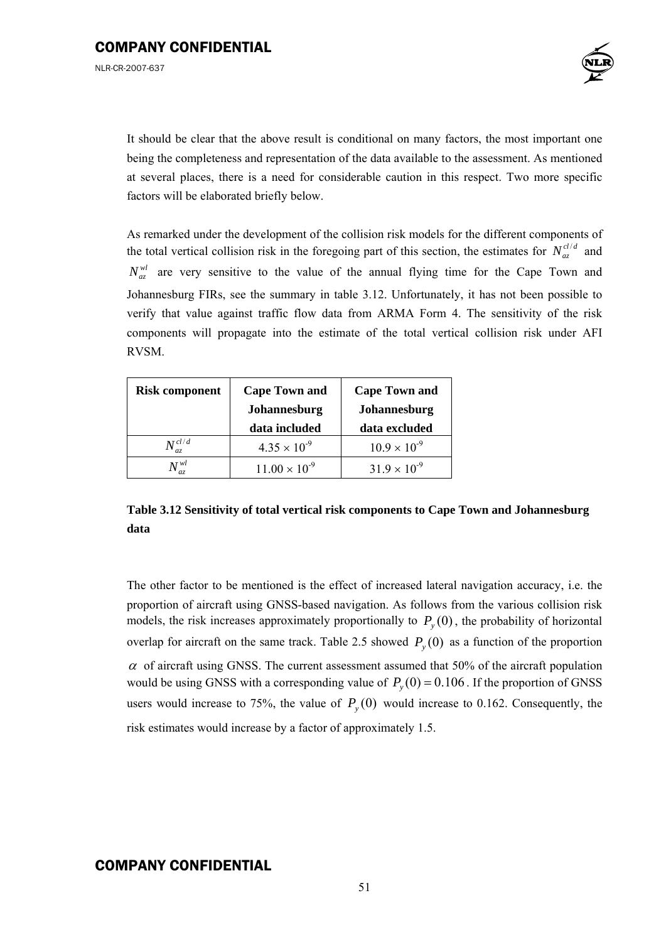

It should be clear that the above result is conditional on many factors, the most important one being the completeness and representation of the data available to the assessment. As mentioned at several places, there is a need for considerable caution in this respect. Two more specific factors will be elaborated briefly below.

As remarked under the development of the collision risk models for the different components of the total vertical collision risk in the foregoing part of this section, the estimates for  $N_{az}^{cl/d}$  and  $N_{a}^{wl}$  are very sensitive to the value of the annual flying time for the Cape Town and Johannesburg FIRs, see the summary in table 3.12. Unfortunately, it has not been possible to verify that value against traffic flow data from ARMA Form 4. The sensitivity of the risk components will propagate into the estimate of the total vertical collision risk under AFI RVSM.

| <b>Risk component</b>                                 | <b>Cape Town and</b>   | <b>Cape Town and</b>  |  |
|-------------------------------------------------------|------------------------|-----------------------|--|
|                                                       | Johannesburg           | Johannesburg          |  |
|                                                       | data included          | data excluded         |  |
| $N_-^{cl/d}$                                          | $4.35 \times 10^{-9}$  | $10.9 \times 10^{-9}$ |  |
| $N_{\scriptscriptstyle{az}}^{\scriptscriptstyle{wl}}$ | $11.00 \times 10^{-9}$ | $31.9 \times 10^{-9}$ |  |

**Table 3.12 Sensitivity of total vertical risk components to Cape Town and Johannesburg data** 

The other factor to be mentioned is the effect of increased lateral navigation accuracy, i.e. the proportion of aircraft using GNSS-based navigation. As follows from the various collision risk models, the risk increases approximately proportionally to  $P_y(0)$ , the probability of horizontal overlap for aircraft on the same track. Table 2.5 showed  $P_y(0)$  as a function of the proportion  $\alpha$  of aircraft using GNSS. The current assessment assumed that 50% of the aircraft population would be using GNSS with a corresponding value of  $P_y(0) = 0.106$ . If the proportion of GNSS users would increase to 75%, the value of  $P_y(0)$  would increase to 0.162. Consequently, the risk estimates would increase by a factor of approximately 1.5.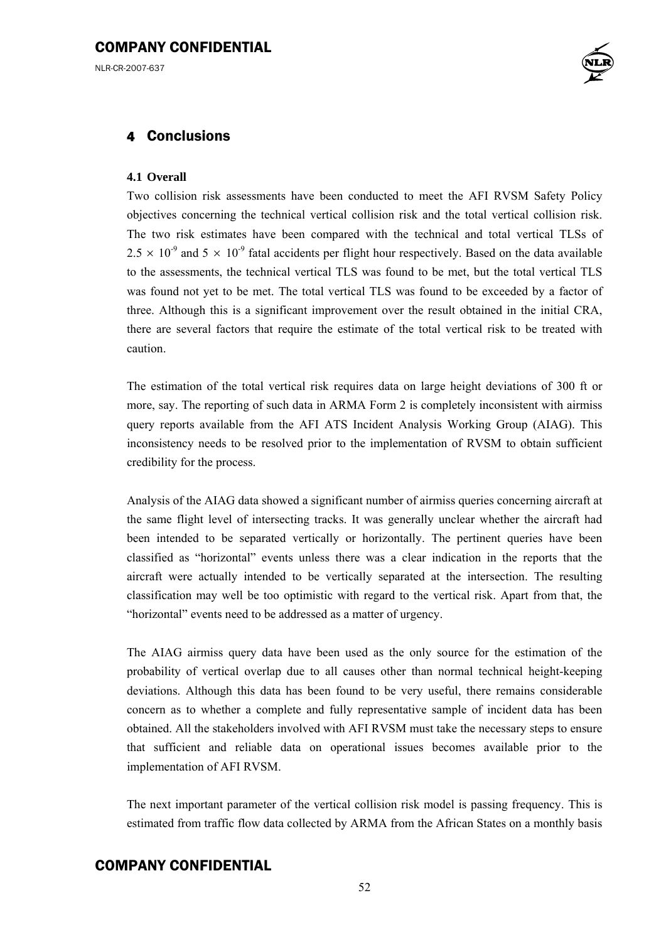NLR-CR-2007-637



## 4 Conclusions

### **4.1 Overall**

Two collision risk assessments have been conducted to meet the AFI RVSM Safety Policy objectives concerning the technical vertical collision risk and the total vertical collision risk. The two risk estimates have been compared with the technical and total vertical TLSs of  $2.5 \times 10^{-9}$  and  $5 \times 10^{-9}$  fatal accidents per flight hour respectively. Based on the data available to the assessments, the technical vertical TLS was found to be met, but the total vertical TLS was found not yet to be met. The total vertical TLS was found to be exceeded by a factor of three. Although this is a significant improvement over the result obtained in the initial CRA, there are several factors that require the estimate of the total vertical risk to be treated with caution.

The estimation of the total vertical risk requires data on large height deviations of 300 ft or more, say. The reporting of such data in ARMA Form 2 is completely inconsistent with airmiss query reports available from the AFI ATS Incident Analysis Working Group (AIAG). This inconsistency needs to be resolved prior to the implementation of RVSM to obtain sufficient credibility for the process.

Analysis of the AIAG data showed a significant number of airmiss queries concerning aircraft at the same flight level of intersecting tracks. It was generally unclear whether the aircraft had been intended to be separated vertically or horizontally. The pertinent queries have been classified as "horizontal" events unless there was a clear indication in the reports that the aircraft were actually intended to be vertically separated at the intersection. The resulting classification may well be too optimistic with regard to the vertical risk. Apart from that, the "horizontal" events need to be addressed as a matter of urgency.

The AIAG airmiss query data have been used as the only source for the estimation of the probability of vertical overlap due to all causes other than normal technical height-keeping deviations. Although this data has been found to be very useful, there remains considerable concern as to whether a complete and fully representative sample of incident data has been obtained. All the stakeholders involved with AFI RVSM must take the necessary steps to ensure that sufficient and reliable data on operational issues becomes available prior to the implementation of AFI RVSM.

The next important parameter of the vertical collision risk model is passing frequency. This is estimated from traffic flow data collected by ARMA from the African States on a monthly basis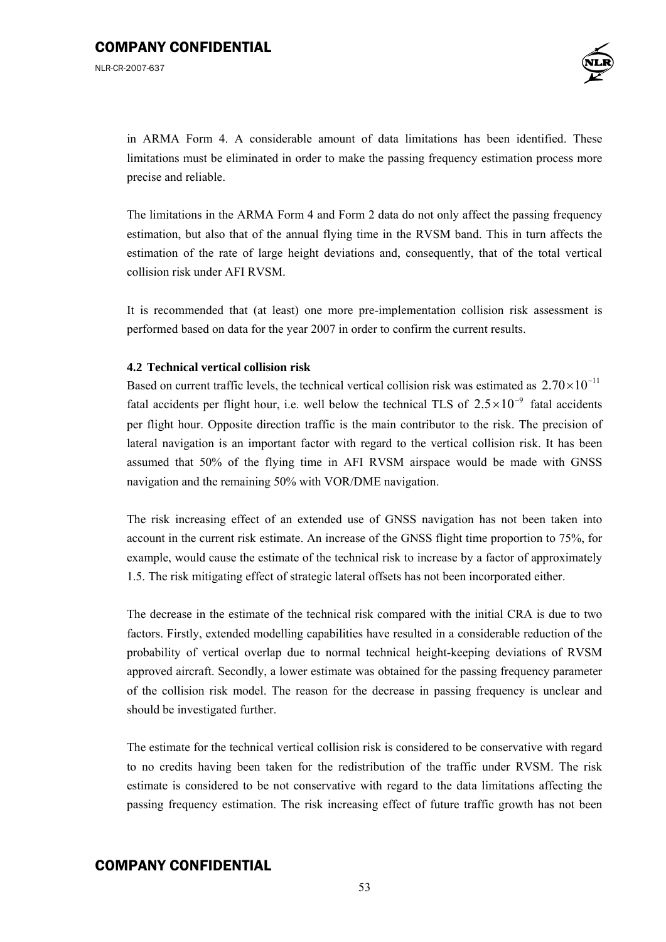

in ARMA Form 4. A considerable amount of data limitations has been identified. These limitations must be eliminated in order to make the passing frequency estimation process more precise and reliable.

The limitations in the ARMA Form 4 and Form 2 data do not only affect the passing frequency estimation, but also that of the annual flying time in the RVSM band. This in turn affects the estimation of the rate of large height deviations and, consequently, that of the total vertical collision risk under AFI RVSM.

It is recommended that (at least) one more pre-implementation collision risk assessment is performed based on data for the year 2007 in order to confirm the current results.

### **4.2 Technical vertical collision risk**

Based on current traffic levels, the technical vertical collision risk was estimated as  $2.70 \times 10^{-11}$ fatal accidents per flight hour, i.e. well below the technical TLS of  $2.5 \times 10^{-9}$  fatal accidents per flight hour. Opposite direction traffic is the main contributor to the risk. The precision of lateral navigation is an important factor with regard to the vertical collision risk. It has been assumed that 50% of the flying time in AFI RVSM airspace would be made with GNSS navigation and the remaining 50% with VOR/DME navigation.

The risk increasing effect of an extended use of GNSS navigation has not been taken into account in the current risk estimate. An increase of the GNSS flight time proportion to 75%, for example, would cause the estimate of the technical risk to increase by a factor of approximately 1.5. The risk mitigating effect of strategic lateral offsets has not been incorporated either.

The decrease in the estimate of the technical risk compared with the initial CRA is due to two factors. Firstly, extended modelling capabilities have resulted in a considerable reduction of the probability of vertical overlap due to normal technical height-keeping deviations of RVSM approved aircraft. Secondly, a lower estimate was obtained for the passing frequency parameter of the collision risk model. The reason for the decrease in passing frequency is unclear and should be investigated further.

The estimate for the technical vertical collision risk is considered to be conservative with regard to no credits having been taken for the redistribution of the traffic under RVSM. The risk estimate is considered to be not conservative with regard to the data limitations affecting the passing frequency estimation. The risk increasing effect of future traffic growth has not been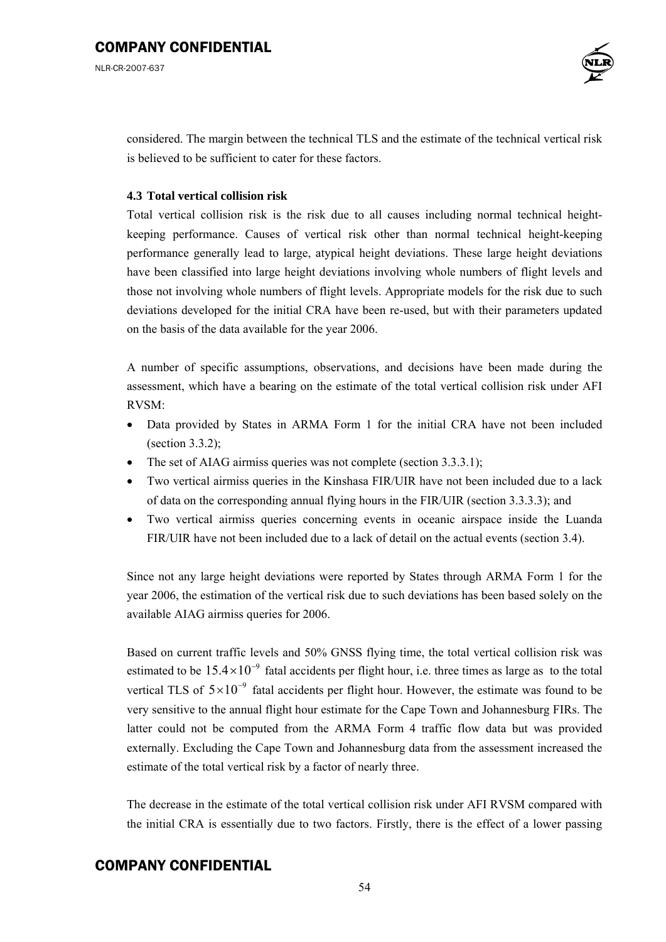

considered. The margin between the technical TLS and the estimate of the technical vertical risk is believed to be sufficient to cater for these factors.

### **4.3 Total vertical collision risk**

Total vertical collision risk is the risk due to all causes including normal technical heightkeeping performance. Causes of vertical risk other than normal technical height-keeping performance generally lead to large, atypical height deviations. These large height deviations have been classified into large height deviations involving whole numbers of flight levels and those not involving whole numbers of flight levels. Appropriate models for the risk due to such deviations developed for the initial CRA have been re-used, but with their parameters updated on the basis of the data available for the year 2006.

A number of specific assumptions, observations, and decisions have been made during the assessment, which have a bearing on the estimate of the total vertical collision risk under AFI RVSM:

- Data provided by States in ARMA Form 1 for the initial CRA have not been included (section 3.3.2);
- The set of AIAG airmiss queries was not complete (section 3.3.3.1);
- Two vertical airmiss queries in the Kinshasa FIR/UIR have not been included due to a lack of data on the corresponding annual flying hours in the FIR/UIR (section 3.3.3.3); and
- Two vertical airmiss queries concerning events in oceanic airspace inside the Luanda FIR/UIR have not been included due to a lack of detail on the actual events (section 3.4).

Since not any large height deviations were reported by States through ARMA Form 1 for the year 2006, the estimation of the vertical risk due to such deviations has been based solely on the available AIAG airmiss queries for 2006.

Based on current traffic levels and 50% GNSS flying time, the total vertical collision risk was estimated to be  $15.4 \times 10^{-9}$  fatal accidents per flight hour, i.e. three times as large as to the total vertical TLS of  $5 \times 10^{-9}$  fatal accidents per flight hour. However, the estimate was found to be very sensitive to the annual flight hour estimate for the Cape Town and Johannesburg FIRs. The latter could not be computed from the ARMA Form 4 traffic flow data but was provided externally. Excluding the Cape Town and Johannesburg data from the assessment increased the estimate of the total vertical risk by a factor of nearly three.

The decrease in the estimate of the total vertical collision risk under AFI RVSM compared with the initial CRA is essentially due to two factors. Firstly, there is the effect of a lower passing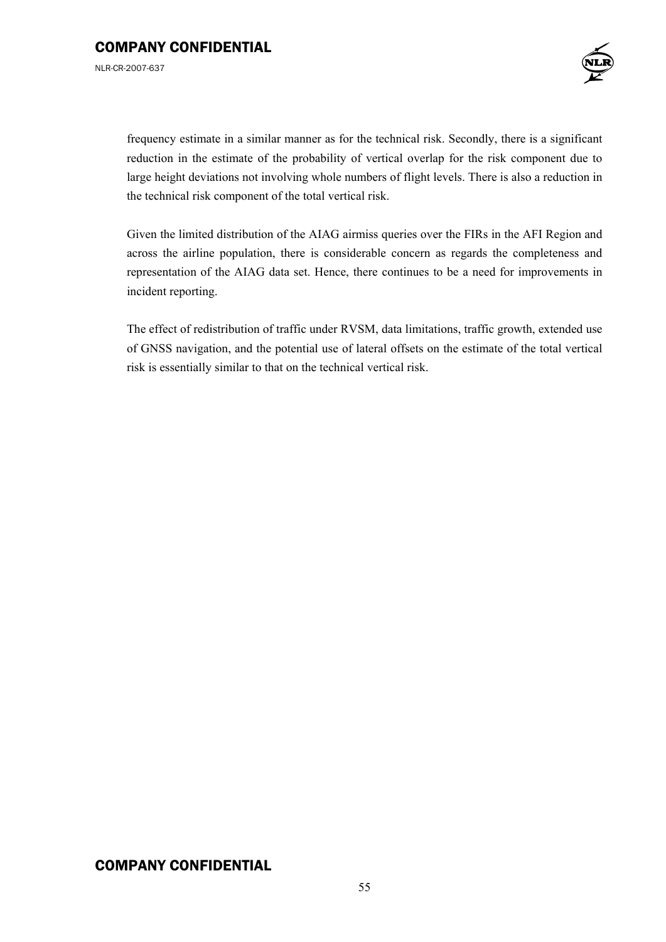

frequency estimate in a similar manner as for the technical risk. Secondly, there is a significant reduction in the estimate of the probability of vertical overlap for the risk component due to large height deviations not involving whole numbers of flight levels. There is also a reduction in the technical risk component of the total vertical risk.

Given the limited distribution of the AIAG airmiss queries over the FIRs in the AFI Region and across the airline population, there is considerable concern as regards the completeness and representation of the AIAG data set. Hence, there continues to be a need for improvements in incident reporting.

The effect of redistribution of traffic under RVSM, data limitations, traffic growth, extended use of GNSS navigation, and the potential use of lateral offsets on the estimate of the total vertical risk is essentially similar to that on the technical vertical risk.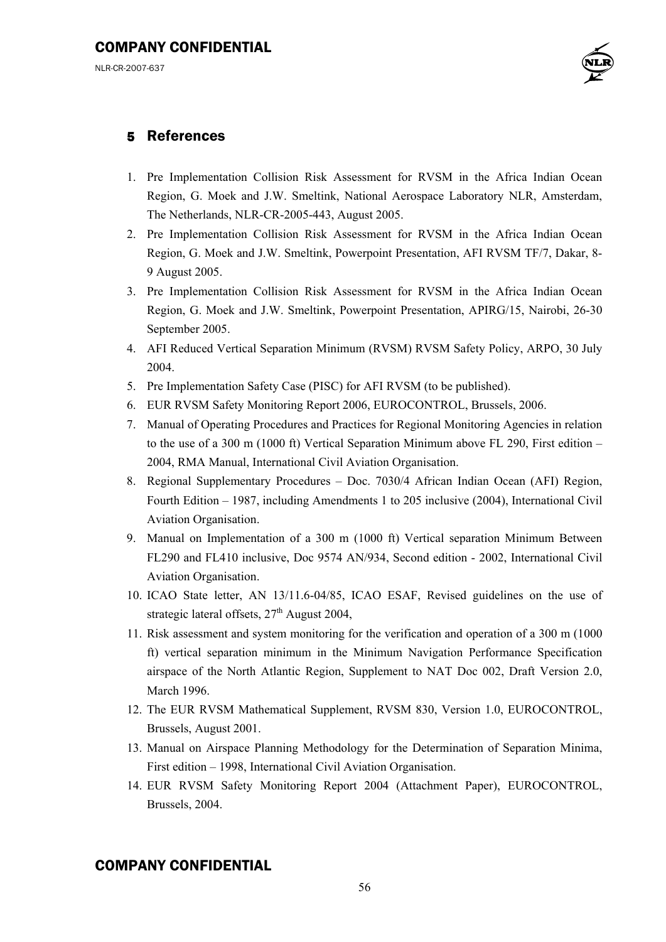

## 5 References

- 1. Pre Implementation Collision Risk Assessment for RVSM in the Africa Indian Ocean Region, G. Moek and J.W. Smeltink, National Aerospace Laboratory NLR, Amsterdam, The Netherlands, NLR-CR-2005-443, August 2005.
- 2. Pre Implementation Collision Risk Assessment for RVSM in the Africa Indian Ocean Region, G. Moek and J.W. Smeltink, Powerpoint Presentation, AFI RVSM TF/7, Dakar, 8- 9 August 2005.
- 3. Pre Implementation Collision Risk Assessment for RVSM in the Africa Indian Ocean Region, G. Moek and J.W. Smeltink, Powerpoint Presentation, APIRG/15, Nairobi, 26-30 September 2005.
- 4. AFI Reduced Vertical Separation Minimum (RVSM) RVSM Safety Policy, ARPO, 30 July 2004.
- 5. Pre Implementation Safety Case (PISC) for AFI RVSM (to be published).
- 6. EUR RVSM Safety Monitoring Report 2006, EUROCONTROL, Brussels, 2006.
- 7. Manual of Operating Procedures and Practices for Regional Monitoring Agencies in relation to the use of a 300 m (1000 ft) Vertical Separation Minimum above FL 290, First edition – 2004, RMA Manual, International Civil Aviation Organisation.
- 8. Regional Supplementary Procedures Doc. 7030/4 African Indian Ocean (AFI) Region, Fourth Edition – 1987, including Amendments 1 to 205 inclusive (2004), International Civil Aviation Organisation.
- 9. Manual on Implementation of a 300 m (1000 ft) Vertical separation Minimum Between FL290 and FL410 inclusive, Doc 9574 AN/934, Second edition - 2002, International Civil Aviation Organisation.
- 10. ICAO State letter, AN 13/11.6-04/85, ICAO ESAF, Revised guidelines on the use of strategic lateral offsets,  $27<sup>th</sup>$  August 2004,
- 11. Risk assessment and system monitoring for the verification and operation of a 300 m (1000 ft) vertical separation minimum in the Minimum Navigation Performance Specification airspace of the North Atlantic Region, Supplement to NAT Doc 002, Draft Version 2.0, March 1996.
- 12. The EUR RVSM Mathematical Supplement, RVSM 830, Version 1.0, EUROCONTROL, Brussels, August 2001.
- 13. Manual on Airspace Planning Methodology for the Determination of Separation Minima, First edition – 1998, International Civil Aviation Organisation.
- 14. EUR RVSM Safety Monitoring Report 2004 (Attachment Paper), EUROCONTROL, Brussels, 2004.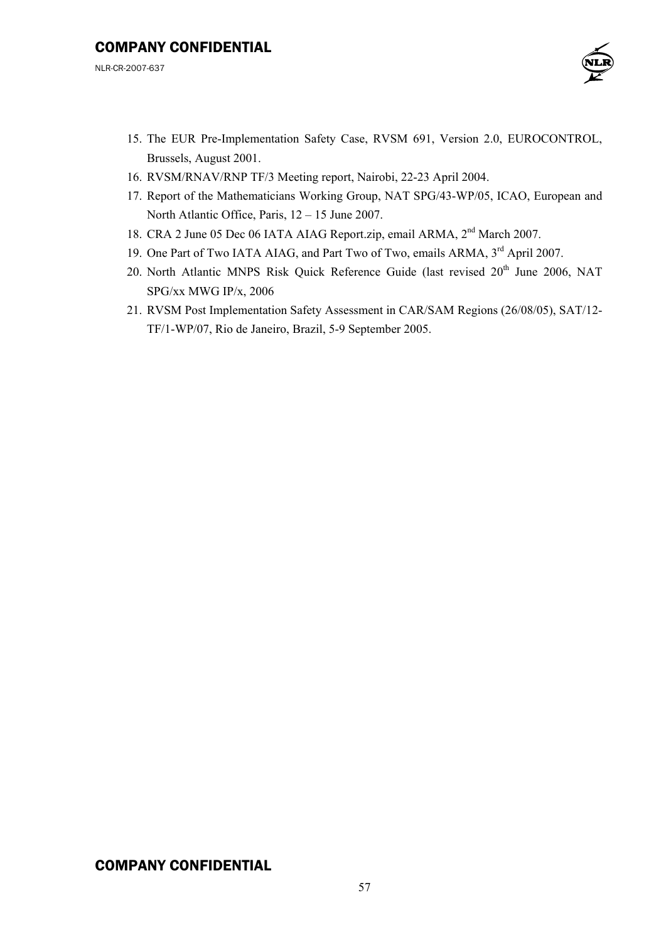

- 15. The EUR Pre-Implementation Safety Case, RVSM 691, Version 2.0, EUROCONTROL, Brussels, August 2001.
- 16. RVSM/RNAV/RNP TF/3 Meeting report, Nairobi, 22-23 April 2004.
- 17. Report of the Mathematicians Working Group, NAT SPG/43-WP/05, ICAO, European and North Atlantic Office, Paris, 12 – 15 June 2007.
- 18. CRA 2 June 05 Dec 06 IATA AIAG Report.zip, email ARMA, 2nd March 2007.
- 19. One Part of Two IATA AIAG, and Part Two of Two, emails ARMA, 3<sup>rd</sup> April 2007.
- 20. North Atlantic MNPS Risk Quick Reference Guide (last revised 20<sup>th</sup> June 2006, NAT SPG/xx MWG IP/x, 2006
- 21. RVSM Post Implementation Safety Assessment in CAR/SAM Regions (26/08/05), SAT/12- TF/1-WP/07, Rio de Janeiro, Brazil, 5-9 September 2005.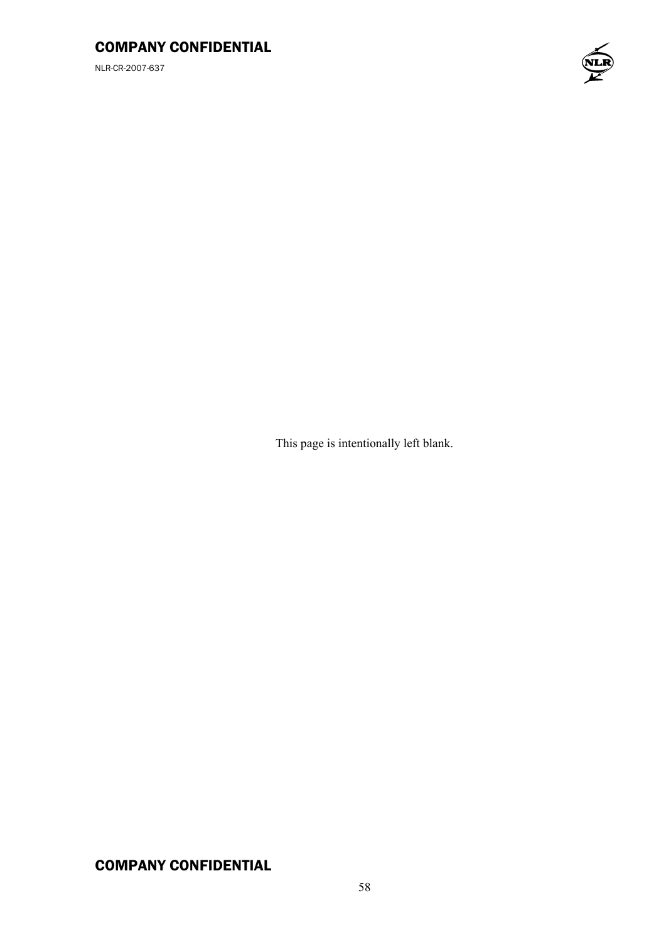NLR-CR-2007-637



This page is intentionally left blank.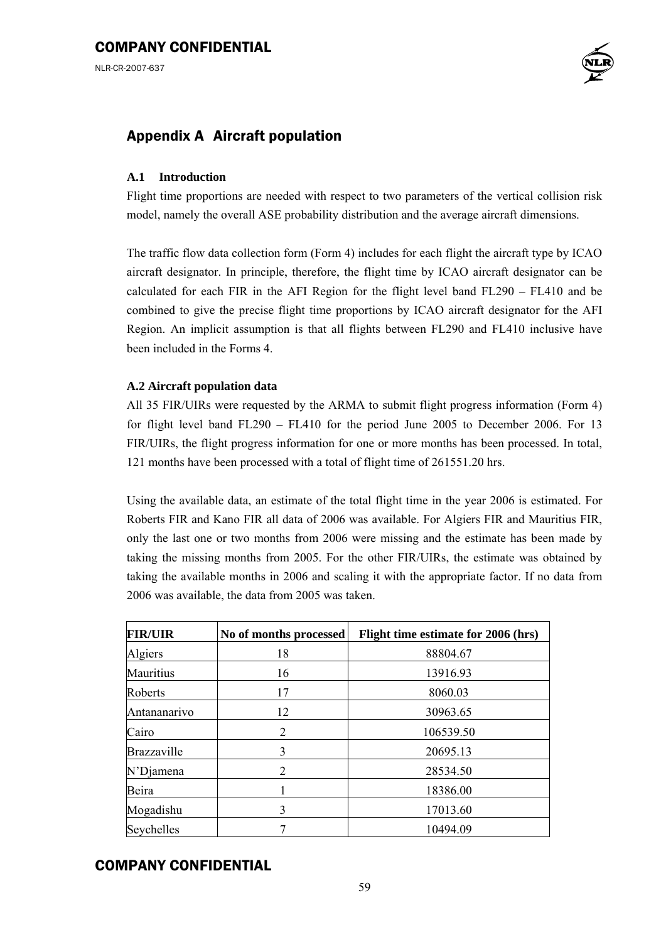NLR-CR-2007-637



# Appendix A Aircraft population

### **A.1 Introduction**

Flight time proportions are needed with respect to two parameters of the vertical collision risk model, namely the overall ASE probability distribution and the average aircraft dimensions.

The traffic flow data collection form (Form 4) includes for each flight the aircraft type by ICAO aircraft designator. In principle, therefore, the flight time by ICAO aircraft designator can be calculated for each FIR in the AFI Region for the flight level band FL290 – FL410 and be combined to give the precise flight time proportions by ICAO aircraft designator for the AFI Region. An implicit assumption is that all flights between FL290 and FL410 inclusive have been included in the Forms 4.

### **A.2 Aircraft population data**

All 35 FIR/UIRs were requested by the ARMA to submit flight progress information (Form 4) for flight level band FL290 – FL410 for the period June 2005 to December 2006. For 13 FIR/UIRs, the flight progress information for one or more months has been processed. In total, 121 months have been processed with a total of flight time of 261551.20 hrs.

Using the available data, an estimate of the total flight time in the year 2006 is estimated. For Roberts FIR and Kano FIR all data of 2006 was available. For Algiers FIR and Mauritius FIR, only the last one or two months from 2006 were missing and the estimate has been made by taking the missing months from 2005. For the other FIR/UIRs, the estimate was obtained by taking the available months in 2006 and scaling it with the appropriate factor. If no data from 2006 was available, the data from 2005 was taken.

| <b>FIR/UIR</b>     | No of months processed | Flight time estimate for 2006 (hrs) |
|--------------------|------------------------|-------------------------------------|
| Algiers            | 18                     | 88804.67                            |
| Mauritius          | 16                     | 13916.93                            |
| Roberts            | 17                     | 8060.03                             |
| Antananarivo       | 12                     | 30963.65                            |
| Cairo              | 2                      | 106539.50                           |
| <b>Brazzaville</b> | 3                      | 20695.13                            |
| N'Djamena          | 2                      | 28534.50                            |
| Beira              |                        | 18386.00                            |
| Mogadishu          | 3                      | 17013.60                            |
| Seychelles         |                        | 10494.09                            |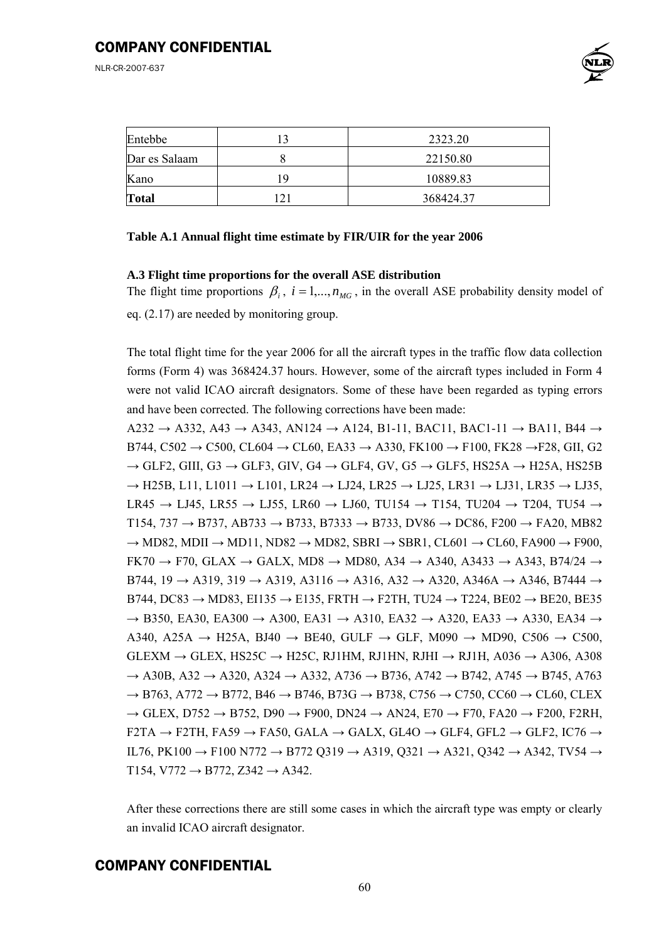

| Entebbe       |                | 2323.20   |
|---------------|----------------|-----------|
| Dar es Salaam |                | 22150.80  |
| Kano          | . Q            | 10889.83  |
| <b>Total</b>  | $\mathcal{D}1$ | 368424.37 |

### **Table A.1 Annual flight time estimate by FIR/UIR for the year 2006**

### **A.3 Flight time proportions for the overall ASE distribution**

The flight time proportions  $\beta_i$ ,  $i = 1,..., n_{MG}$ , in the overall ASE probability density model of eq. (2.17) are needed by monitoring group.

The total flight time for the year 2006 for all the aircraft types in the traffic flow data collection forms (Form 4) was 368424.37 hours. However, some of the aircraft types included in Form 4 were not valid ICAO aircraft designators. Some of these have been regarded as typing errors and have been corrected. The following corrections have been made:

 $A232 \rightarrow A332$ ,  $A43 \rightarrow A343$ ,  $AN124 \rightarrow A124$ ,  $B1-11$ ,  $BAC11$ ,  $BAC1-11 \rightarrow BA11$ ,  $B44 \rightarrow$  $B744$ ,  $C502 \rightarrow C500$ ,  $C1604 \rightarrow C160$ ,  $E A33 \rightarrow A330$ ,  $FK 100 \rightarrow F100$ ,  $FK 28 \rightarrow F28$ , GII, G2  $\rightarrow$  GLF2, GIII, G3  $\rightarrow$  GLF3, GIV, G4  $\rightarrow$  GLF4, GV, G5  $\rightarrow$  GLF5, HS25A  $\rightarrow$  H25A, HS25B  $\rightarrow$  H25B, L11, L1011  $\rightarrow$  L101, LR24  $\rightarrow$  LJ24, LR25  $\rightarrow$  LJ25, LR31  $\rightarrow$  LJ31, LR35  $\rightarrow$  LJ35, LR45 → LJ45, LR55 → LJ55, LR60 → LJ60, TU154 → T154, TU204 → T204, TU54 →  $T154, 737 \rightarrow B737, AB733 \rightarrow B733, B7333 \rightarrow B733, DVS6 \rightarrow DCS6, F200 \rightarrow FA20, MB82$  $\rightarrow$  MD82, MDII  $\rightarrow$  MD11, ND82  $\rightarrow$  MD82, SBRI  $\rightarrow$  SBR1, CL601  $\rightarrow$  CL60, FA900  $\rightarrow$  F900,  $FK70 \rightarrow F70$ ,  $GLAX \rightarrow GALX$ ,  $MD8 \rightarrow MD80$ ,  $A34 \rightarrow A340$ ,  $A3433 \rightarrow A343$ ,  $B74/24 \rightarrow$  $B744$ ,  $19 \rightarrow A319$ ,  $319 \rightarrow A319$ ,  $A3116 \rightarrow A316$ ,  $A32 \rightarrow A320$ ,  $A346A \rightarrow A346$ ,  $B7444 \rightarrow$  $B744, DCS3 \rightarrow MD83, E1135 \rightarrow E135, FRTH \rightarrow F2TH, TU24 \rightarrow T224, BE02 \rightarrow BE20, BE35$  $\rightarrow$  B350, EA30, EA300  $\rightarrow$  A300, EA31  $\rightarrow$  A310, EA32  $\rightarrow$  A320, EA33  $\rightarrow$  A330, EA34  $\rightarrow$ A340, A25A  $\rightarrow$  H25A, BJ40  $\rightarrow$  BE40, GULF  $\rightarrow$  GLF, M090  $\rightarrow$  MD90, C506  $\rightarrow$  C500,  $GLEXM \rightarrow GLEX$ , HS25C  $\rightarrow$  H25C, RJ1HM, RJ1HN, RJHI  $\rightarrow$  RJ1H, A036  $\rightarrow$  A306, A308  $\rightarrow$  A30B, A32  $\rightarrow$  A320, A324  $\rightarrow$  A332, A736  $\rightarrow$  B736, A742  $\rightarrow$  B742, A745  $\rightarrow$  B745, A763  $\rightarrow$  B763, A772  $\rightarrow$  B772, B46  $\rightarrow$  B746, B73G  $\rightarrow$  B738, C756  $\rightarrow$  C750, CC60  $\rightarrow$  CL60, CLEX  $\rightarrow$  GLEX, D752  $\rightarrow$  B752, D90  $\rightarrow$  F900, DN24  $\rightarrow$  AN24, E70  $\rightarrow$  F70, FA20  $\rightarrow$  F200, F2RH, F2TA  $\rightarrow$  F2TH, FA59  $\rightarrow$  FA50, GALA  $\rightarrow$  GALX, GL4O  $\rightarrow$  GLF4, GFL2  $\rightarrow$  GLF2, IC76  $\rightarrow$ IL76, PK100 → F100 N772 → B772 Q319 → A319, Q321 → A321, Q342 → A342, TV54 → T154, V772 → B772, Z342 → A342.

After these corrections there are still some cases in which the aircraft type was empty or clearly an invalid ICAO aircraft designator.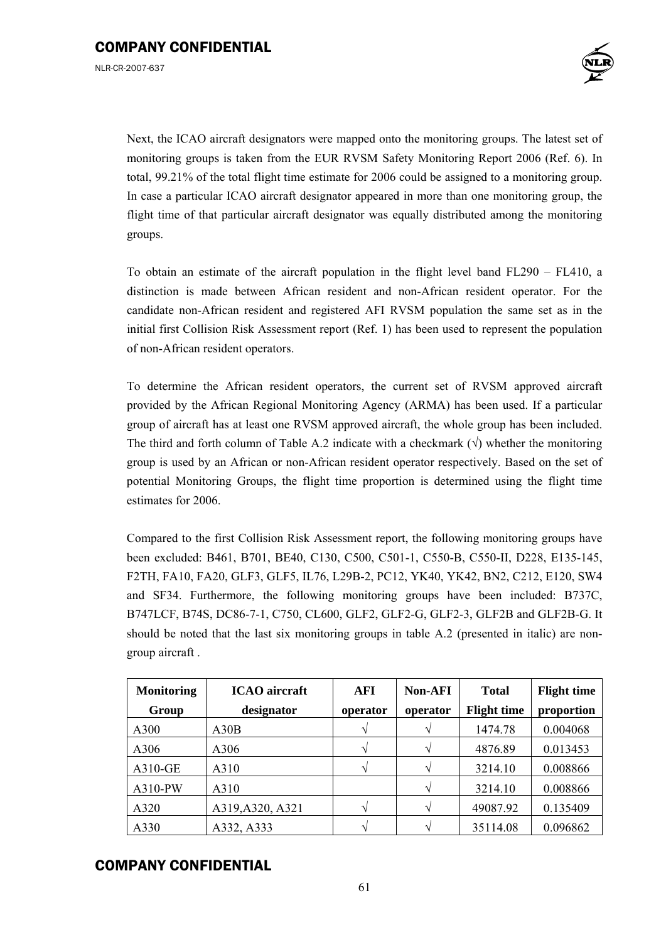

Next, the ICAO aircraft designators were mapped onto the monitoring groups. The latest set of monitoring groups is taken from the EUR RVSM Safety Monitoring Report 2006 (Ref. 6). In total, 99.21% of the total flight time estimate for 2006 could be assigned to a monitoring group. In case a particular ICAO aircraft designator appeared in more than one monitoring group, the flight time of that particular aircraft designator was equally distributed among the monitoring groups.

To obtain an estimate of the aircraft population in the flight level band FL290 – FL410, a distinction is made between African resident and non-African resident operator. For the candidate non-African resident and registered AFI RVSM population the same set as in the initial first Collision Risk Assessment report (Ref. 1) has been used to represent the population of non-African resident operators.

To determine the African resident operators, the current set of RVSM approved aircraft provided by the African Regional Monitoring Agency (ARMA) has been used. If a particular group of aircraft has at least one RVSM approved aircraft, the whole group has been included. The third and forth column of Table A.2 indicate with a checkmark  $(\sqrt)$  whether the monitoring group is used by an African or non-African resident operator respectively. Based on the set of potential Monitoring Groups, the flight time proportion is determined using the flight time estimates for 2006.

Compared to the first Collision Risk Assessment report, the following monitoring groups have been excluded: B461, B701, BE40, C130, C500, C501-1, C550-B, C550-II, D228, E135-145, F2TH, FA10, FA20, GLF3, GLF5, IL76, L29B-2, PC12, YK40, YK42, BN2, C212, E120, SW4 and SF34. Furthermore, the following monitoring groups have been included: B737C, B747LCF, B74S, DC86-7-1, C750, CL600, GLF2, GLF2-G, GLF2-3, GLF2B and GLF2B-G. It should be noted that the last six monitoring groups in table A.2 (presented in italic) are nongroup aircraft .

| <b>Monitoring</b> | <b>ICAO</b> aircraft | AFI           | <b>Non-AFI</b> | <b>Total</b>       | <b>Flight time</b> |
|-------------------|----------------------|---------------|----------------|--------------------|--------------------|
| Group             | designator           | operator      | operator       | <b>Flight time</b> | proportion         |
| A300              | A30B                 |               |                | 1474.78            | 0.004068           |
| A306              | A306                 | $\mathcal{N}$ |                | 4876.89            | 0.013453           |
| A310-GE           | A310                 |               |                | 3214.10            | 0.008866           |
| A310-PW           | A310                 |               |                | 3214.10            | 0.008866           |
| A320              | A319, A320, A321     |               |                | 49087.92           | 0.135409           |
| A330              | A332, A333           |               |                | 35114.08           | 0.096862           |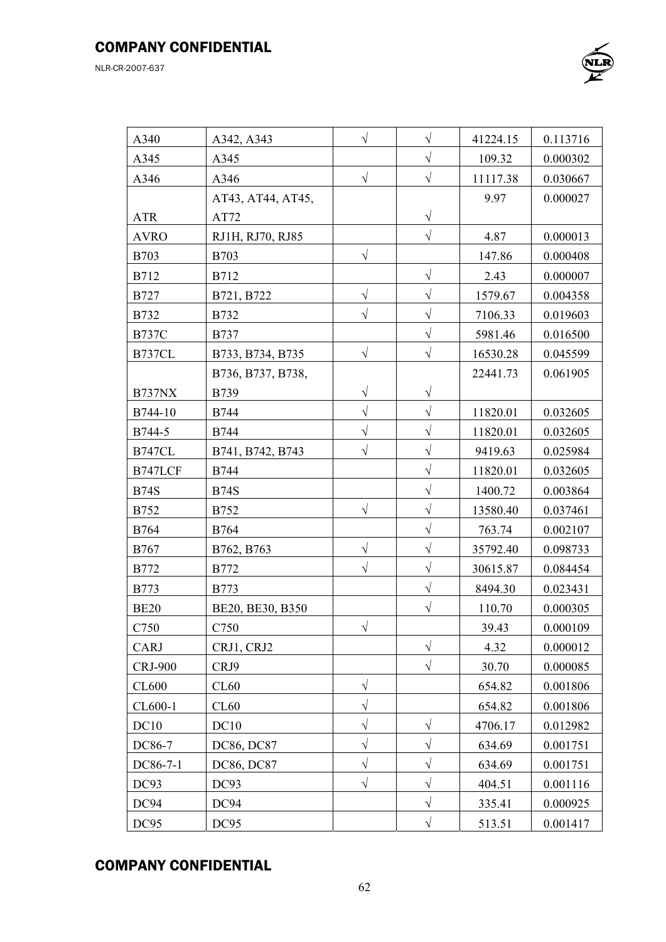NLR-CR-2007-637



| A340           | A342, A343        | $\sqrt{ }$ | $\sqrt{}$  | 41224.15 | 0.113716 |
|----------------|-------------------|------------|------------|----------|----------|
| A345           | A345              |            | $\sqrt{2}$ | 109.32   | 0.000302 |
| A346           | A346              | $\sqrt{}$  | $\sqrt{}$  | 11117.38 | 0.030667 |
|                | AT43, AT44, AT45, |            |            | 9.97     | 0.000027 |
| <b>ATR</b>     | AT72              |            | V          |          |          |
| <b>AVRO</b>    | RJ1H, RJ70, RJ85  |            | $\sqrt{}$  | 4.87     | 0.000013 |
| <b>B703</b>    | <b>B703</b>       | $\sqrt{2}$ |            | 147.86   | 0.000408 |
| B712           | <b>B712</b>       |            | $\sqrt{}$  | 2.43     | 0.000007 |
| <b>B727</b>    | B721, B722        | $\sqrt{2}$ | $\sqrt{}$  | 1579.67  | 0.004358 |
| <b>B732</b>    | <b>B732</b>       | $\sqrt{}$  | $\sqrt{}$  | 7106.33  | 0.019603 |
| <b>B737C</b>   | <b>B737</b>       |            | $\sqrt{2}$ | 5981.46  | 0.016500 |
| B737CL         | B733, B734, B735  | $\sqrt{ }$ | $\sqrt{}$  | 16530.28 | 0.045599 |
|                | B736, B737, B738, |            |            | 22441.73 | 0.061905 |
| <b>B737NX</b>  | <b>B739</b>       | $\sqrt{}$  | $\sqrt{}$  |          |          |
| B744-10        | <b>B744</b>       | $\sqrt{}$  | $\sqrt{}$  | 11820.01 | 0.032605 |
| B744-5         | <b>B744</b>       | $\sqrt{}$  | $\sqrt{}$  | 11820.01 | 0.032605 |
| <b>B747CL</b>  | B741, B742, B743  | $\sqrt{}$  | $\sqrt{}$  | 9419.63  | 0.025984 |
| B747LCF        | <b>B744</b>       |            | $\sqrt{2}$ | 11820.01 | 0.032605 |
| <b>B74S</b>    | <b>B74S</b>       |            | $\sqrt{2}$ | 1400.72  | 0.003864 |
| <b>B752</b>    | <b>B752</b>       | $\sqrt{}$  | $\sqrt{}$  | 13580.40 | 0.037461 |
| <b>B764</b>    | <b>B764</b>       |            | $\sqrt{}$  | 763.74   | 0.002107 |
| <b>B767</b>    | B762, B763        | $\sqrt{}$  | $\sqrt{}$  | 35792.40 | 0.098733 |
| <b>B772</b>    | <b>B772</b>       | $\sqrt{}$  | $\sqrt{}$  | 30615.87 | 0.084454 |
| <b>B773</b>    | <b>B773</b>       |            | $\sqrt{}$  | 8494.30  | 0.023431 |
| <b>BE20</b>    | BE20, BE30, B350  |            | $\sqrt{}$  | 110.70   | 0.000305 |
| C750           | C750              | $\sqrt{ }$ |            | 39.43    | 0.000109 |
| CARJ           | CRJ1, CRJ2        |            | $\sqrt{}$  | 4.32     | 0.000012 |
| <b>CRJ-900</b> | CRJ9              |            | $\sqrt{}$  | 30.70    | 0.000085 |
| <b>CL600</b>   | CL60              | $\sqrt{}$  |            | 654.82   | 0.001806 |
| CL600-1        | CL60              |            |            | 654.82   | 0.001806 |
| DC10           | DC10              | $\sqrt{}$  | $\sqrt{}$  | 4706.17  | 0.012982 |
| DC86-7         | DC86, DC87        | $\sqrt{}$  | $\sqrt{}$  | 634.69   | 0.001751 |
| DC86-7-1       | DC86, DC87        | $\sqrt{}$  | $\sqrt{}$  | 634.69   | 0.001751 |
| DC93           | DC93              | $\sqrt{}$  | $\sqrt{}$  | 404.51   | 0.001116 |
| DC94           | DC94              |            | $\sqrt{}$  | 335.41   | 0.000925 |
| DC95           | DC95              |            | $\sqrt{}$  | 513.51   | 0.001417 |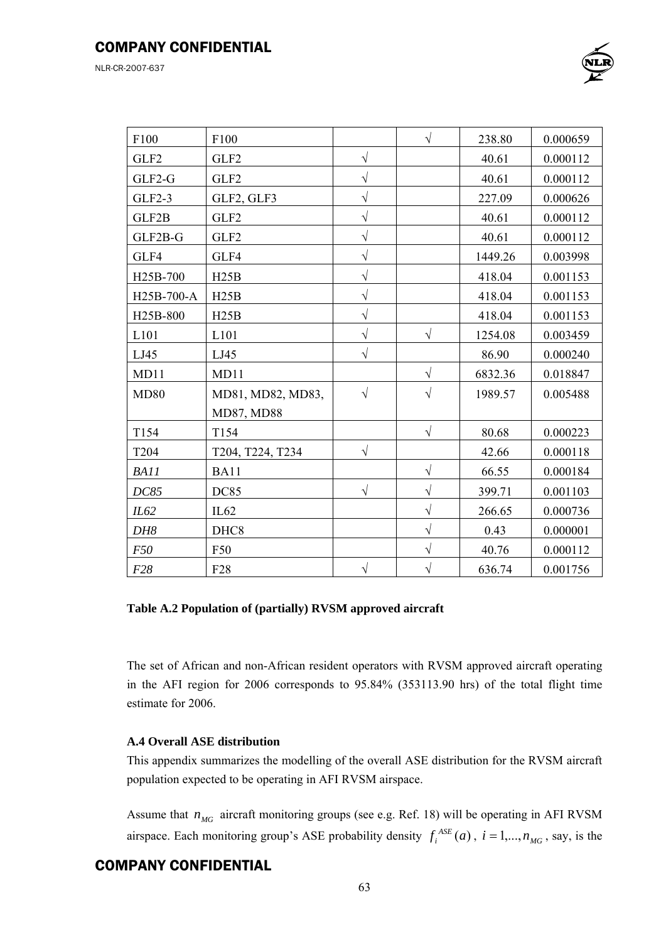NLR-CR-2007-637



| F100          | F100              |            | $\sqrt{ }$ | 238.80  | 0.000659 |
|---------------|-------------------|------------|------------|---------|----------|
| GLF2          | GLF2              | $\sqrt{}$  |            | 40.61   | 0.000112 |
| GLF2-G        | GLF2              | $\sqrt{}$  |            | 40.61   | 0.000112 |
| <b>GLF2-3</b> | GLF2, GLF3        | $\sqrt{}$  |            | 227.09  | 0.000626 |
| GLF2B         | GLF2              | $\sqrt{ }$ |            | 40.61   | 0.000112 |
| GLF2B-G       | GLF2              | $\sqrt{}$  |            | 40.61   | 0.000112 |
| GLF4          | GLF4              | $\sqrt{}$  |            | 1449.26 | 0.003998 |
| H25B-700      | H25B              | $\sqrt{}$  |            | 418.04  | 0.001153 |
| H25B-700-A    | H25B              | $\sqrt{}$  |            | 418.04  | 0.001153 |
| H25B-800      | H25B              | $\sqrt{}$  |            | 418.04  | 0.001153 |
| L101          | L101              | $\sqrt{}$  | $\sqrt{}$  | 1254.08 | 0.003459 |
| LJ45          | LJ45              | $\sqrt{}$  |            | 86.90   | 0.000240 |
| MD11          | MD11              |            | $\sqrt{}$  | 6832.36 | 0.018847 |
| <b>MD80</b>   | MD81, MD82, MD83, | $\sqrt{ }$ | $\sqrt{}$  | 1989.57 | 0.005488 |
|               | MD87, MD88        |            |            |         |          |
| T154          | T154              |            | $\sqrt{}$  | 80.68   | 0.000223 |
| T204          | T204, T224, T234  | $\sqrt{}$  |            | 42.66   | 0.000118 |
| BA11          | <b>BA11</b>       |            | $\sqrt{}$  | 66.55   | 0.000184 |
| <b>DC85</b>   | DC85              | $\sqrt{}$  | $\sqrt{}$  | 399.71  | 0.001103 |
| IL62          | IL62              |            | $\sqrt{}$  | 266.65  | 0.000736 |
| DH8           | DHC <sub>8</sub>  |            | $\sqrt{}$  | 0.43    | 0.000001 |
| F50           | F50               |            | $\sqrt{}$  | 40.76   | 0.000112 |
| F28           | F <sub>28</sub>   | $\sqrt{}$  | $\sqrt{}$  | 636.74  | 0.001756 |

### **Table A.2 Population of (partially) RVSM approved aircraft**

The set of African and non-African resident operators with RVSM approved aircraft operating in the AFI region for 2006 corresponds to 95.84% (353113.90 hrs) of the total flight time estimate for 2006.

### **A.4 Overall ASE distribution**

This appendix summarizes the modelling of the overall ASE distribution for the RVSM aircraft population expected to be operating in AFI RVSM airspace.

Assume that  $n_{MG}$  aircraft monitoring groups (see e.g. Ref. 18) will be operating in AFI RVSM airspace. Each monitoring group's ASE probability density  $f_i^{ASE}(a)$ ,  $i = 1,...,n_{MG}$ , say, is the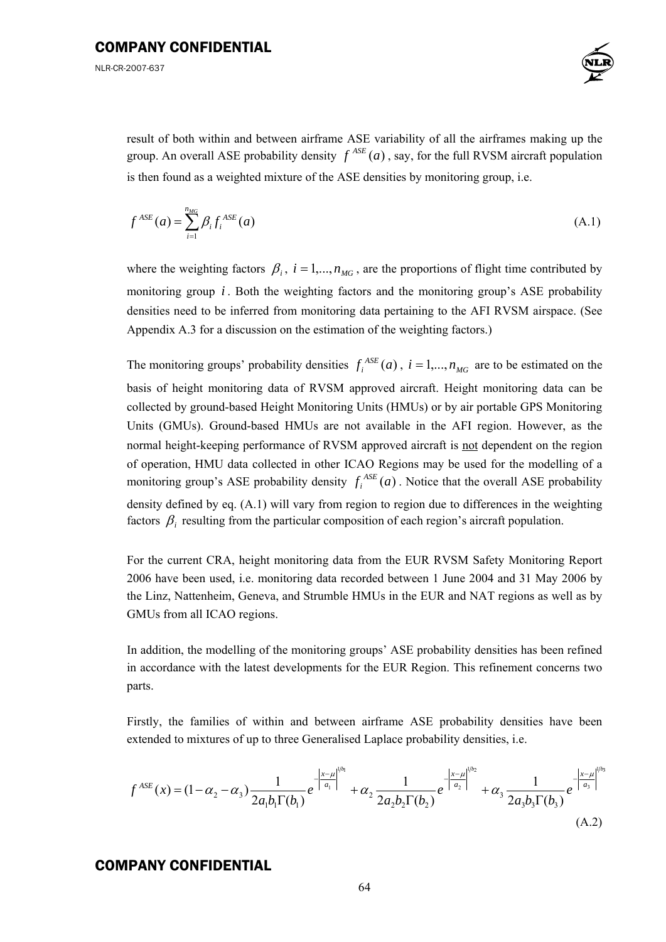

result of both within and between airframe ASE variability of all the airframes making up the group. An overall ASE probability density  $f^{ASE}(a)$ , say, for the full RVSM aircraft population is then found as a weighted mixture of the ASE densities by monitoring group, i.e.

$$
f^{ASE}(a) = \sum_{i=1}^{n_{MG}} \beta_i f_i^{ASE}(a)
$$
 (A.1)

where the weighting factors  $\beta_i$ ,  $i = 1,..., n_{MC}$ , are the proportions of flight time contributed by monitoring group  $i$ . Both the weighting factors and the monitoring group's ASE probability densities need to be inferred from monitoring data pertaining to the AFI RVSM airspace. (See Appendix A.3 for a discussion on the estimation of the weighting factors.)

The monitoring groups' probability densities  $f_i^{ASE}(a)$ ,  $i = 1,...,n_{MG}$  are to be estimated on the basis of height monitoring data of RVSM approved aircraft. Height monitoring data can be collected by ground-based Height Monitoring Units (HMUs) or by air portable GPS Monitoring Units (GMUs). Ground-based HMUs are not available in the AFI region. However, as the normal height-keeping performance of RVSM approved aircraft is not dependent on the region of operation, HMU data collected in other ICAO Regions may be used for the modelling of a monitoring group's ASE probability density  $f_i^{ASE}(a)$ . Notice that the overall ASE probability density defined by eq. (A.1) will vary from region to region due to differences in the weighting factors  $\beta$ , resulting from the particular composition of each region's aircraft population.

For the current CRA, height monitoring data from the EUR RVSM Safety Monitoring Report 2006 have been used, i.e. monitoring data recorded between 1 June 2004 and 31 May 2006 by the Linz, Nattenheim, Geneva, and Strumble HMUs in the EUR and NAT regions as well as by GMUs from all ICAO regions.

In addition, the modelling of the monitoring groups' ASE probability densities has been refined in accordance with the latest developments for the EUR Region. This refinement concerns two parts.

Firstly, the families of within and between airframe ASE probability densities have been extended to mixtures of up to three Generalised Laplace probability densities, i.e.

$$
f^{ASE}(x) = (1 - \alpha_2 - \alpha_3) \frac{1}{2a_1b_1\Gamma(b_1)} e^{-\left|\frac{x-\mu}{a_1}\right|^{1/b_1}} + \alpha_2 \frac{1}{2a_2b_2\Gamma(b_2)} e^{-\left|\frac{x-\mu}{a_2}\right|^{1/b_2}} + \alpha_3 \frac{1}{2a_3b_3\Gamma(b_3)} e^{-\left|\frac{x-\mu}{a_3}\right|^{1/b_3}}
$$
(A.2)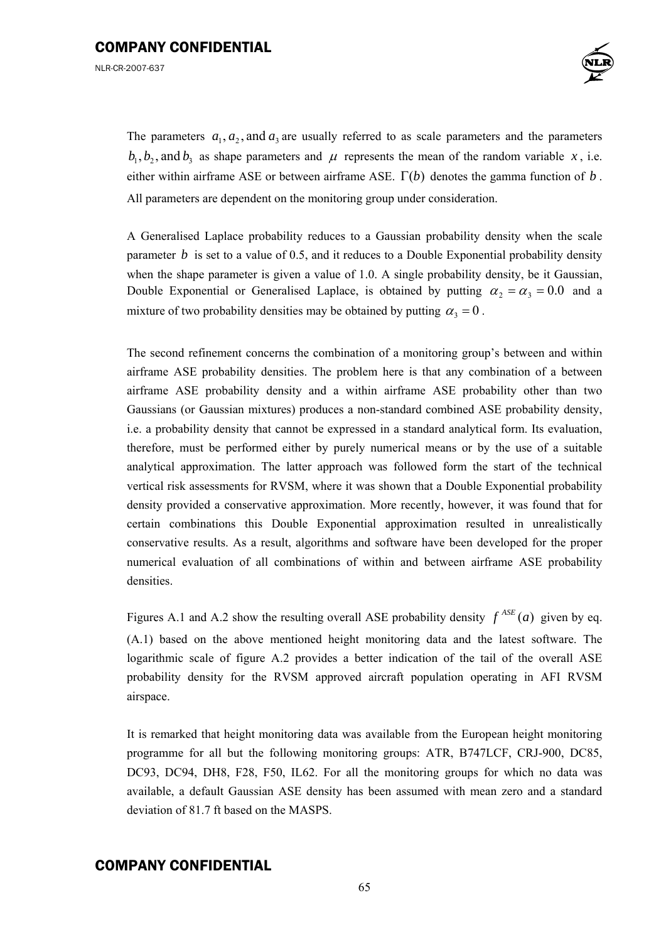

The parameters  $a_1$ ,  $a_2$ , and  $a_3$  are usually referred to as scale parameters and the parameters  $b_1, b_2$ , and  $b_3$  as shape parameters and  $\mu$  represents the mean of the random variable *x*, i.e. either within airframe ASE or between airframe ASE. Γ(*b*) denotes the gamma function of *b* . All parameters are dependent on the monitoring group under consideration.

A Generalised Laplace probability reduces to a Gaussian probability density when the scale parameter  $b$  is set to a value of 0.5, and it reduces to a Double Exponential probability density when the shape parameter is given a value of 1.0. A single probability density, be it Gaussian, Double Exponential or Generalised Laplace, is obtained by putting  $\alpha_2 = \alpha_3 = 0.0$  and a mixture of two probability densities may be obtained by putting  $\alpha_3 = 0$ .

The second refinement concerns the combination of a monitoring group's between and within airframe ASE probability densities. The problem here is that any combination of a between airframe ASE probability density and a within airframe ASE probability other than two Gaussians (or Gaussian mixtures) produces a non-standard combined ASE probability density, i.e. a probability density that cannot be expressed in a standard analytical form. Its evaluation, therefore, must be performed either by purely numerical means or by the use of a suitable analytical approximation. The latter approach was followed form the start of the technical vertical risk assessments for RVSM, where it was shown that a Double Exponential probability density provided a conservative approximation. More recently, however, it was found that for certain combinations this Double Exponential approximation resulted in unrealistically conservative results. As a result, algorithms and software have been developed for the proper numerical evaluation of all combinations of within and between airframe ASE probability densities.

Figures A.1 and A.2 show the resulting overall ASE probability density  $f^{ASE}(a)$  given by eq. (A.1) based on the above mentioned height monitoring data and the latest software. The logarithmic scale of figure A.2 provides a better indication of the tail of the overall ASE probability density for the RVSM approved aircraft population operating in AFI RVSM airspace.

It is remarked that height monitoring data was available from the European height monitoring programme for all but the following monitoring groups: ATR, B747LCF, CRJ-900, DC85, DC93, DC94, DH8, F28, F50, IL62. For all the monitoring groups for which no data was available, a default Gaussian ASE density has been assumed with mean zero and a standard deviation of 81.7 ft based on the MASPS.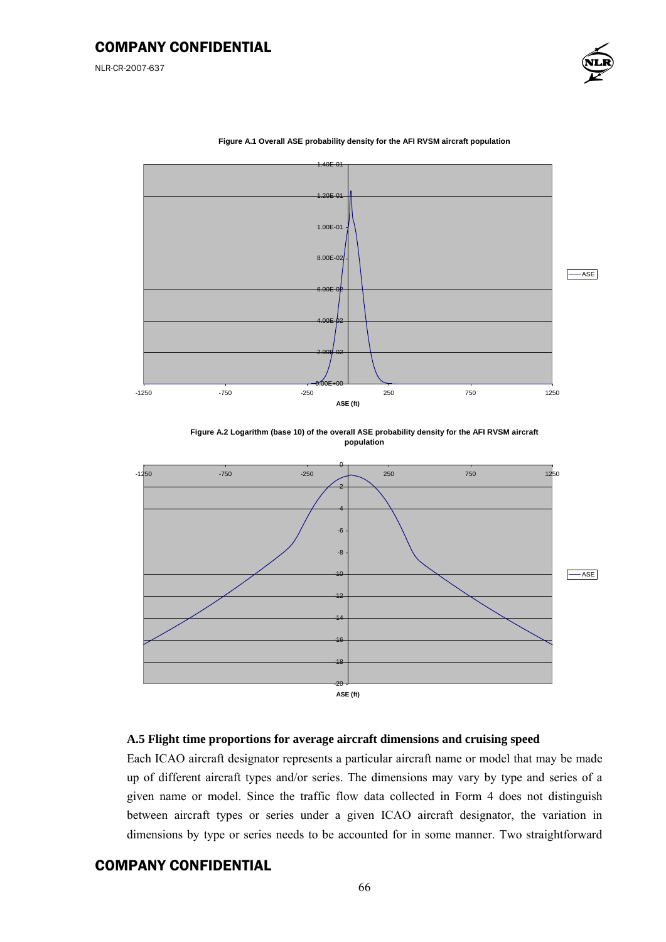NLR-CR-2007-637





#### **Figure A.1 Overall ASE probability density for the AFI RVSM aircraft population**





### **A.5 Flight time proportions for average aircraft dimensions and cruising speed**

Each ICAO aircraft designator represents a particular aircraft name or model that may be made up of different aircraft types and/or series. The dimensions may vary by type and series of a given name or model. Since the traffic flow data collected in Form 4 does not distinguish between aircraft types or series under a given ICAO aircraft designator, the variation in dimensions by type or series needs to be accounted for in some manner. Two straightforward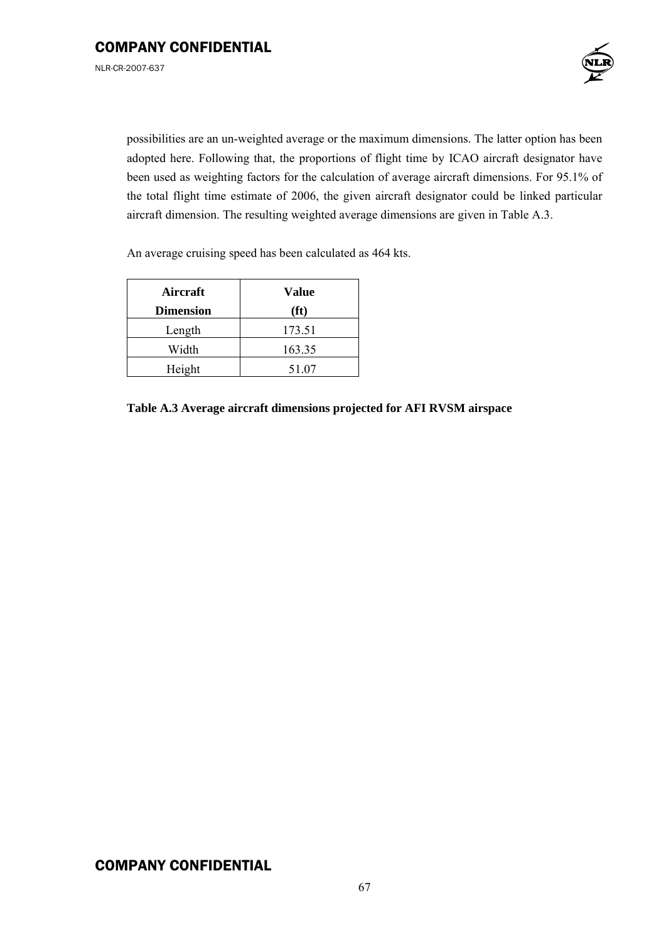

possibilities are an un-weighted average or the maximum dimensions. The latter option has been adopted here. Following that, the proportions of flight time by ICAO aircraft designator have been used as weighting factors for the calculation of average aircraft dimensions. For 95.1% of the total flight time estimate of 2006, the given aircraft designator could be linked particular aircraft dimension. The resulting weighted average dimensions are given in Table A.3.

An average cruising speed has been calculated as 464 kts.

| Aircraft         | <b>Value</b>      |
|------------------|-------------------|
| <b>Dimension</b> | (f <sup>t</sup> ) |
| Length           | 173.51            |
| Width            | 163.35            |
| Height           | 51.07             |

**Table A.3 Average aircraft dimensions projected for AFI RVSM airspace**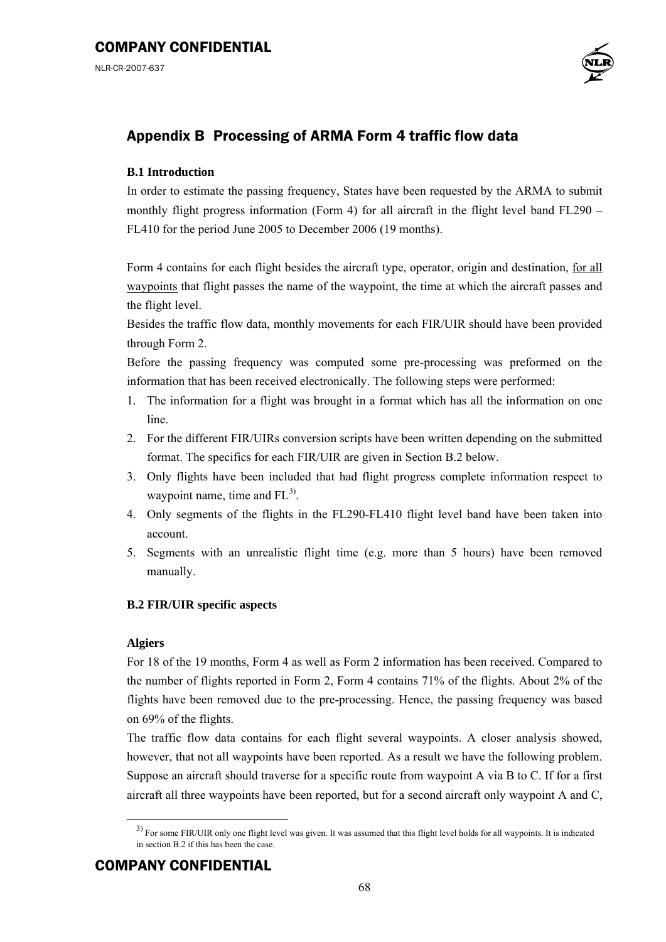

# <span id="page-69-0"></span>Appendix B Processing of ARMA Form 4 traffic flow data

### **B.1 Introduction**

In order to estimate the passing frequency, States have been requested by the ARMA to submit monthly flight progress information (Form 4) for all aircraft in the flight level band FL290 – FL410 for the period June 2005 to December 2006 (19 months).

Form 4 contains for each flight besides the aircraft type, operator, origin and destination, for all waypoints that flight passes the name of the waypoint, the time at which the aircraft passes and the flight level.

Besides the traffic flow data, monthly movements for each FIR/UIR should have been provided through Form 2.

Before the passing frequency was computed some pre-processing was preformed on the information that has been received electronically. The following steps were performed:

- 1. The information for a flight was brought in a format which has all the information on one line.
- 2. For the different FIR/UIRs conversion scripts have been written depending on the submitted format. The specifics for each FIR/UIR are given in Section B.2 below.
- 3. Only flights have been included that had flight progress complete information respect to waypoint name, time and  $FL^{3}$  $FL^{3}$  $FL^{3}$ .
- 4. Only segments of the flights in the FL290-FL410 flight level band have been taken into account.
- 5. Segments with an unrealistic flight time (e.g. more than 5 hours) have been removed manually.

### **B.2 FIR/UIR specific aspects**

### **Algiers**

For 18 of the 19 months, Form 4 as well as Form 2 information has been received. Compared to the number of flights reported in Form 2, Form 4 contains 71% of the flights. About 2% of the flights have been removed due to the pre-processing. Hence, the passing frequency was based on 69% of the flights.

The traffic flow data contains for each flight several waypoints. A closer analysis showed, however, that not all waypoints have been reported. As a result we have the following problem. Suppose an aircraft should traverse for a specific route from waypoint A via B to C. If for a first aircraft all three waypoints have been reported, but for a second aircraft only waypoint A and C,

<sup>&</sup>lt;sup>3)</sup> For some FIR/UIR only one flight level was given. It was assumed that this flight level holds for all waypoints. It is indicated in section B.2 if this has been the case.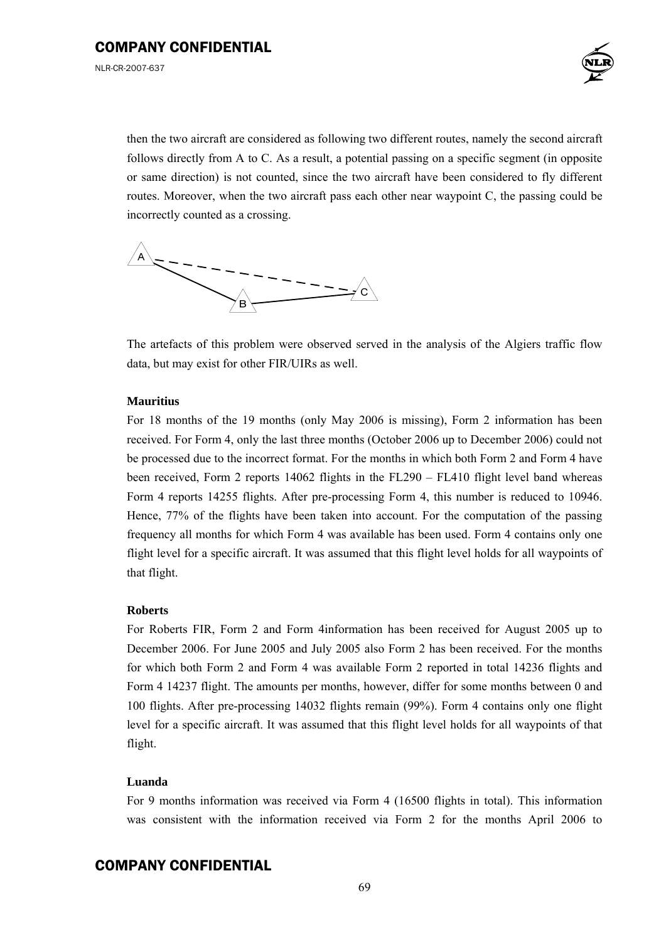

then the two aircraft are considered as following two different routes, namely the second aircraft follows directly from A to C. As a result, a potential passing on a specific segment (in opposite or same direction) is not counted, since the two aircraft have been considered to fly different routes. Moreover, when the two aircraft pass each other near waypoint C, the passing could be incorrectly counted as a crossing.



The artefacts of this problem were observed served in the analysis of the Algiers traffic flow data, but may exist for other FIR/UIRs as well.

#### **Mauritius**

For 18 months of the 19 months (only May 2006 is missing), Form 2 information has been received. For Form 4, only the last three months (October 2006 up to December 2006) could not be processed due to the incorrect format. For the months in which both Form 2 and Form 4 have been received, Form 2 reports 14062 flights in the FL290 – FL410 flight level band whereas Form 4 reports 14255 flights. After pre-processing Form 4, this number is reduced to 10946. Hence, 77% of the flights have been taken into account. For the computation of the passing frequency all months for which Form 4 was available has been used. Form 4 contains only one flight level for a specific aircraft. It was assumed that this flight level holds for all waypoints of that flight.

### **Roberts**

For Roberts FIR, Form 2 and Form 4information has been received for August 2005 up to December 2006. For June 2005 and July 2005 also Form 2 has been received. For the months for which both Form 2 and Form 4 was available Form 2 reported in total 14236 flights and Form 4 14237 flight. The amounts per months, however, differ for some months between 0 and 100 flights. After pre-processing 14032 flights remain (99%). Form 4 contains only one flight level for a specific aircraft. It was assumed that this flight level holds for all waypoints of that flight.

### **Luanda**

For 9 months information was received via Form 4 (16500 flights in total). This information was consistent with the information received via Form 2 for the months April 2006 to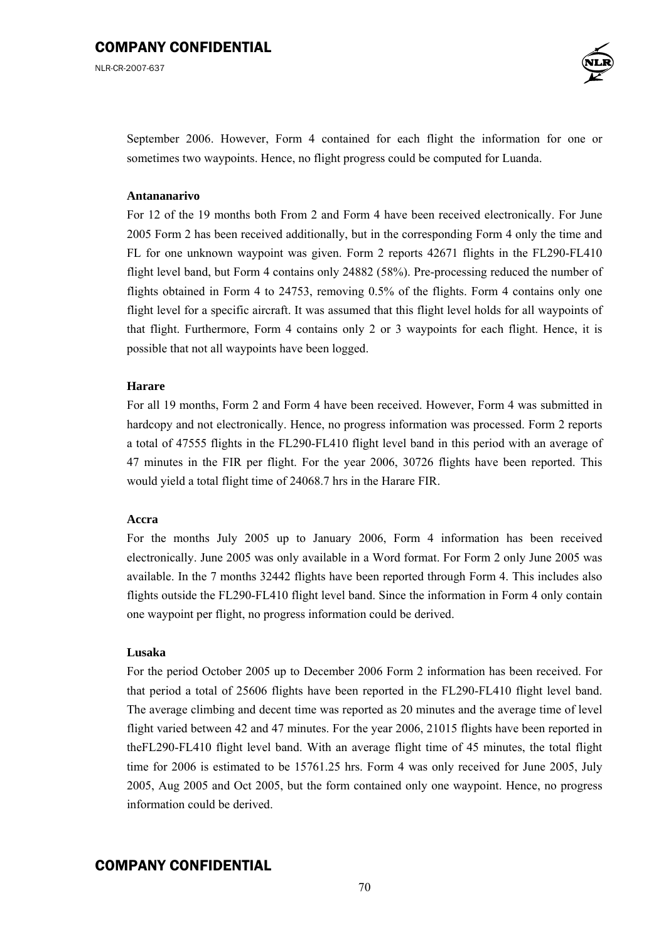

September 2006. However, Form 4 contained for each flight the information for one or sometimes two waypoints. Hence, no flight progress could be computed for Luanda.

### **Antananarivo**

For 12 of the 19 months both From 2 and Form 4 have been received electronically. For June 2005 Form 2 has been received additionally, but in the corresponding Form 4 only the time and FL for one unknown waypoint was given. Form 2 reports 42671 flights in the FL290-FL410 flight level band, but Form 4 contains only 24882 (58%). Pre-processing reduced the number of flights obtained in Form 4 to 24753, removing 0.5% of the flights. Form 4 contains only one flight level for a specific aircraft. It was assumed that this flight level holds for all waypoints of that flight. Furthermore, Form 4 contains only 2 or 3 waypoints for each flight. Hence, it is possible that not all waypoints have been logged.

### **Harare**

For all 19 months, Form 2 and Form 4 have been received. However, Form 4 was submitted in hardcopy and not electronically. Hence, no progress information was processed. Form 2 reports a total of 47555 flights in the FL290-FL410 flight level band in this period with an average of 47 minutes in the FIR per flight. For the year 2006, 30726 flights have been reported. This would yield a total flight time of 24068.7 hrs in the Harare FIR.

### **Accra**

For the months July 2005 up to January 2006, Form 4 information has been received electronically. June 2005 was only available in a Word format. For Form 2 only June 2005 was available. In the 7 months 32442 flights have been reported through Form 4. This includes also flights outside the FL290-FL410 flight level band. Since the information in Form 4 only contain one waypoint per flight, no progress information could be derived.

### **Lusaka**

For the period October 2005 up to December 2006 Form 2 information has been received. For that period a total of 25606 flights have been reported in the FL290-FL410 flight level band. The average climbing and decent time was reported as 20 minutes and the average time of level flight varied between 42 and 47 minutes. For the year 2006, 21015 flights have been reported in theFL290-FL410 flight level band. With an average flight time of 45 minutes, the total flight time for 2006 is estimated to be 15761.25 hrs. Form 4 was only received for June 2005, July 2005, Aug 2005 and Oct 2005, but the form contained only one waypoint. Hence, no progress information could be derived.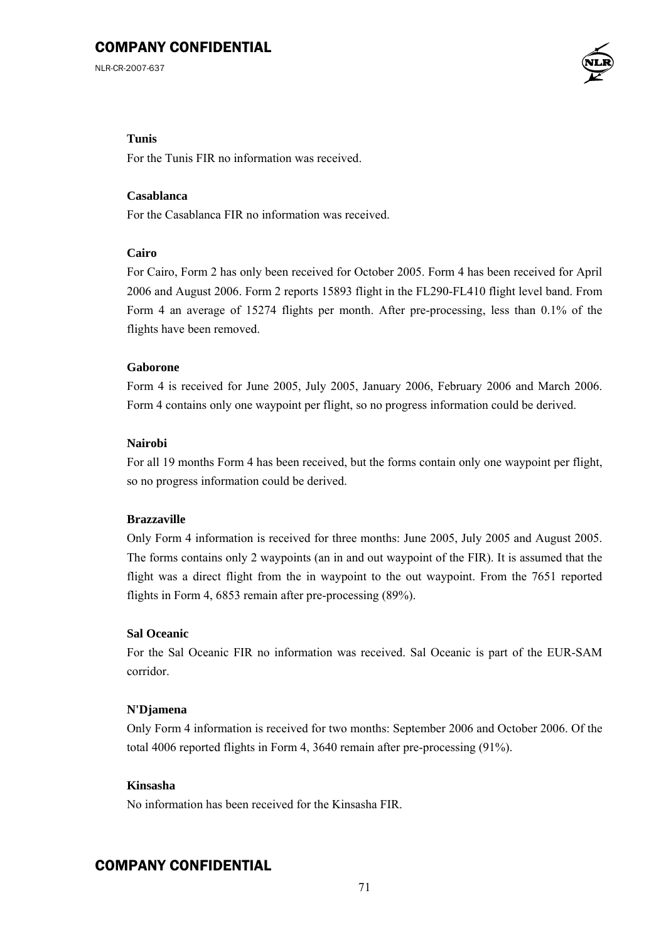# COMPANY CONFIDENTIAL

NLR-CR-2007-637



## **Tunis**

For the Tunis FIR no information was received.

# **Casablanca**

For the Casablanca FIR no information was received.

# **Cairo**

For Cairo, Form 2 has only been received for October 2005. Form 4 has been received for April 2006 and August 2006. Form 2 reports 15893 flight in the FL290-FL410 flight level band. From Form 4 an average of 15274 flights per month. After pre-processing, less than 0.1% of the flights have been removed.

# **Gaborone**

Form 4 is received for June 2005, July 2005, January 2006, February 2006 and March 2006. Form 4 contains only one waypoint per flight, so no progress information could be derived.

# **Nairobi**

For all 19 months Form 4 has been received, but the forms contain only one waypoint per flight, so no progress information could be derived.

# **Brazzaville**

Only Form 4 information is received for three months: June 2005, July 2005 and August 2005. The forms contains only 2 waypoints (an in and out waypoint of the FIR). It is assumed that the flight was a direct flight from the in waypoint to the out waypoint. From the 7651 reported flights in Form 4, 6853 remain after pre-processing (89%).

# **Sal Oceanic**

For the Sal Oceanic FIR no information was received. Sal Oceanic is part of the EUR-SAM corridor.

### **N'Djamena**

Only Form 4 information is received for two months: September 2006 and October 2006. Of the total 4006 reported flights in Form 4, 3640 remain after pre-processing (91%).

### **Kinsasha**

No information has been received for the Kinsasha FIR.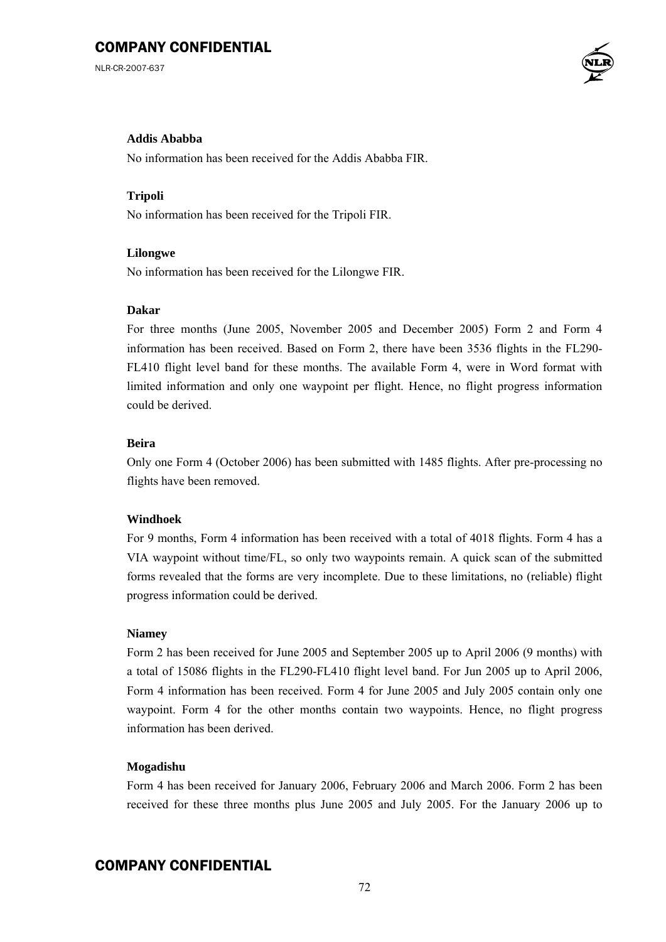# COMPANY CONFIDENTIAL

NLR-CR-2007-637



## **Addis Ababba**

No information has been received for the Addis Ababba FIR.

#### **Tripoli**

No information has been received for the Tripoli FIR.

#### **Lilongwe**

No information has been received for the Lilongwe FIR.

#### **Dakar**

For three months (June 2005, November 2005 and December 2005) Form 2 and Form 4 information has been received. Based on Form 2, there have been 3536 flights in the FL290- FL410 flight level band for these months. The available Form 4, were in Word format with limited information and only one waypoint per flight. Hence, no flight progress information could be derived.

#### **Beira**

Only one Form 4 (October 2006) has been submitted with 1485 flights. After pre-processing no flights have been removed.

### **Windhoek**

For 9 months, Form 4 information has been received with a total of 4018 flights. Form 4 has a VIA waypoint without time/FL, so only two waypoints remain. A quick scan of the submitted forms revealed that the forms are very incomplete. Due to these limitations, no (reliable) flight progress information could be derived.

#### **Niamey**

Form 2 has been received for June 2005 and September 2005 up to April 2006 (9 months) with a total of 15086 flights in the FL290-FL410 flight level band. For Jun 2005 up to April 2006, Form 4 information has been received. Form 4 for June 2005 and July 2005 contain only one waypoint. Form 4 for the other months contain two waypoints. Hence, no flight progress information has been derived.

# **Mogadishu**

Form 4 has been received for January 2006, February 2006 and March 2006. Form 2 has been received for these three months plus June 2005 and July 2005. For the January 2006 up to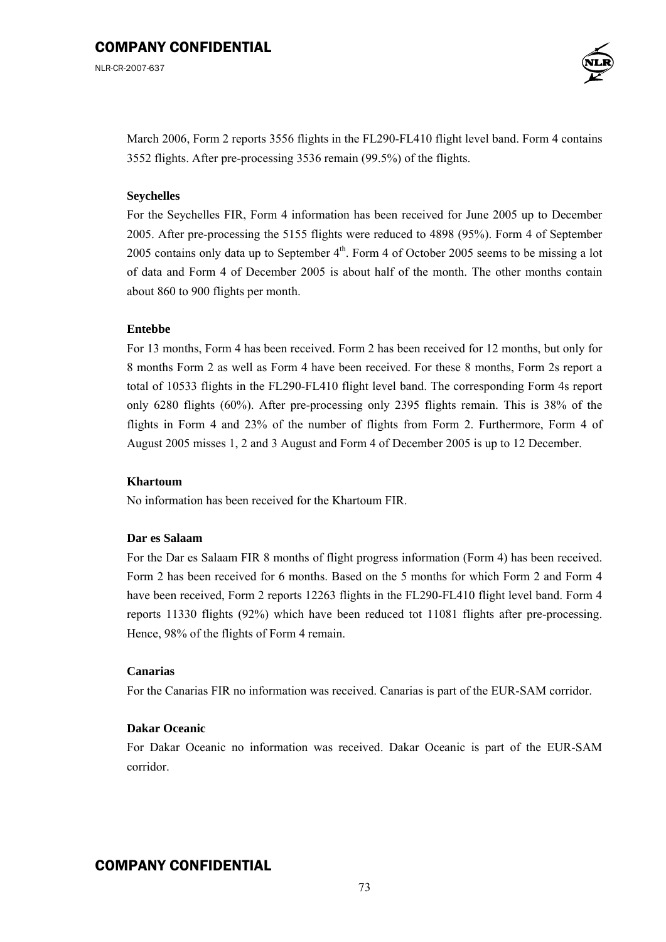NLR-CR-2007-637



March 2006, Form 2 reports 3556 flights in the FL290-FL410 flight level band. Form 4 contains 3552 flights. After pre-processing 3536 remain (99.5%) of the flights.

### **Seychelles**

For the Seychelles FIR, Form 4 information has been received for June 2005 up to December 2005. After pre-processing the 5155 flights were reduced to 4898 (95%). Form 4 of September 2005 contains only data up to September  $4<sup>th</sup>$ . Form 4 of October 2005 seems to be missing a lot of data and Form 4 of December 2005 is about half of the month. The other months contain about 860 to 900 flights per month.

#### **Entebbe**

For 13 months, Form 4 has been received. Form 2 has been received for 12 months, but only for 8 months Form 2 as well as Form 4 have been received. For these 8 months, Form 2s report a total of 10533 flights in the FL290-FL410 flight level band. The corresponding Form 4s report only 6280 flights (60%). After pre-processing only 2395 flights remain. This is 38% of the flights in Form 4 and 23% of the number of flights from Form 2. Furthermore, Form 4 of August 2005 misses 1, 2 and 3 August and Form 4 of December 2005 is up to 12 December.

#### **Khartoum**

No information has been received for the Khartoum FIR.

### **Dar es Salaam**

For the Dar es Salaam FIR 8 months of flight progress information (Form 4) has been received. Form 2 has been received for 6 months. Based on the 5 months for which Form 2 and Form 4 have been received, Form 2 reports 12263 flights in the FL290-FL410 flight level band. Form 4 reports 11330 flights (92%) which have been reduced tot 11081 flights after pre-processing. Hence, 98% of the flights of Form 4 remain.

#### **Canarias**

For the Canarias FIR no information was received. Canarias is part of the EUR-SAM corridor.

#### **Dakar Oceanic**

For Dakar Oceanic no information was received. Dakar Oceanic is part of the EUR-SAM corridor.